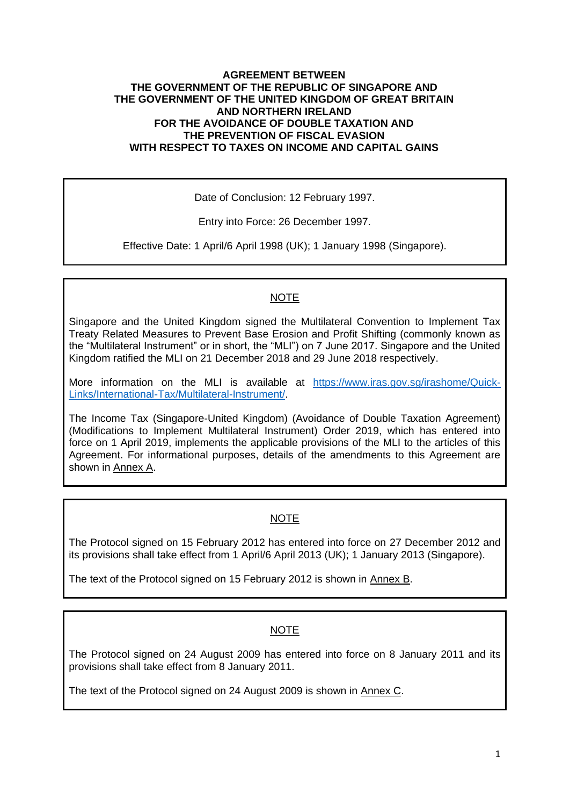#### **AGREEMENT BETWEEN THE GOVERNMENT OF THE REPUBLIC OF SINGAPORE AND THE GOVERNMENT OF THE UNITED KINGDOM OF GREAT BRITAIN AND NORTHERN IRELAND FOR THE AVOIDANCE OF DOUBLE TAXATION AND THE PREVENTION OF FISCAL EVASION WITH RESPECT TO TAXES ON INCOME AND CAPITAL GAINS**

Date of Conclusion: 12 February 1997.

Entry into Force: 26 December 1997.

Effective Date: 1 April/6 April 1998 (UK); 1 January 1998 (Singapore).

#### **NOTE**

Singapore and the United Kingdom signed the Multilateral Convention to Implement Tax Treaty Related Measures to Prevent Base Erosion and Profit Shifting (commonly known as the "Multilateral Instrument" or in short, the "MLI") on 7 June 2017. Singapore and the United Kingdom ratified the MLI on 21 December 2018 and 29 June 2018 respectively.

More information on the MLI is available at [https://www.iras.gov.sg/irashome/Quick-](https://www.iras.gov.sg/irashome/Quick-Links/International-Tax/Multilateral-Instrument/)[Links/International-Tax/Multilateral-Instrument/.](https://www.iras.gov.sg/irashome/Quick-Links/International-Tax/Multilateral-Instrument/)

The Income Tax (Singapore-United Kingdom) (Avoidance of Double Taxation Agreement) (Modifications to Implement Multilateral Instrument) Order 2019, which has entered into force on 1 April 2019, implements the applicable provisions of the MLI to the articles of this Agreement. For informational purposes, details of the amendments to this Agreement are shown in Annex A.

#### NOTE

The Protocol signed on 15 February 2012 has entered into force on 27 December 2012 and its provisions shall take effect from 1 April/6 April 2013 (UK); 1 January 2013 (Singapore).

The text of the Protocol signed on 15 February 2012 is shown in Annex B.

#### **NOTE**

The Protocol signed on 24 August 2009 has entered into force on 8 January 2011 and its provisions shall take effect from 8 January 2011.

The text of the Protocol signed on 24 August 2009 is shown in Annex C.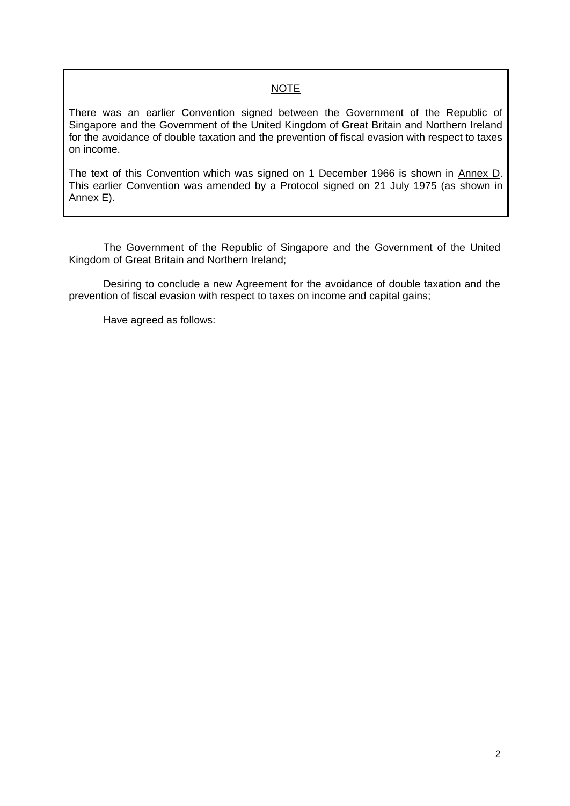# NOTE

There was an earlier Convention signed between the Government of the Republic of Singapore and the Government of the United Kingdom of Great Britain and Northern Ireland for the avoidance of double taxation and the prevention of fiscal evasion with respect to taxes on income.

The text of this Convention which was signed on 1 December 1966 is shown in Annex D. This earlier Convention was amended by a Protocol signed on 21 July 1975 (as shown in Annex E).

The Government of the Republic of Singapore and the Government of the United Kingdom of Great Britain and Northern Ireland;

Desiring to conclude a new Agreement for the avoidance of double taxation and the prevention of fiscal evasion with respect to taxes on income and capital gains;

Have agreed as follows: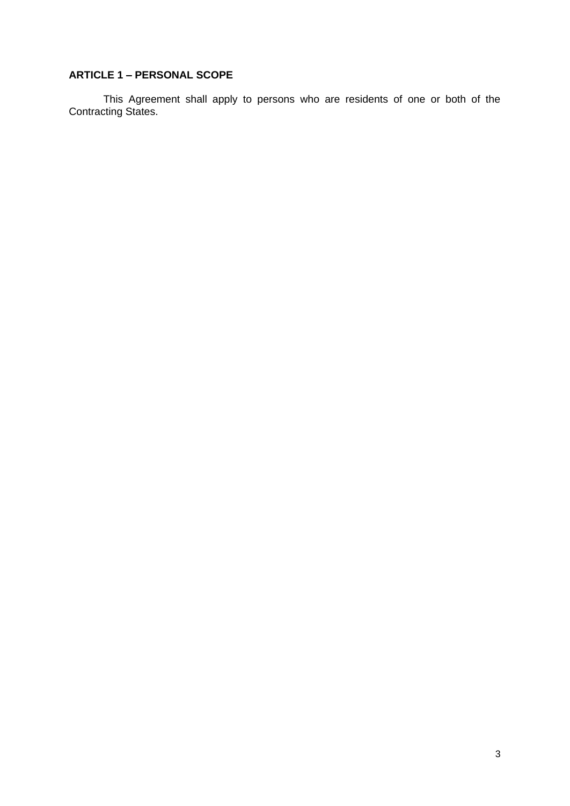# **ARTICLE 1 – PERSONAL SCOPE**

This Agreement shall apply to persons who are residents of one or both of the Contracting States.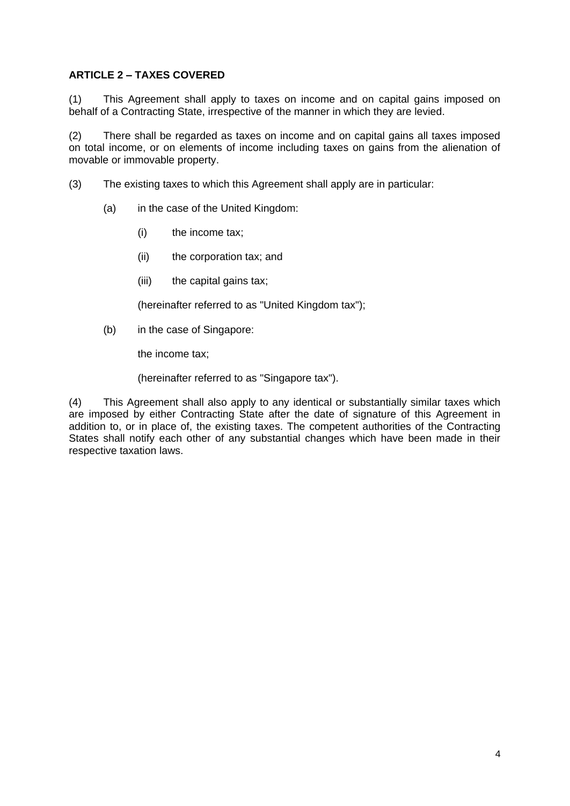### **ARTICLE 2 – TAXES COVERED**

(1) This Agreement shall apply to taxes on income and on capital gains imposed on behalf of a Contracting State, irrespective of the manner in which they are levied.

(2) There shall be regarded as taxes on income and on capital gains all taxes imposed on total income, or on elements of income including taxes on gains from the alienation of movable or immovable property.

- (3) The existing taxes to which this Agreement shall apply are in particular:
	- (a) in the case of the United Kingdom:
		- (i) the income tax;
		- (ii) the corporation tax; and
		- (iii) the capital gains tax;

(hereinafter referred to as "United Kingdom tax");

(b) in the case of Singapore:

the income tax;

(hereinafter referred to as "Singapore tax").

(4) This Agreement shall also apply to any identical or substantially similar taxes which are imposed by either Contracting State after the date of signature of this Agreement in addition to, or in place of, the existing taxes. The competent authorities of the Contracting States shall notify each other of any substantial changes which have been made in their respective taxation laws.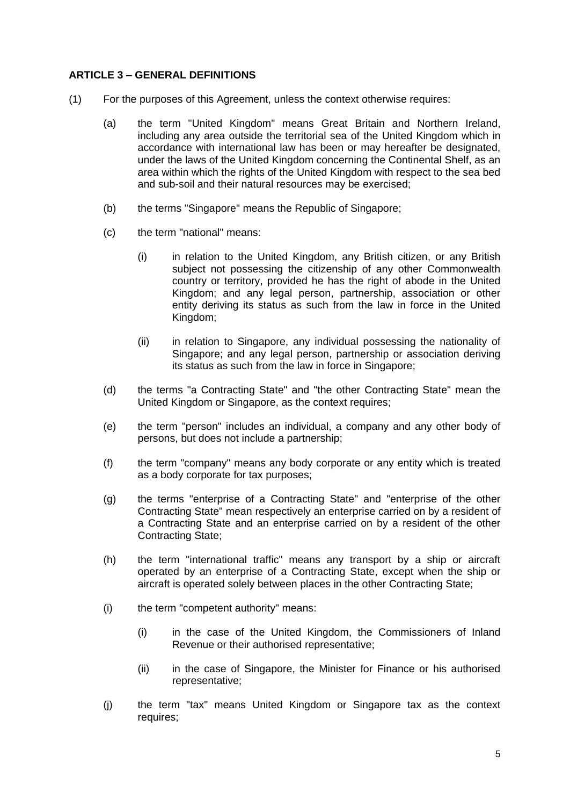### **ARTICLE 3 – GENERAL DEFINITIONS**

- (1) For the purposes of this Agreement, unless the context otherwise requires:
	- (a) the term "United Kingdom" means Great Britain and Northern Ireland, including any area outside the territorial sea of the United Kingdom which in accordance with international law has been or may hereafter be designated, under the laws of the United Kingdom concerning the Continental Shelf, as an area within which the rights of the United Kingdom with respect to the sea bed and sub-soil and their natural resources may be exercised;
	- (b) the terms "Singapore" means the Republic of Singapore;
	- (c) the term "national" means:
		- (i) in relation to the United Kingdom, any British citizen, or any British subject not possessing the citizenship of any other Commonwealth country or territory, provided he has the right of abode in the United Kingdom; and any legal person, partnership, association or other entity deriving its status as such from the law in force in the United Kingdom;
		- (ii) in relation to Singapore, any individual possessing the nationality of Singapore; and any legal person, partnership or association deriving its status as such from the law in force in Singapore;
	- (d) the terms "a Contracting State" and "the other Contracting State" mean the United Kingdom or Singapore, as the context requires;
	- (e) the term "person" includes an individual, a company and any other body of persons, but does not include a partnership;
	- (f) the term "company" means any body corporate or any entity which is treated as a body corporate for tax purposes;
	- (g) the terms "enterprise of a Contracting State" and "enterprise of the other Contracting State" mean respectively an enterprise carried on by a resident of a Contracting State and an enterprise carried on by a resident of the other Contracting State;
	- (h) the term "international traffic" means any transport by a ship or aircraft operated by an enterprise of a Contracting State, except when the ship or aircraft is operated solely between places in the other Contracting State;
	- (i) the term "competent authority" means:
		- (i) in the case of the United Kingdom, the Commissioners of Inland Revenue or their authorised representative;
		- (ii) in the case of Singapore, the Minister for Finance or his authorised representative;
	- (j) the term "tax" means United Kingdom or Singapore tax as the context requires;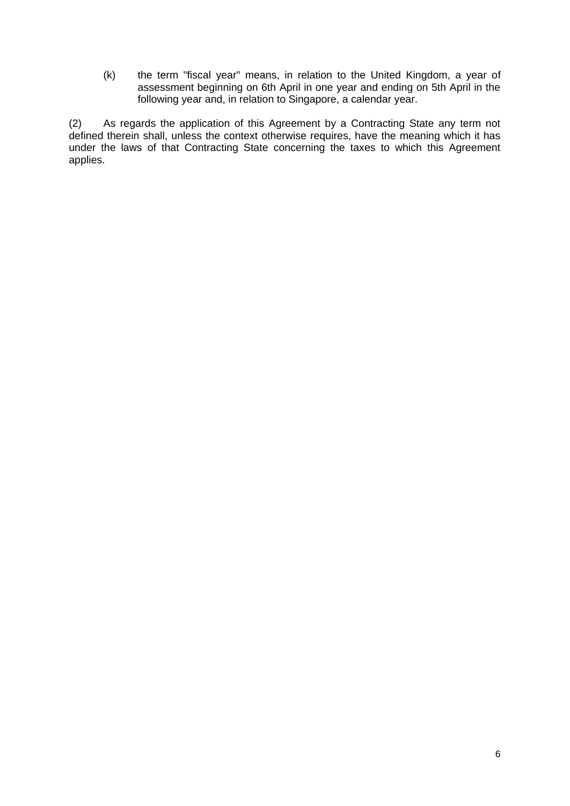(k) the term "fiscal year" means, in relation to the United Kingdom, a year of assessment beginning on 6th April in one year and ending on 5th April in the following year and, in relation to Singapore, a calendar year.

(2) As regards the application of this Agreement by a Contracting State any term not defined therein shall, unless the context otherwise requires, have the meaning which it has under the laws of that Contracting State concerning the taxes to which this Agreement applies.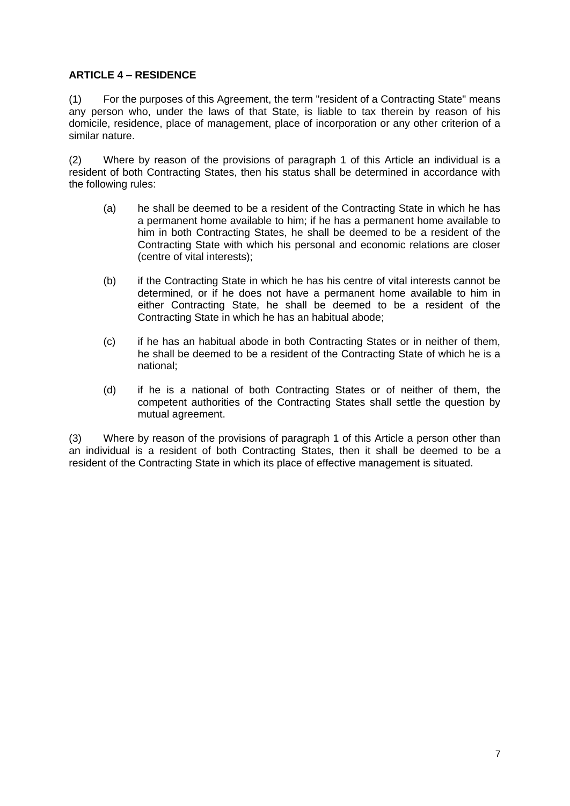### **ARTICLE 4 – RESIDENCE**

(1) For the purposes of this Agreement, the term "resident of a Contracting State" means any person who, under the laws of that State, is liable to tax therein by reason of his domicile, residence, place of management, place of incorporation or any other criterion of a similar nature.

(2) Where by reason of the provisions of paragraph 1 of this Article an individual is a resident of both Contracting States, then his status shall be determined in accordance with the following rules:

- (a) he shall be deemed to be a resident of the Contracting State in which he has a permanent home available to him; if he has a permanent home available to him in both Contracting States, he shall be deemed to be a resident of the Contracting State with which his personal and economic relations are closer (centre of vital interests);
- (b) if the Contracting State in which he has his centre of vital interests cannot be determined, or if he does not have a permanent home available to him in either Contracting State, he shall be deemed to be a resident of the Contracting State in which he has an habitual abode;
- (c) if he has an habitual abode in both Contracting States or in neither of them, he shall be deemed to be a resident of the Contracting State of which he is a national;
- (d) if he is a national of both Contracting States or of neither of them, the competent authorities of the Contracting States shall settle the question by mutual agreement.

(3) Where by reason of the provisions of paragraph 1 of this Article a person other than an individual is a resident of both Contracting States, then it shall be deemed to be a resident of the Contracting State in which its place of effective management is situated.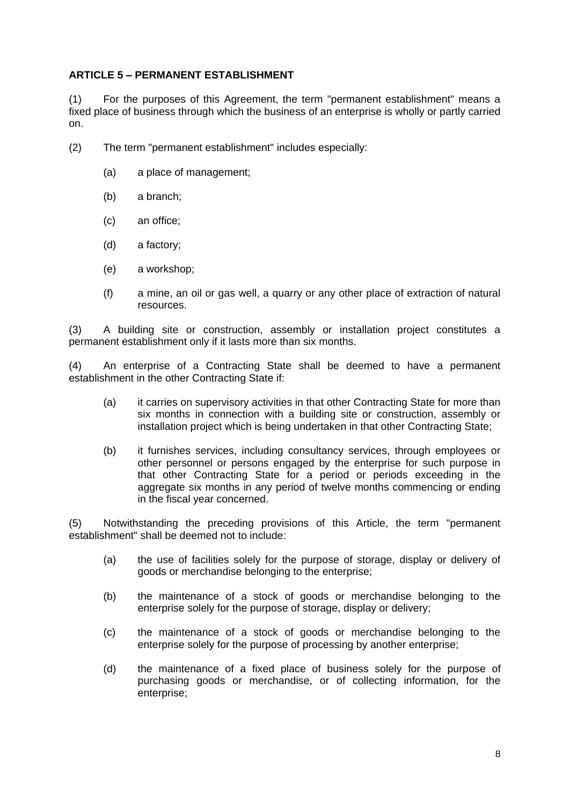#### **ARTICLE 5 – PERMANENT ESTABLISHMENT**

(1) For the purposes of this Agreement, the term "permanent establishment" means a fixed place of business through which the business of an enterprise is wholly or partly carried on.

- (2) The term "permanent establishment" includes especially:
	- (a) a place of management;
	- (b) a branch;
	- (c) an office;
	- (d) a factory;
	- (e) a workshop;
	- (f) a mine, an oil or gas well, a quarry or any other place of extraction of natural resources.

(3) A building site or construction, assembly or installation project constitutes a permanent establishment only if it lasts more than six months.

(4) An enterprise of a Contracting State shall be deemed to have a permanent establishment in the other Contracting State if:

- (a) it carries on supervisory activities in that other Contracting State for more than six months in connection with a building site or construction, assembly or installation project which is being undertaken in that other Contracting State;
- (b) it furnishes services, including consultancy services, through employees or other personnel or persons engaged by the enterprise for such purpose in that other Contracting State for a period or periods exceeding in the aggregate six months in any period of twelve months commencing or ending in the fiscal year concerned.

(5) Notwithstanding the preceding provisions of this Article, the term "permanent establishment" shall be deemed not to include:

- (a) the use of facilities solely for the purpose of storage, display or delivery of goods or merchandise belonging to the enterprise;
- (b) the maintenance of a stock of goods or merchandise belonging to the enterprise solely for the purpose of storage, display or delivery;
- (c) the maintenance of a stock of goods or merchandise belonging to the enterprise solely for the purpose of processing by another enterprise;
- (d) the maintenance of a fixed place of business solely for the purpose of purchasing goods or merchandise, or of collecting information, for the enterprise;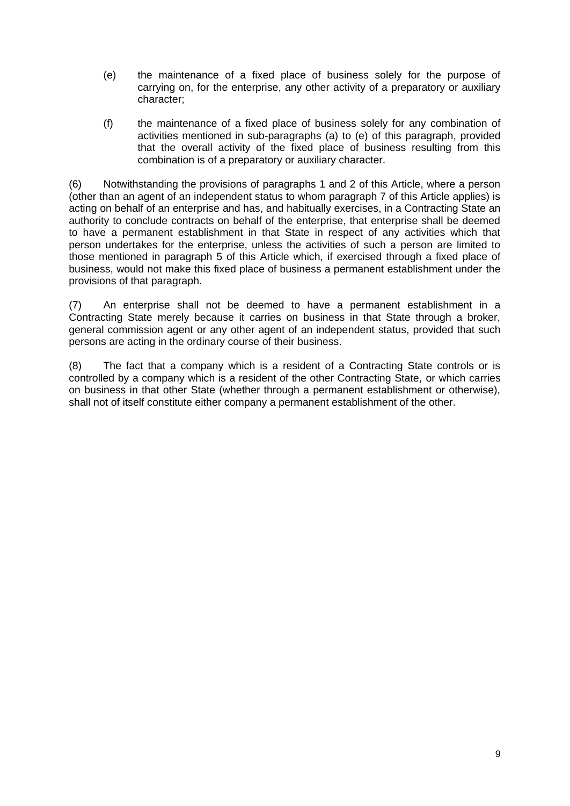- (e) the maintenance of a fixed place of business solely for the purpose of carrying on, for the enterprise, any other activity of a preparatory or auxiliary character;
- (f) the maintenance of a fixed place of business solely for any combination of activities mentioned in sub-paragraphs (a) to (e) of this paragraph, provided that the overall activity of the fixed place of business resulting from this combination is of a preparatory or auxiliary character.

(6) Notwithstanding the provisions of paragraphs 1 and 2 of this Article, where a person (other than an agent of an independent status to whom paragraph 7 of this Article applies) is acting on behalf of an enterprise and has, and habitually exercises, in a Contracting State an authority to conclude contracts on behalf of the enterprise, that enterprise shall be deemed to have a permanent establishment in that State in respect of any activities which that person undertakes for the enterprise, unless the activities of such a person are limited to those mentioned in paragraph 5 of this Article which, if exercised through a fixed place of business, would not make this fixed place of business a permanent establishment under the provisions of that paragraph.

(7) An enterprise shall not be deemed to have a permanent establishment in a Contracting State merely because it carries on business in that State through a broker, general commission agent or any other agent of an independent status, provided that such persons are acting in the ordinary course of their business.

(8) The fact that a company which is a resident of a Contracting State controls or is controlled by a company which is a resident of the other Contracting State, or which carries on business in that other State (whether through a permanent establishment or otherwise), shall not of itself constitute either company a permanent establishment of the other.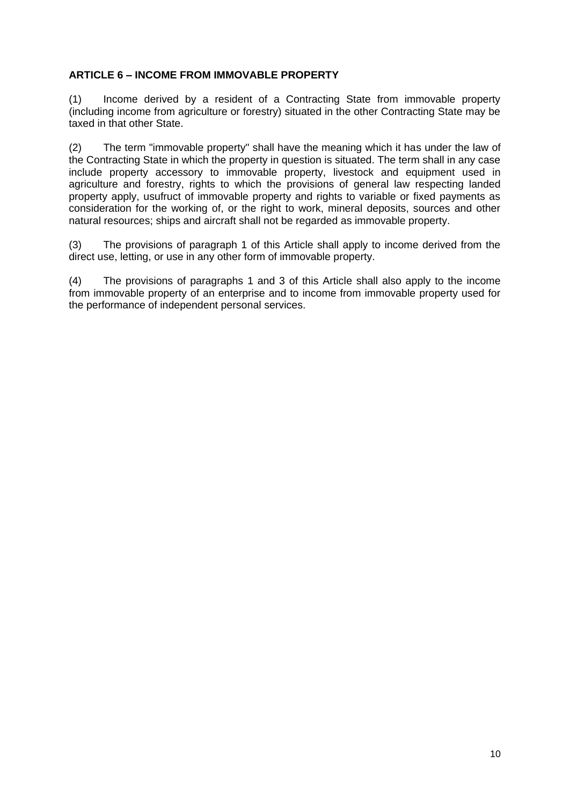### **ARTICLE 6 – INCOME FROM IMMOVABLE PROPERTY**

(1) Income derived by a resident of a Contracting State from immovable property (including income from agriculture or forestry) situated in the other Contracting State may be taxed in that other State.

(2) The term "immovable property" shall have the meaning which it has under the law of the Contracting State in which the property in question is situated. The term shall in any case include property accessory to immovable property, livestock and equipment used in agriculture and forestry, rights to which the provisions of general law respecting landed property apply, usufruct of immovable property and rights to variable or fixed payments as consideration for the working of, or the right to work, mineral deposits, sources and other natural resources; ships and aircraft shall not be regarded as immovable property.

(3) The provisions of paragraph 1 of this Article shall apply to income derived from the direct use, letting, or use in any other form of immovable property.

(4) The provisions of paragraphs 1 and 3 of this Article shall also apply to the income from immovable property of an enterprise and to income from immovable property used for the performance of independent personal services.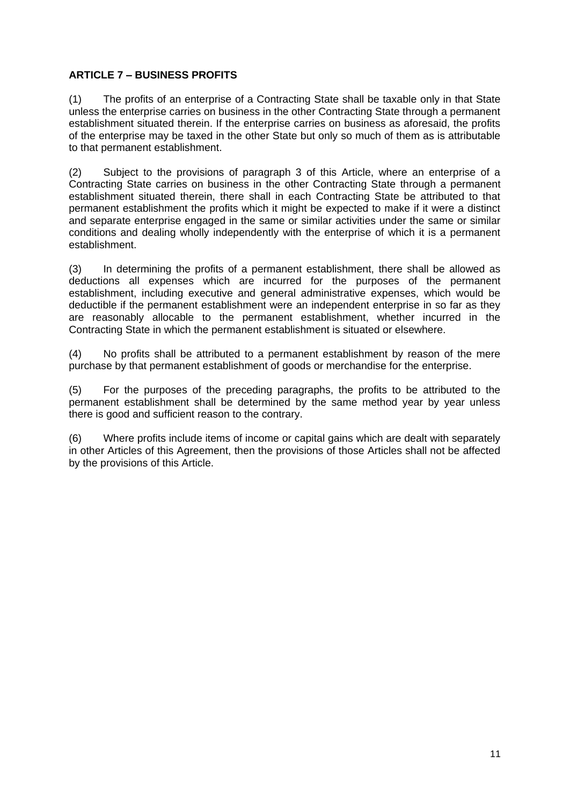### **ARTICLE 7 – BUSINESS PROFITS**

(1) The profits of an enterprise of a Contracting State shall be taxable only in that State unless the enterprise carries on business in the other Contracting State through a permanent establishment situated therein. If the enterprise carries on business as aforesaid, the profits of the enterprise may be taxed in the other State but only so much of them as is attributable to that permanent establishment.

(2) Subject to the provisions of paragraph 3 of this Article, where an enterprise of a Contracting State carries on business in the other Contracting State through a permanent establishment situated therein, there shall in each Contracting State be attributed to that permanent establishment the profits which it might be expected to make if it were a distinct and separate enterprise engaged in the same or similar activities under the same or similar conditions and dealing wholly independently with the enterprise of which it is a permanent establishment.

(3) In determining the profits of a permanent establishment, there shall be allowed as deductions all expenses which are incurred for the purposes of the permanent establishment, including executive and general administrative expenses, which would be deductible if the permanent establishment were an independent enterprise in so far as they are reasonably allocable to the permanent establishment, whether incurred in the Contracting State in which the permanent establishment is situated or elsewhere.

(4) No profits shall be attributed to a permanent establishment by reason of the mere purchase by that permanent establishment of goods or merchandise for the enterprise.

(5) For the purposes of the preceding paragraphs, the profits to be attributed to the permanent establishment shall be determined by the same method year by year unless there is good and sufficient reason to the contrary.

(6) Where profits include items of income or capital gains which are dealt with separately in other Articles of this Agreement, then the provisions of those Articles shall not be affected by the provisions of this Article.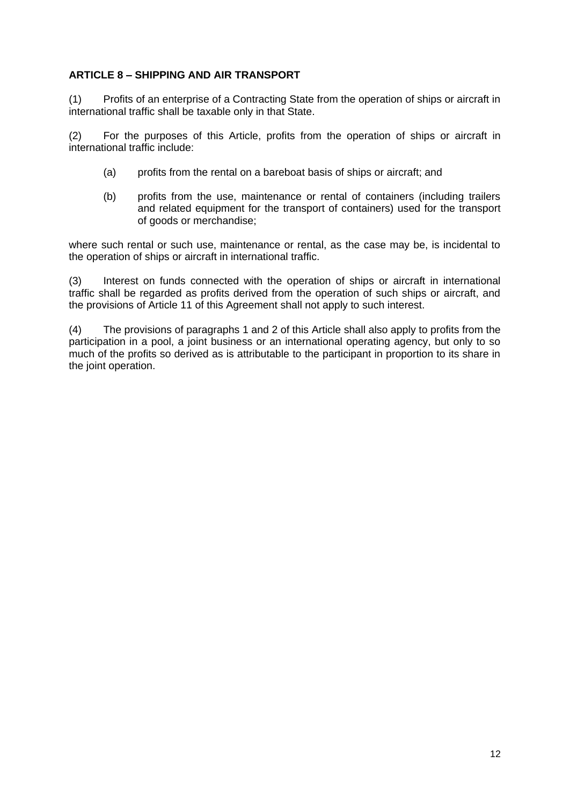### **ARTICLE 8 – SHIPPING AND AIR TRANSPORT**

(1) Profits of an enterprise of a Contracting State from the operation of ships or aircraft in international traffic shall be taxable only in that State.

(2) For the purposes of this Article, profits from the operation of ships or aircraft in international traffic include:

- (a) profits from the rental on a bareboat basis of ships or aircraft; and
- (b) profits from the use, maintenance or rental of containers (including trailers and related equipment for the transport of containers) used for the transport of goods or merchandise;

where such rental or such use, maintenance or rental, as the case may be, is incidental to the operation of ships or aircraft in international traffic.

(3) Interest on funds connected with the operation of ships or aircraft in international traffic shall be regarded as profits derived from the operation of such ships or aircraft, and the provisions of Article 11 of this Agreement shall not apply to such interest.

(4) The provisions of paragraphs 1 and 2 of this Article shall also apply to profits from the participation in a pool, a joint business or an international operating agency, but only to so much of the profits so derived as is attributable to the participant in proportion to its share in the joint operation.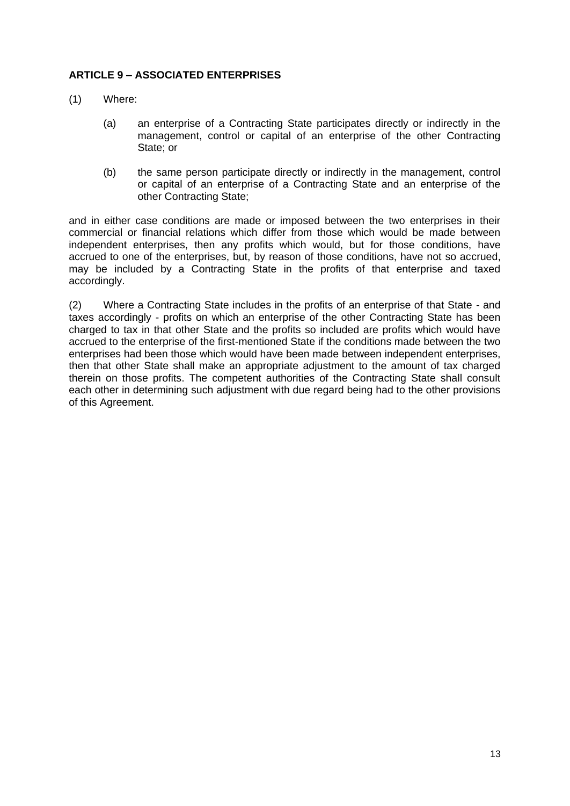# **ARTICLE 9 – ASSOCIATED ENTERPRISES**

- (1) Where:
	- (a) an enterprise of a Contracting State participates directly or indirectly in the management, control or capital of an enterprise of the other Contracting State; or
	- (b) the same person participate directly or indirectly in the management, control or capital of an enterprise of a Contracting State and an enterprise of the other Contracting State;

and in either case conditions are made or imposed between the two enterprises in their commercial or financial relations which differ from those which would be made between independent enterprises, then any profits which would, but for those conditions, have accrued to one of the enterprises, but, by reason of those conditions, have not so accrued, may be included by a Contracting State in the profits of that enterprise and taxed accordingly.

(2) Where a Contracting State includes in the profits of an enterprise of that State - and taxes accordingly - profits on which an enterprise of the other Contracting State has been charged to tax in that other State and the profits so included are profits which would have accrued to the enterprise of the first-mentioned State if the conditions made between the two enterprises had been those which would have been made between independent enterprises, then that other State shall make an appropriate adjustment to the amount of tax charged therein on those profits. The competent authorities of the Contracting State shall consult each other in determining such adjustment with due regard being had to the other provisions of this Agreement.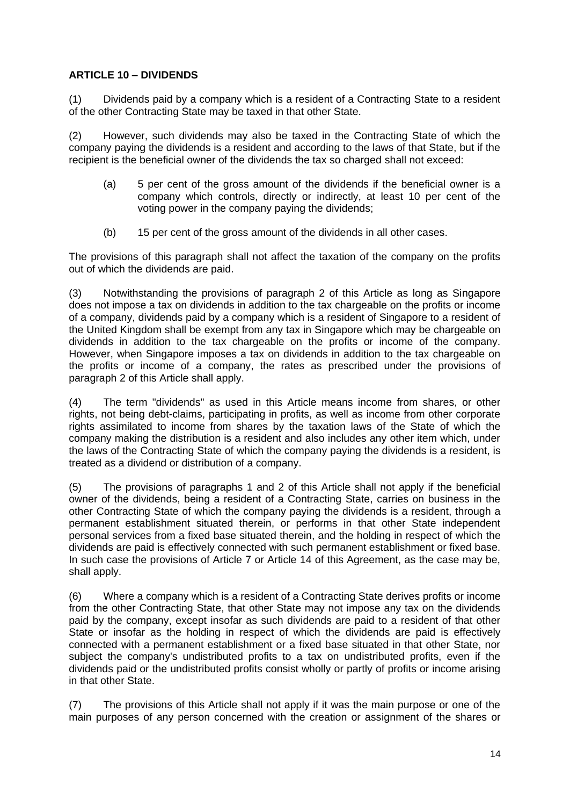# **ARTICLE 10 – DIVIDENDS**

(1) Dividends paid by a company which is a resident of a Contracting State to a resident of the other Contracting State may be taxed in that other State.

(2) However, such dividends may also be taxed in the Contracting State of which the company paying the dividends is a resident and according to the laws of that State, but if the recipient is the beneficial owner of the dividends the tax so charged shall not exceed:

- (a) 5 per cent of the gross amount of the dividends if the beneficial owner is a company which controls, directly or indirectly, at least 10 per cent of the voting power in the company paying the dividends;
- (b) 15 per cent of the gross amount of the dividends in all other cases.

The provisions of this paragraph shall not affect the taxation of the company on the profits out of which the dividends are paid.

(3) Notwithstanding the provisions of paragraph 2 of this Article as long as Singapore does not impose a tax on dividends in addition to the tax chargeable on the profits or income of a company, dividends paid by a company which is a resident of Singapore to a resident of the United Kingdom shall be exempt from any tax in Singapore which may be chargeable on dividends in addition to the tax chargeable on the profits or income of the company. However, when Singapore imposes a tax on dividends in addition to the tax chargeable on the profits or income of a company, the rates as prescribed under the provisions of paragraph 2 of this Article shall apply.

(4) The term "dividends" as used in this Article means income from shares, or other rights, not being debt-claims, participating in profits, as well as income from other corporate rights assimilated to income from shares by the taxation laws of the State of which the company making the distribution is a resident and also includes any other item which, under the laws of the Contracting State of which the company paying the dividends is a resident, is treated as a dividend or distribution of a company.

(5) The provisions of paragraphs 1 and 2 of this Article shall not apply if the beneficial owner of the dividends, being a resident of a Contracting State, carries on business in the other Contracting State of which the company paying the dividends is a resident, through a permanent establishment situated therein, or performs in that other State independent personal services from a fixed base situated therein, and the holding in respect of which the dividends are paid is effectively connected with such permanent establishment or fixed base. In such case the provisions of Article 7 or Article 14 of this Agreement, as the case may be, shall apply.

(6) Where a company which is a resident of a Contracting State derives profits or income from the other Contracting State, that other State may not impose any tax on the dividends paid by the company, except insofar as such dividends are paid to a resident of that other State or insofar as the holding in respect of which the dividends are paid is effectively connected with a permanent establishment or a fixed base situated in that other State, nor subject the company's undistributed profits to a tax on undistributed profits, even if the dividends paid or the undistributed profits consist wholly or partly of profits or income arising in that other State.

(7) The provisions of this Article shall not apply if it was the main purpose or one of the main purposes of any person concerned with the creation or assignment of the shares or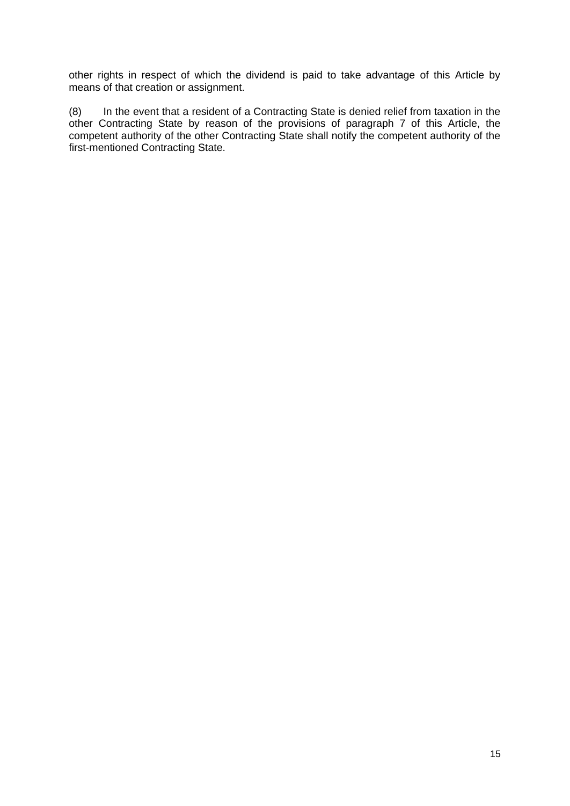other rights in respect of which the dividend is paid to take advantage of this Article by means of that creation or assignment.

(8) In the event that a resident of a Contracting State is denied relief from taxation in the other Contracting State by reason of the provisions of paragraph 7 of this Article, the competent authority of the other Contracting State shall notify the competent authority of the first-mentioned Contracting State.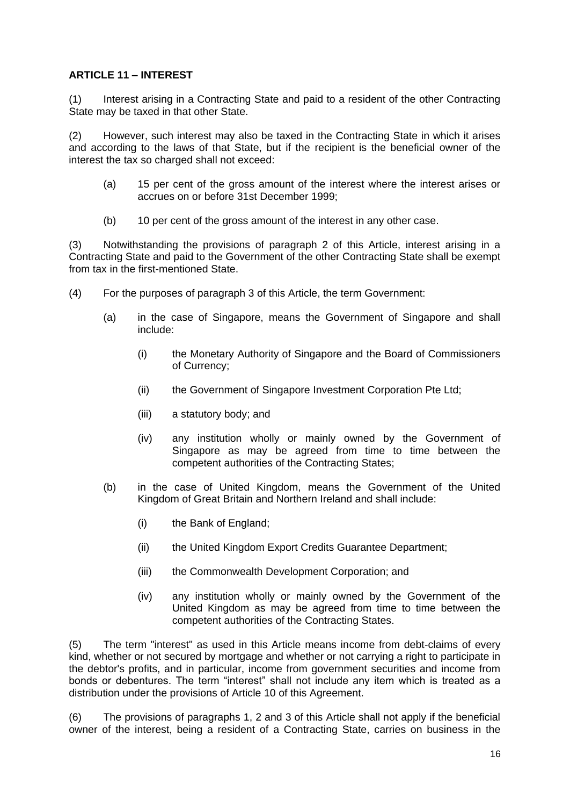### **ARTICLE 11 – INTEREST**

(1) Interest arising in a Contracting State and paid to a resident of the other Contracting State may be taxed in that other State.

(2) However, such interest may also be taxed in the Contracting State in which it arises and according to the laws of that State, but if the recipient is the beneficial owner of the interest the tax so charged shall not exceed:

- (a) 15 per cent of the gross amount of the interest where the interest arises or accrues on or before 31st December 1999;
- (b) 10 per cent of the gross amount of the interest in any other case.

(3) Notwithstanding the provisions of paragraph 2 of this Article, interest arising in a Contracting State and paid to the Government of the other Contracting State shall be exempt from tax in the first-mentioned State.

- (4) For the purposes of paragraph 3 of this Article, the term Government:
	- (a) in the case of Singapore, means the Government of Singapore and shall include:
		- (i) the Monetary Authority of Singapore and the Board of Commissioners of Currency;
		- (ii) the Government of Singapore Investment Corporation Pte Ltd;
		- (iii) a statutory body; and
		- (iv) any institution wholly or mainly owned by the Government of Singapore as may be agreed from time to time between the competent authorities of the Contracting States;
	- (b) in the case of United Kingdom, means the Government of the United Kingdom of Great Britain and Northern Ireland and shall include:
		- (i) the Bank of England;
		- (ii) the United Kingdom Export Credits Guarantee Department;
		- (iii) the Commonwealth Development Corporation; and
		- (iv) any institution wholly or mainly owned by the Government of the United Kingdom as may be agreed from time to time between the competent authorities of the Contracting States.

(5) The term "interest" as used in this Article means income from debt-claims of every kind, whether or not secured by mortgage and whether or not carrying a right to participate in the debtor's profits, and in particular, income from government securities and income from bonds or debentures. The term "interest" shall not include any item which is treated as a distribution under the provisions of Article 10 of this Agreement.

(6) The provisions of paragraphs 1, 2 and 3 of this Article shall not apply if the beneficial owner of the interest, being a resident of a Contracting State, carries on business in the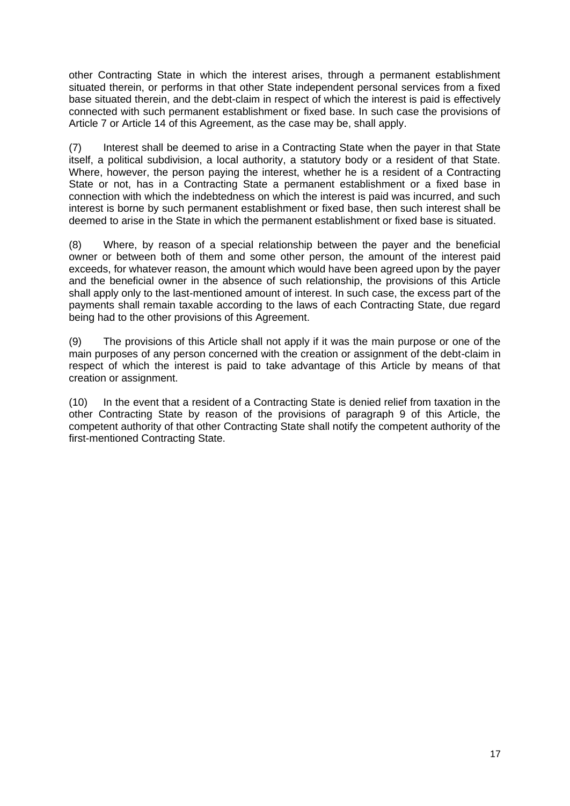other Contracting State in which the interest arises, through a permanent establishment situated therein, or performs in that other State independent personal services from a fixed base situated therein, and the debt-claim in respect of which the interest is paid is effectively connected with such permanent establishment or fixed base. In such case the provisions of Article 7 or Article 14 of this Agreement, as the case may be, shall apply.

(7) Interest shall be deemed to arise in a Contracting State when the payer in that State itself, a political subdivision, a local authority, a statutory body or a resident of that State. Where, however, the person paying the interest, whether he is a resident of a Contracting State or not, has in a Contracting State a permanent establishment or a fixed base in connection with which the indebtedness on which the interest is paid was incurred, and such interest is borne by such permanent establishment or fixed base, then such interest shall be deemed to arise in the State in which the permanent establishment or fixed base is situated.

(8) Where, by reason of a special relationship between the payer and the beneficial owner or between both of them and some other person, the amount of the interest paid exceeds, for whatever reason, the amount which would have been agreed upon by the payer and the beneficial owner in the absence of such relationship, the provisions of this Article shall apply only to the last-mentioned amount of interest. In such case, the excess part of the payments shall remain taxable according to the laws of each Contracting State, due regard being had to the other provisions of this Agreement.

(9) The provisions of this Article shall not apply if it was the main purpose or one of the main purposes of any person concerned with the creation or assignment of the debt-claim in respect of which the interest is paid to take advantage of this Article by means of that creation or assignment.

(10) In the event that a resident of a Contracting State is denied relief from taxation in the other Contracting State by reason of the provisions of paragraph 9 of this Article, the competent authority of that other Contracting State shall notify the competent authority of the first-mentioned Contracting State.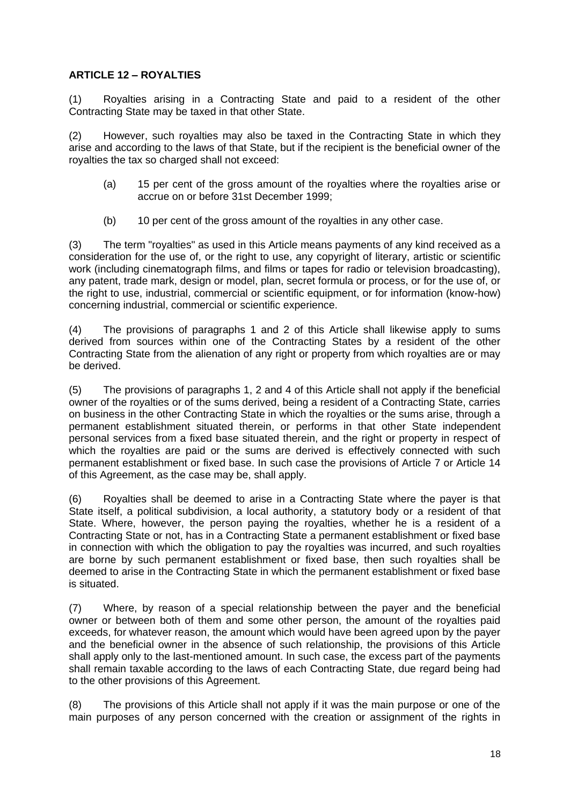### **ARTICLE 12 – ROYALTIES**

(1) Royalties arising in a Contracting State and paid to a resident of the other Contracting State may be taxed in that other State.

(2) However, such royalties may also be taxed in the Contracting State in which they arise and according to the laws of that State, but if the recipient is the beneficial owner of the royalties the tax so charged shall not exceed:

- (a) 15 per cent of the gross amount of the royalties where the royalties arise or accrue on or before 31st December 1999;
- (b) 10 per cent of the gross amount of the royalties in any other case.

(3) The term "royalties" as used in this Article means payments of any kind received as a consideration for the use of, or the right to use, any copyright of literary, artistic or scientific work (including cinematograph films, and films or tapes for radio or television broadcasting), any patent, trade mark, design or model, plan, secret formula or process, or for the use of, or the right to use, industrial, commercial or scientific equipment, or for information (know-how) concerning industrial, commercial or scientific experience.

(4) The provisions of paragraphs 1 and 2 of this Article shall likewise apply to sums derived from sources within one of the Contracting States by a resident of the other Contracting State from the alienation of any right or property from which royalties are or may be derived.

(5) The provisions of paragraphs 1, 2 and 4 of this Article shall not apply if the beneficial owner of the royalties or of the sums derived, being a resident of a Contracting State, carries on business in the other Contracting State in which the royalties or the sums arise, through a permanent establishment situated therein, or performs in that other State independent personal services from a fixed base situated therein, and the right or property in respect of which the royalties are paid or the sums are derived is effectively connected with such permanent establishment or fixed base. In such case the provisions of Article 7 or Article 14 of this Agreement, as the case may be, shall apply.

(6) Royalties shall be deemed to arise in a Contracting State where the payer is that State itself, a political subdivision, a local authority, a statutory body or a resident of that State. Where, however, the person paying the royalties, whether he is a resident of a Contracting State or not, has in a Contracting State a permanent establishment or fixed base in connection with which the obligation to pay the royalties was incurred, and such royalties are borne by such permanent establishment or fixed base, then such royalties shall be deemed to arise in the Contracting State in which the permanent establishment or fixed base is situated.

(7) Where, by reason of a special relationship between the payer and the beneficial owner or between both of them and some other person, the amount of the royalties paid exceeds, for whatever reason, the amount which would have been agreed upon by the payer and the beneficial owner in the absence of such relationship, the provisions of this Article shall apply only to the last-mentioned amount. In such case, the excess part of the payments shall remain taxable according to the laws of each Contracting State, due regard being had to the other provisions of this Agreement.

(8) The provisions of this Article shall not apply if it was the main purpose or one of the main purposes of any person concerned with the creation or assignment of the rights in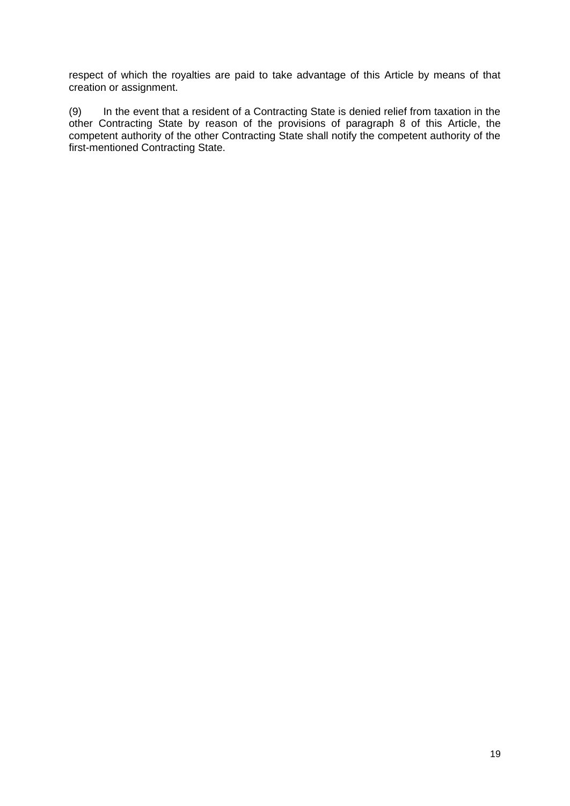respect of which the royalties are paid to take advantage of this Article by means of that creation or assignment.

(9) In the event that a resident of a Contracting State is denied relief from taxation in the other Contracting State by reason of the provisions of paragraph 8 of this Article, the competent authority of the other Contracting State shall notify the competent authority of the first-mentioned Contracting State.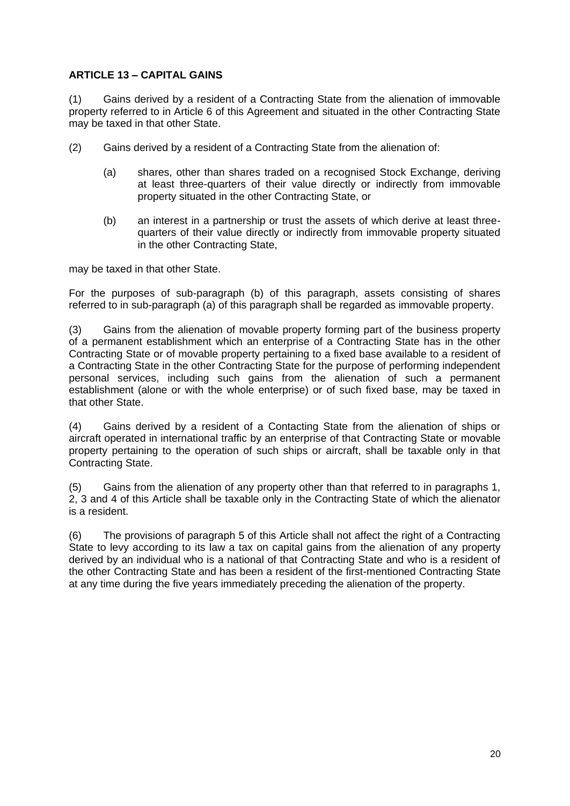### **ARTICLE 13 – CAPITAL GAINS**

(1) Gains derived by a resident of a Contracting State from the alienation of immovable property referred to in Article 6 of this Agreement and situated in the other Contracting State may be taxed in that other State.

- (2) Gains derived by a resident of a Contracting State from the alienation of:
	- (a) shares, other than shares traded on a recognised Stock Exchange, deriving at least three-quarters of their value directly or indirectly from immovable property situated in the other Contracting State, or
	- (b) an interest in a partnership or trust the assets of which derive at least threequarters of their value directly or indirectly from immovable property situated in the other Contracting State,

may be taxed in that other State.

For the purposes of sub-paragraph (b) of this paragraph, assets consisting of shares referred to in sub-paragraph (a) of this paragraph shall be regarded as immovable property.

(3) Gains from the alienation of movable property forming part of the business property of a permanent establishment which an enterprise of a Contracting State has in the other Contracting State or of movable property pertaining to a fixed base available to a resident of a Contracting State in the other Contracting State for the purpose of performing independent personal services, including such gains from the alienation of such a permanent establishment (alone or with the whole enterprise) or of such fixed base, may be taxed in that other State.

(4) Gains derived by a resident of a Contacting State from the alienation of ships or aircraft operated in international traffic by an enterprise of that Contracting State or movable property pertaining to the operation of such ships or aircraft, shall be taxable only in that Contracting State.

(5) Gains from the alienation of any property other than that referred to in paragraphs 1, 2, 3 and 4 of this Article shall be taxable only in the Contracting State of which the alienator is a resident.

(6) The provisions of paragraph 5 of this Article shall not affect the right of a Contracting State to levy according to its law a tax on capital gains from the alienation of any property derived by an individual who is a national of that Contracting State and who is a resident of the other Contracting State and has been a resident of the first-mentioned Contracting State at any time during the five years immediately preceding the alienation of the property.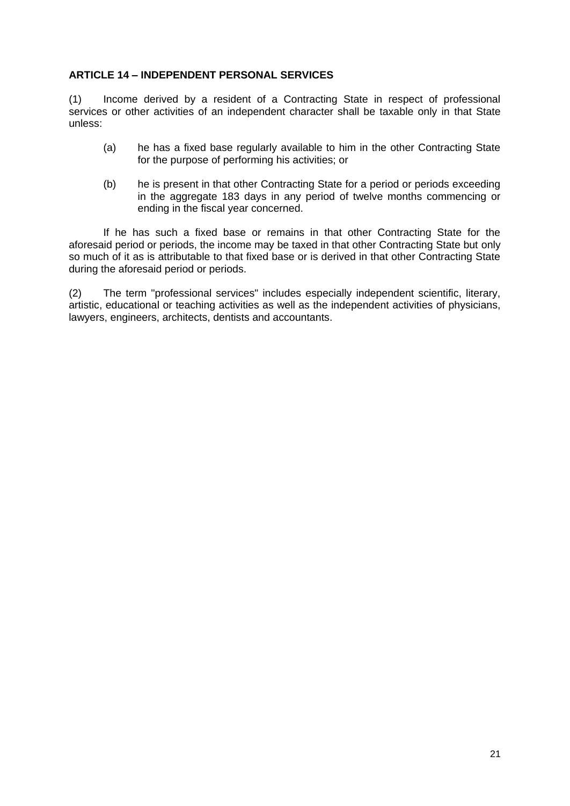#### **ARTICLE 14 – INDEPENDENT PERSONAL SERVICES**

(1) Income derived by a resident of a Contracting State in respect of professional services or other activities of an independent character shall be taxable only in that State unless:

- (a) he has a fixed base regularly available to him in the other Contracting State for the purpose of performing his activities; or
- (b) he is present in that other Contracting State for a period or periods exceeding in the aggregate 183 days in any period of twelve months commencing or ending in the fiscal year concerned.

If he has such a fixed base or remains in that other Contracting State for the aforesaid period or periods, the income may be taxed in that other Contracting State but only so much of it as is attributable to that fixed base or is derived in that other Contracting State during the aforesaid period or periods.

(2) The term "professional services" includes especially independent scientific, literary, artistic, educational or teaching activities as well as the independent activities of physicians, lawyers, engineers, architects, dentists and accountants.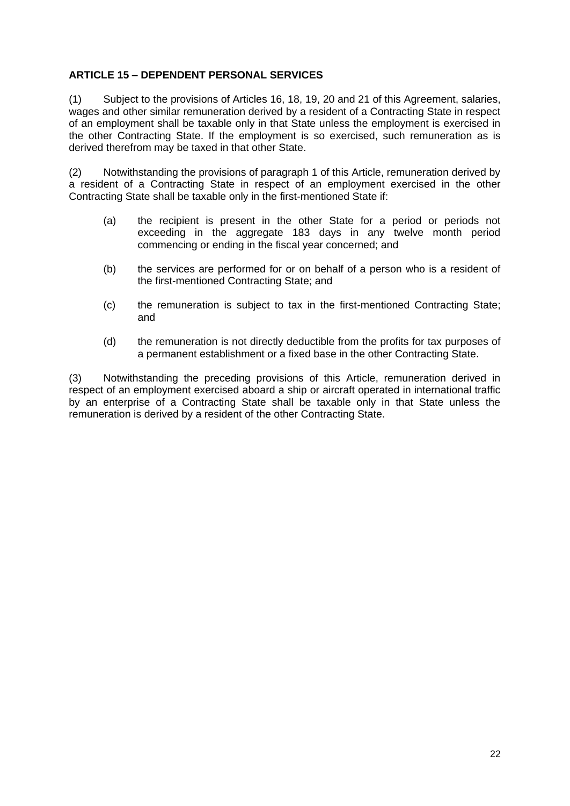### **ARTICLE 15 – DEPENDENT PERSONAL SERVICES**

(1) Subject to the provisions of Articles 16, 18, 19, 20 and 21 of this Agreement, salaries, wages and other similar remuneration derived by a resident of a Contracting State in respect of an employment shall be taxable only in that State unless the employment is exercised in the other Contracting State. If the employment is so exercised, such remuneration as is derived therefrom may be taxed in that other State.

(2) Notwithstanding the provisions of paragraph 1 of this Article, remuneration derived by a resident of a Contracting State in respect of an employment exercised in the other Contracting State shall be taxable only in the first-mentioned State if:

- (a) the recipient is present in the other State for a period or periods not exceeding in the aggregate 183 days in any twelve month period commencing or ending in the fiscal year concerned; and
- (b) the services are performed for or on behalf of a person who is a resident of the first-mentioned Contracting State; and
- (c) the remuneration is subject to tax in the first-mentioned Contracting State; and
- (d) the remuneration is not directly deductible from the profits for tax purposes of a permanent establishment or a fixed base in the other Contracting State.

(3) Notwithstanding the preceding provisions of this Article, remuneration derived in respect of an employment exercised aboard a ship or aircraft operated in international traffic by an enterprise of a Contracting State shall be taxable only in that State unless the remuneration is derived by a resident of the other Contracting State.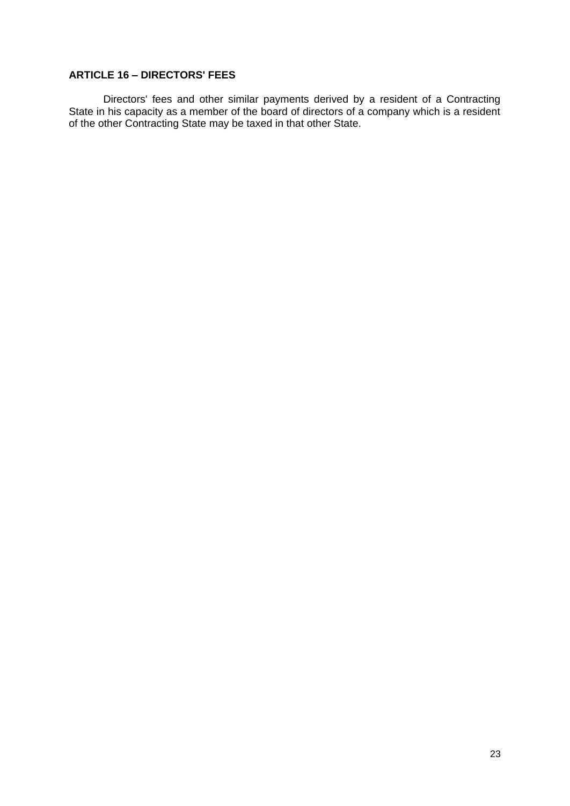# **ARTICLE 16 – DIRECTORS' FEES**

Directors' fees and other similar payments derived by a resident of a Contracting State in his capacity as a member of the board of directors of a company which is a resident of the other Contracting State may be taxed in that other State.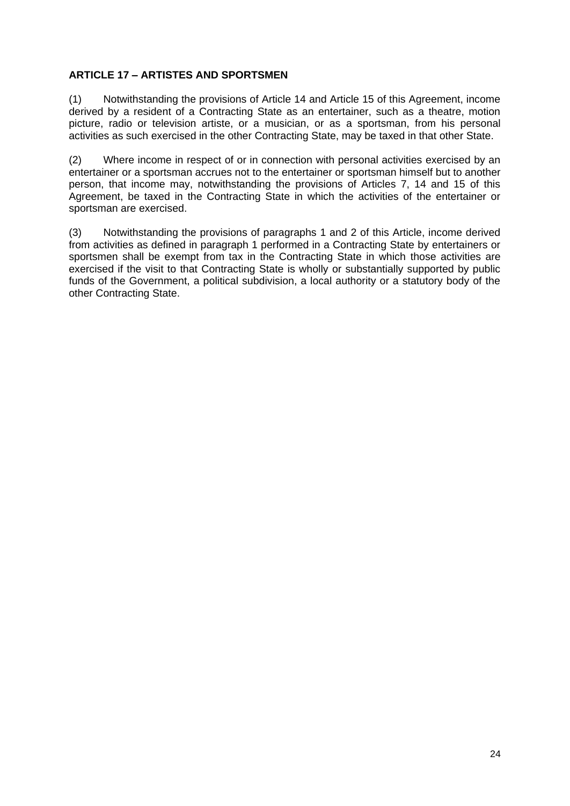### **ARTICLE 17 – ARTISTES AND SPORTSMEN**

(1) Notwithstanding the provisions of Article 14 and Article 15 of this Agreement, income derived by a resident of a Contracting State as an entertainer, such as a theatre, motion picture, radio or television artiste, or a musician, or as a sportsman, from his personal activities as such exercised in the other Contracting State, may be taxed in that other State.

(2) Where income in respect of or in connection with personal activities exercised by an entertainer or a sportsman accrues not to the entertainer or sportsman himself but to another person, that income may, notwithstanding the provisions of Articles 7, 14 and 15 of this Agreement, be taxed in the Contracting State in which the activities of the entertainer or sportsman are exercised.

(3) Notwithstanding the provisions of paragraphs 1 and 2 of this Article, income derived from activities as defined in paragraph 1 performed in a Contracting State by entertainers or sportsmen shall be exempt from tax in the Contracting State in which those activities are exercised if the visit to that Contracting State is wholly or substantially supported by public funds of the Government, a political subdivision, a local authority or a statutory body of the other Contracting State.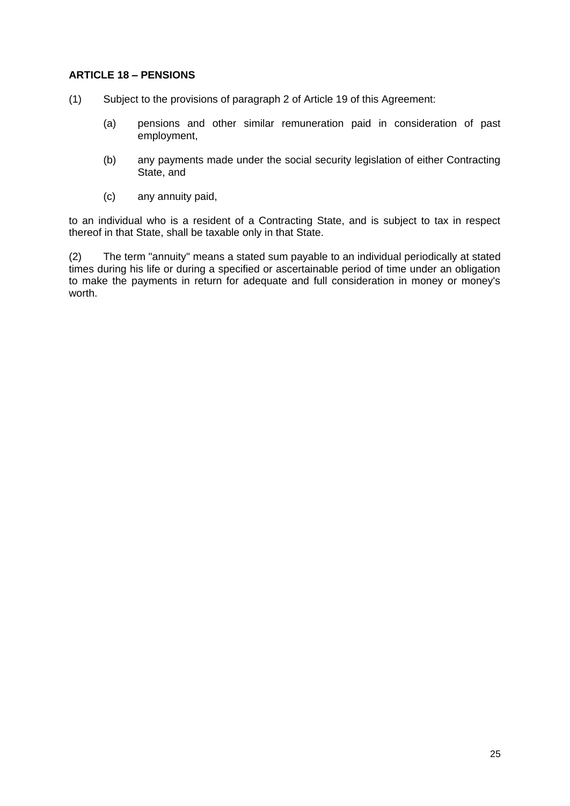#### **ARTICLE 18 – PENSIONS**

- (1) Subject to the provisions of paragraph 2 of Article 19 of this Agreement:
	- (a) pensions and other similar remuneration paid in consideration of past employment,
	- (b) any payments made under the social security legislation of either Contracting State, and
	- (c) any annuity paid,

to an individual who is a resident of a Contracting State, and is subject to tax in respect thereof in that State, shall be taxable only in that State.

(2) The term "annuity" means a stated sum payable to an individual periodically at stated times during his life or during a specified or ascertainable period of time under an obligation to make the payments in return for adequate and full consideration in money or money's worth.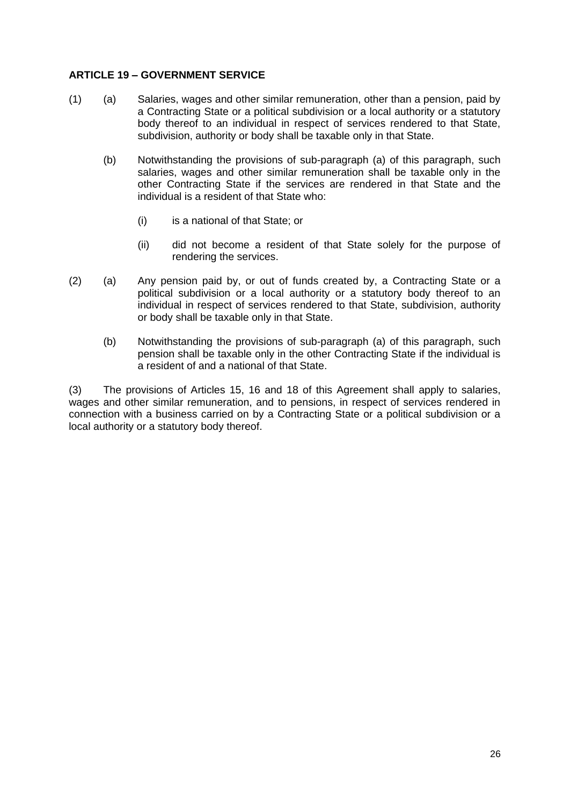#### **ARTICLE 19 – GOVERNMENT SERVICE**

- (1) (a) Salaries, wages and other similar remuneration, other than a pension, paid by a Contracting State or a political subdivision or a local authority or a statutory body thereof to an individual in respect of services rendered to that State, subdivision, authority or body shall be taxable only in that State.
	- (b) Notwithstanding the provisions of sub-paragraph (a) of this paragraph, such salaries, wages and other similar remuneration shall be taxable only in the other Contracting State if the services are rendered in that State and the individual is a resident of that State who:
		- (i) is a national of that State; or
		- (ii) did not become a resident of that State solely for the purpose of rendering the services.
- (2) (a) Any pension paid by, or out of funds created by, a Contracting State or a political subdivision or a local authority or a statutory body thereof to an individual in respect of services rendered to that State, subdivision, authority or body shall be taxable only in that State.
	- (b) Notwithstanding the provisions of sub-paragraph (a) of this paragraph, such pension shall be taxable only in the other Contracting State if the individual is a resident of and a national of that State.

(3) The provisions of Articles 15, 16 and 18 of this Agreement shall apply to salaries, wages and other similar remuneration, and to pensions, in respect of services rendered in connection with a business carried on by a Contracting State or a political subdivision or a local authority or a statutory body thereof.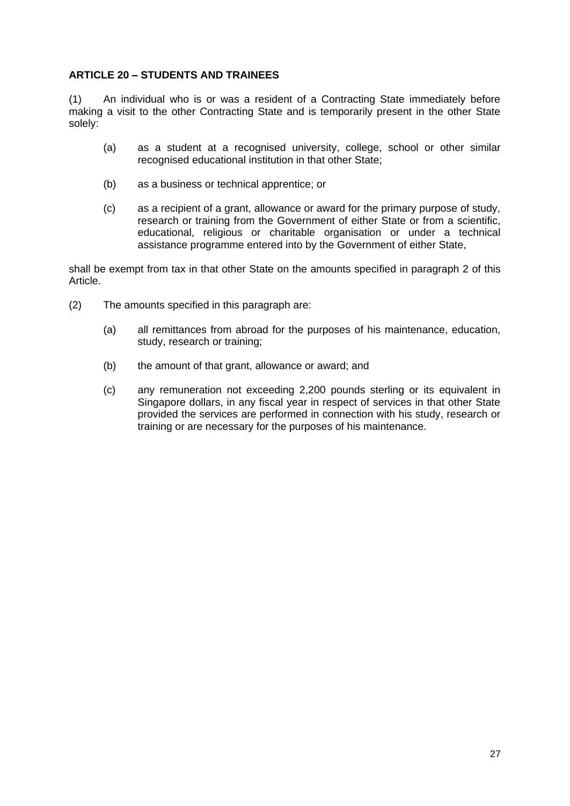### **ARTICLE 20 – STUDENTS AND TRAINEES**

(1) An individual who is or was a resident of a Contracting State immediately before making a visit to the other Contracting State and is temporarily present in the other State solely:

- (a) as a student at a recognised university, college, school or other similar recognised educational institution in that other State;
- (b) as a business or technical apprentice; or
- (c) as a recipient of a grant, allowance or award for the primary purpose of study, research or training from the Government of either State or from a scientific, educational, religious or charitable organisation or under a technical assistance programme entered into by the Government of either State,

shall be exempt from tax in that other State on the amounts specified in paragraph 2 of this Article.

- (2) The amounts specified in this paragraph are:
	- (a) all remittances from abroad for the purposes of his maintenance, education, study, research or training;
	- (b) the amount of that grant, allowance or award; and
	- (c) any remuneration not exceeding 2,200 pounds sterling or its equivalent in Singapore dollars, in any fiscal year in respect of services in that other State provided the services are performed in connection with his study, research or training or are necessary for the purposes of his maintenance.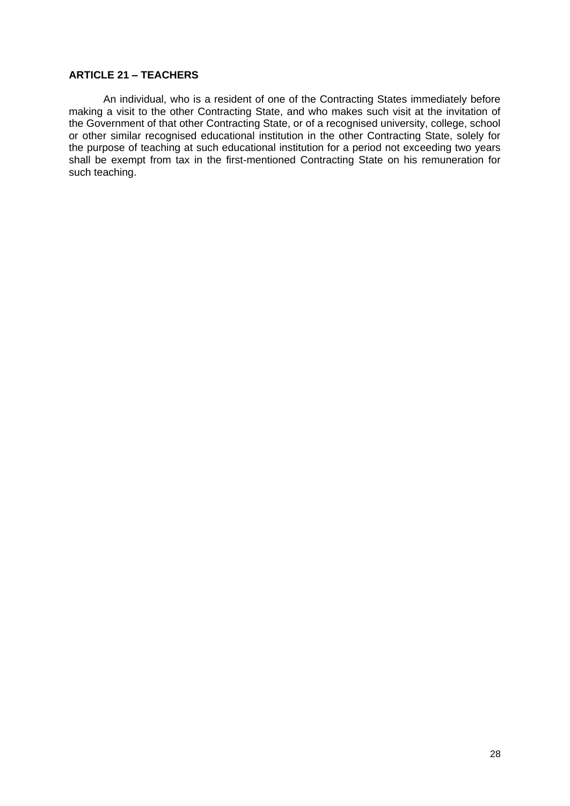#### **ARTICLE 21 – TEACHERS**

An individual, who is a resident of one of the Contracting States immediately before making a visit to the other Contracting State, and who makes such visit at the invitation of the Government of that other Contracting State, or of a recognised university, college, school or other similar recognised educational institution in the other Contracting State, solely for the purpose of teaching at such educational institution for a period not exceeding two years shall be exempt from tax in the first-mentioned Contracting State on his remuneration for such teaching.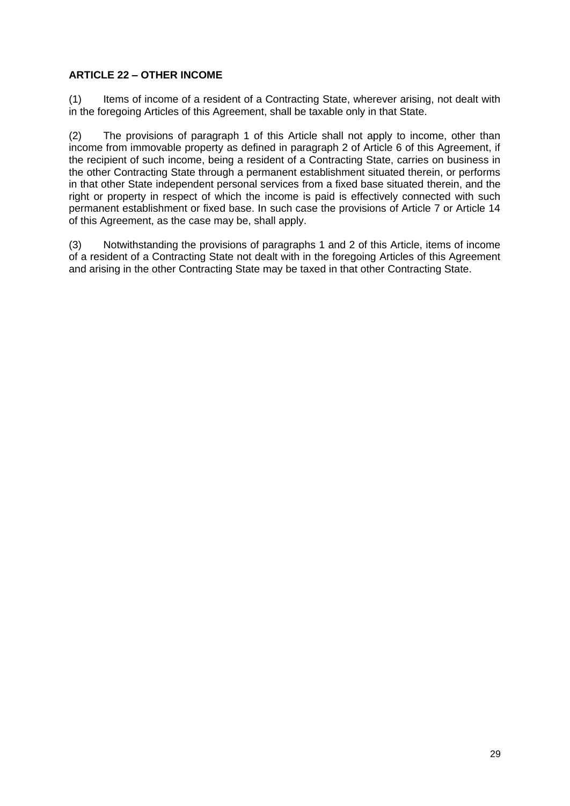### **ARTICLE 22 – OTHER INCOME**

(1) Items of income of a resident of a Contracting State, wherever arising, not dealt with in the foregoing Articles of this Agreement, shall be taxable only in that State.

(2) The provisions of paragraph 1 of this Article shall not apply to income, other than income from immovable property as defined in paragraph 2 of Article 6 of this Agreement, if the recipient of such income, being a resident of a Contracting State, carries on business in the other Contracting State through a permanent establishment situated therein, or performs in that other State independent personal services from a fixed base situated therein, and the right or property in respect of which the income is paid is effectively connected with such permanent establishment or fixed base. In such case the provisions of Article 7 or Article 14 of this Agreement, as the case may be, shall apply.

(3) Notwithstanding the provisions of paragraphs 1 and 2 of this Article, items of income of a resident of a Contracting State not dealt with in the foregoing Articles of this Agreement and arising in the other Contracting State may be taxed in that other Contracting State.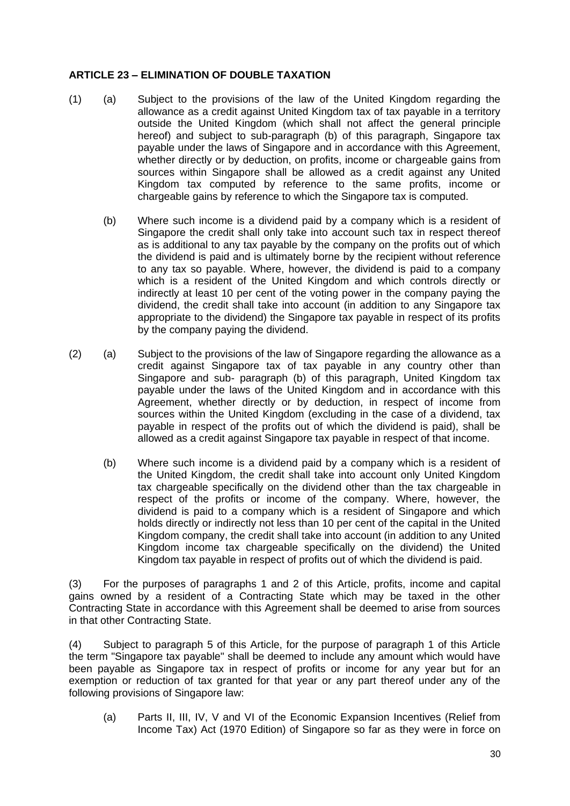### **ARTICLE 23 – ELIMINATION OF DOUBLE TAXATION**

- (1) (a) Subject to the provisions of the law of the United Kingdom regarding the allowance as a credit against United Kingdom tax of tax payable in a territory outside the United Kingdom (which shall not affect the general principle hereof) and subject to sub-paragraph (b) of this paragraph, Singapore tax payable under the laws of Singapore and in accordance with this Agreement, whether directly or by deduction, on profits, income or chargeable gains from sources within Singapore shall be allowed as a credit against any United Kingdom tax computed by reference to the same profits, income or chargeable gains by reference to which the Singapore tax is computed.
	- (b) Where such income is a dividend paid by a company which is a resident of Singapore the credit shall only take into account such tax in respect thereof as is additional to any tax payable by the company on the profits out of which the dividend is paid and is ultimately borne by the recipient without reference to any tax so payable. Where, however, the dividend is paid to a company which is a resident of the United Kingdom and which controls directly or indirectly at least 10 per cent of the voting power in the company paying the dividend, the credit shall take into account (in addition to any Singapore tax appropriate to the dividend) the Singapore tax payable in respect of its profits by the company paying the dividend.
- (2) (a) Subject to the provisions of the law of Singapore regarding the allowance as a credit against Singapore tax of tax payable in any country other than Singapore and sub- paragraph (b) of this paragraph, United Kingdom tax payable under the laws of the United Kingdom and in accordance with this Agreement, whether directly or by deduction, in respect of income from sources within the United Kingdom (excluding in the case of a dividend, tax payable in respect of the profits out of which the dividend is paid), shall be allowed as a credit against Singapore tax payable in respect of that income.
	- (b) Where such income is a dividend paid by a company which is a resident of the United Kingdom, the credit shall take into account only United Kingdom tax chargeable specifically on the dividend other than the tax chargeable in respect of the profits or income of the company. Where, however, the dividend is paid to a company which is a resident of Singapore and which holds directly or indirectly not less than 10 per cent of the capital in the United Kingdom company, the credit shall take into account (in addition to any United Kingdom income tax chargeable specifically on the dividend) the United Kingdom tax payable in respect of profits out of which the dividend is paid.

(3) For the purposes of paragraphs 1 and 2 of this Article, profits, income and capital gains owned by a resident of a Contracting State which may be taxed in the other Contracting State in accordance with this Agreement shall be deemed to arise from sources in that other Contracting State.

(4) Subject to paragraph 5 of this Article, for the purpose of paragraph 1 of this Article the term "Singapore tax payable" shall be deemed to include any amount which would have been payable as Singapore tax in respect of profits or income for any year but for an exemption or reduction of tax granted for that year or any part thereof under any of the following provisions of Singapore law:

(a) Parts II, III, IV, V and VI of the Economic Expansion Incentives (Relief from Income Tax) Act (1970 Edition) of Singapore so far as they were in force on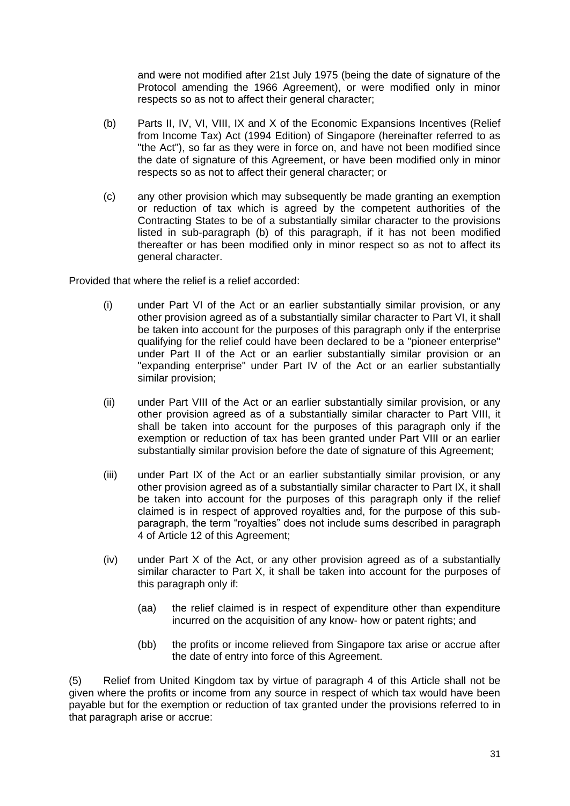and were not modified after 21st July 1975 (being the date of signature of the Protocol amending the 1966 Agreement), or were modified only in minor respects so as not to affect their general character;

- (b) Parts II, IV, VI, VIII, IX and X of the Economic Expansions Incentives (Relief from Income Tax) Act (1994 Edition) of Singapore (hereinafter referred to as "the Act"), so far as they were in force on, and have not been modified since the date of signature of this Agreement, or have been modified only in minor respects so as not to affect their general character; or
- (c) any other provision which may subsequently be made granting an exemption or reduction of tax which is agreed by the competent authorities of the Contracting States to be of a substantially similar character to the provisions listed in sub-paragraph (b) of this paragraph, if it has not been modified thereafter or has been modified only in minor respect so as not to affect its general character.

Provided that where the relief is a relief accorded:

- (i) under Part VI of the Act or an earlier substantially similar provision, or any other provision agreed as of a substantially similar character to Part VI, it shall be taken into account for the purposes of this paragraph only if the enterprise qualifying for the relief could have been declared to be a "pioneer enterprise" under Part II of the Act or an earlier substantially similar provision or an "expanding enterprise" under Part IV of the Act or an earlier substantially similar provision;
- (ii) under Part VIII of the Act or an earlier substantially similar provision, or any other provision agreed as of a substantially similar character to Part VIII, it shall be taken into account for the purposes of this paragraph only if the exemption or reduction of tax has been granted under Part VIII or an earlier substantially similar provision before the date of signature of this Agreement;
- (iii) under Part IX of the Act or an earlier substantially similar provision, or any other provision agreed as of a substantially similar character to Part IX, it shall be taken into account for the purposes of this paragraph only if the relief claimed is in respect of approved royalties and, for the purpose of this subparagraph, the term "royalties" does not include sums described in paragraph 4 of Article 12 of this Agreement;
- (iv) under Part X of the Act, or any other provision agreed as of a substantially similar character to Part X, it shall be taken into account for the purposes of this paragraph only if:
	- (aa) the relief claimed is in respect of expenditure other than expenditure incurred on the acquisition of any know- how or patent rights; and
	- (bb) the profits or income relieved from Singapore tax arise or accrue after the date of entry into force of this Agreement.

(5) Relief from United Kingdom tax by virtue of paragraph 4 of this Article shall not be given where the profits or income from any source in respect of which tax would have been payable but for the exemption or reduction of tax granted under the provisions referred to in that paragraph arise or accrue: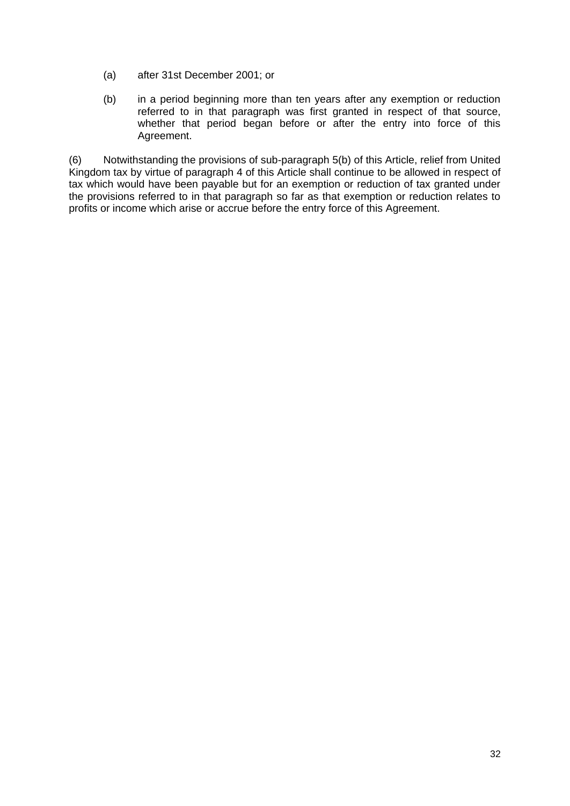- (a) after 31st December 2001; or
- (b) in a period beginning more than ten years after any exemption or reduction referred to in that paragraph was first granted in respect of that source, whether that period began before or after the entry into force of this Agreement.

(6) Notwithstanding the provisions of sub-paragraph 5(b) of this Article, relief from United Kingdom tax by virtue of paragraph 4 of this Article shall continue to be allowed in respect of tax which would have been payable but for an exemption or reduction of tax granted under the provisions referred to in that paragraph so far as that exemption or reduction relates to profits or income which arise or accrue before the entry force of this Agreement.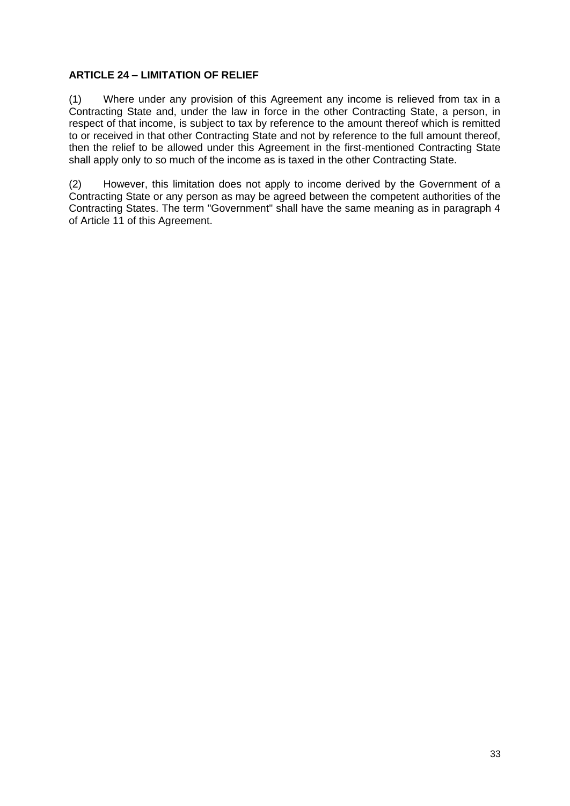### **ARTICLE 24 – LIMITATION OF RELIEF**

(1) Where under any provision of this Agreement any income is relieved from tax in a Contracting State and, under the law in force in the other Contracting State, a person, in respect of that income, is subject to tax by reference to the amount thereof which is remitted to or received in that other Contracting State and not by reference to the full amount thereof, then the relief to be allowed under this Agreement in the first-mentioned Contracting State shall apply only to so much of the income as is taxed in the other Contracting State.

(2) However, this limitation does not apply to income derived by the Government of a Contracting State or any person as may be agreed between the competent authorities of the Contracting States. The term "Government" shall have the same meaning as in paragraph 4 of Article 11 of this Agreement.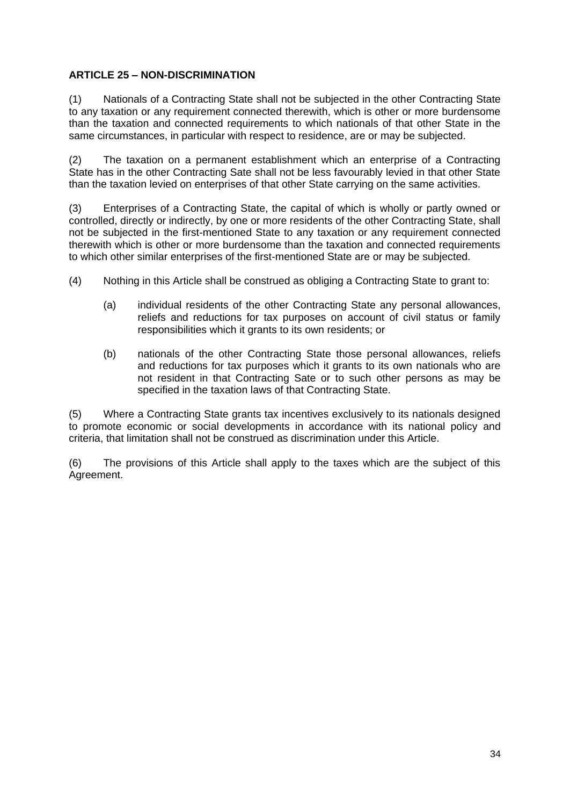### **ARTICLE 25 – NON-DISCRIMINATION**

(1) Nationals of a Contracting State shall not be subjected in the other Contracting State to any taxation or any requirement connected therewith, which is other or more burdensome than the taxation and connected requirements to which nationals of that other State in the same circumstances, in particular with respect to residence, are or may be subjected.

(2) The taxation on a permanent establishment which an enterprise of a Contracting State has in the other Contracting Sate shall not be less favourably levied in that other State than the taxation levied on enterprises of that other State carrying on the same activities.

(3) Enterprises of a Contracting State, the capital of which is wholly or partly owned or controlled, directly or indirectly, by one or more residents of the other Contracting State, shall not be subjected in the first-mentioned State to any taxation or any requirement connected therewith which is other or more burdensome than the taxation and connected requirements to which other similar enterprises of the first-mentioned State are or may be subjected.

- (4) Nothing in this Article shall be construed as obliging a Contracting State to grant to:
	- (a) individual residents of the other Contracting State any personal allowances, reliefs and reductions for tax purposes on account of civil status or family responsibilities which it grants to its own residents; or
	- (b) nationals of the other Contracting State those personal allowances, reliefs and reductions for tax purposes which it grants to its own nationals who are not resident in that Contracting Sate or to such other persons as may be specified in the taxation laws of that Contracting State.

(5) Where a Contracting State grants tax incentives exclusively to its nationals designed to promote economic or social developments in accordance with its national policy and criteria, that limitation shall not be construed as discrimination under this Article.

(6) The provisions of this Article shall apply to the taxes which are the subject of this Agreement.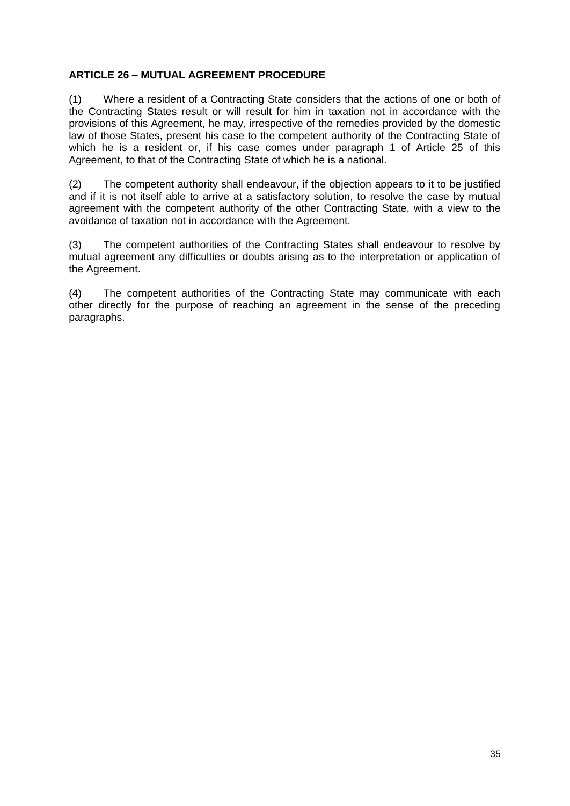#### **ARTICLE 26 – MUTUAL AGREEMENT PROCEDURE**

(1) Where a resident of a Contracting State considers that the actions of one or both of the Contracting States result or will result for him in taxation not in accordance with the provisions of this Agreement, he may, irrespective of the remedies provided by the domestic law of those States, present his case to the competent authority of the Contracting State of which he is a resident or, if his case comes under paragraph 1 of Article 25 of this Agreement, to that of the Contracting State of which he is a national.

(2) The competent authority shall endeavour, if the objection appears to it to be justified and if it is not itself able to arrive at a satisfactory solution, to resolve the case by mutual agreement with the competent authority of the other Contracting State, with a view to the avoidance of taxation not in accordance with the Agreement.

(3) The competent authorities of the Contracting States shall endeavour to resolve by mutual agreement any difficulties or doubts arising as to the interpretation or application of the Agreement.

(4) The competent authorities of the Contracting State may communicate with each other directly for the purpose of reaching an agreement in the sense of the preceding paragraphs.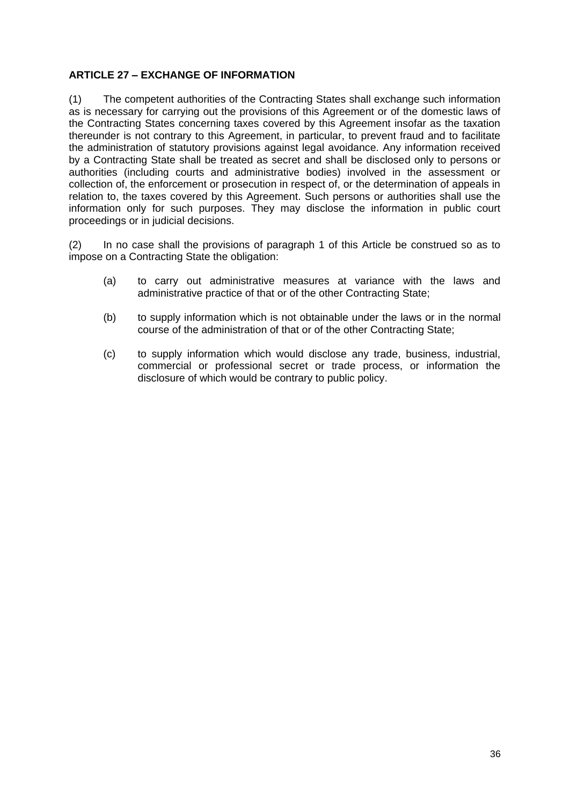# **ARTICLE 27 – EXCHANGE OF INFORMATION**

(1) The competent authorities of the Contracting States shall exchange such information as is necessary for carrying out the provisions of this Agreement or of the domestic laws of the Contracting States concerning taxes covered by this Agreement insofar as the taxation thereunder is not contrary to this Agreement, in particular, to prevent fraud and to facilitate the administration of statutory provisions against legal avoidance. Any information received by a Contracting State shall be treated as secret and shall be disclosed only to persons or authorities (including courts and administrative bodies) involved in the assessment or collection of, the enforcement or prosecution in respect of, or the determination of appeals in relation to, the taxes covered by this Agreement. Such persons or authorities shall use the information only for such purposes. They may disclose the information in public court proceedings or in judicial decisions.

(2) In no case shall the provisions of paragraph 1 of this Article be construed so as to impose on a Contracting State the obligation:

- (a) to carry out administrative measures at variance with the laws and administrative practice of that or of the other Contracting State;
- (b) to supply information which is not obtainable under the laws or in the normal course of the administration of that or of the other Contracting State;
- (c) to supply information which would disclose any trade, business, industrial, commercial or professional secret or trade process, or information the disclosure of which would be contrary to public policy.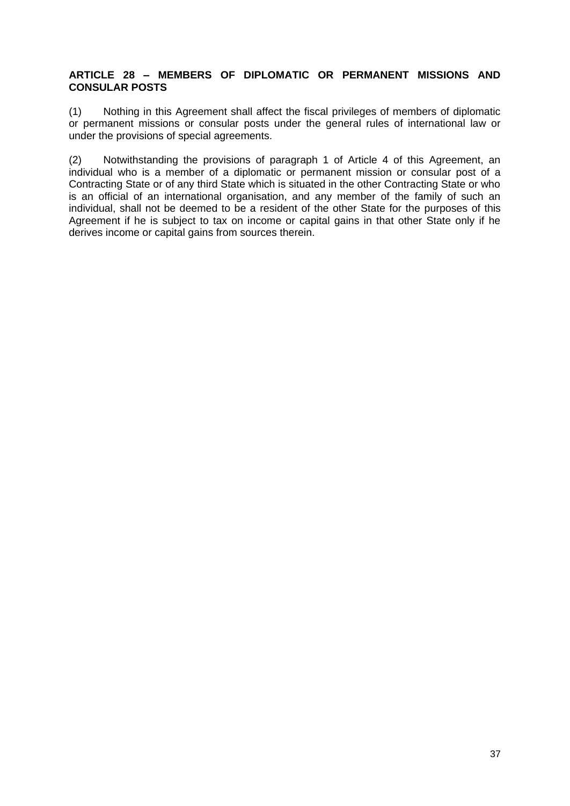## **ARTICLE 28 – MEMBERS OF DIPLOMATIC OR PERMANENT MISSIONS AND CONSULAR POSTS**

(1) Nothing in this Agreement shall affect the fiscal privileges of members of diplomatic or permanent missions or consular posts under the general rules of international law or under the provisions of special agreements.

(2) Notwithstanding the provisions of paragraph 1 of Article 4 of this Agreement, an individual who is a member of a diplomatic or permanent mission or consular post of a Contracting State or of any third State which is situated in the other Contracting State or who is an official of an international organisation, and any member of the family of such an individual, shall not be deemed to be a resident of the other State for the purposes of this Agreement if he is subject to tax on income or capital gains in that other State only if he derives income or capital gains from sources therein.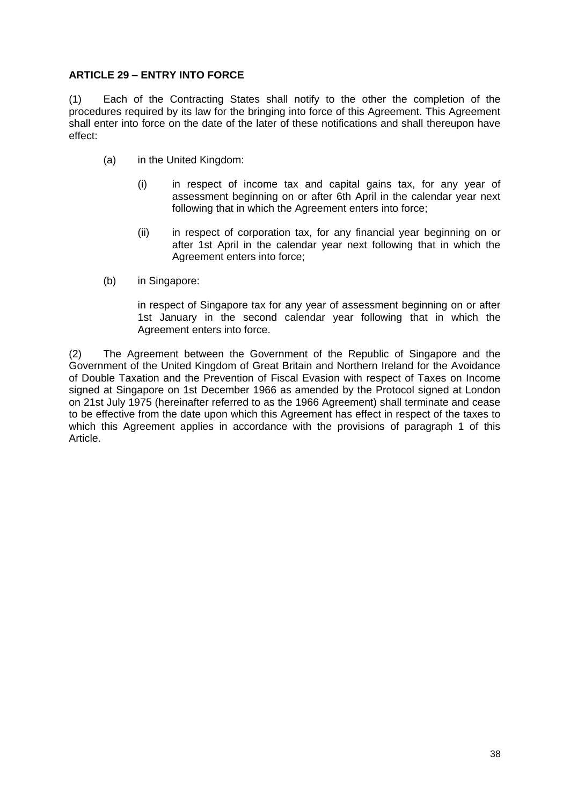# **ARTICLE 29 – ENTRY INTO FORCE**

(1) Each of the Contracting States shall notify to the other the completion of the procedures required by its law for the bringing into force of this Agreement. This Agreement shall enter into force on the date of the later of these notifications and shall thereupon have effect:

- (a) in the United Kingdom:
	- (i) in respect of income tax and capital gains tax, for any year of assessment beginning on or after 6th April in the calendar year next following that in which the Agreement enters into force;
	- (ii) in respect of corporation tax, for any financial year beginning on or after 1st April in the calendar year next following that in which the Agreement enters into force;
- (b) in Singapore:

in respect of Singapore tax for any year of assessment beginning on or after 1st January in the second calendar year following that in which the Agreement enters into force.

(2) The Agreement between the Government of the Republic of Singapore and the Government of the United Kingdom of Great Britain and Northern Ireland for the Avoidance of Double Taxation and the Prevention of Fiscal Evasion with respect of Taxes on Income signed at Singapore on 1st December 1966 as amended by the Protocol signed at London on 21st July 1975 (hereinafter referred to as the 1966 Agreement) shall terminate and cease to be effective from the date upon which this Agreement has effect in respect of the taxes to which this Agreement applies in accordance with the provisions of paragraph 1 of this Article.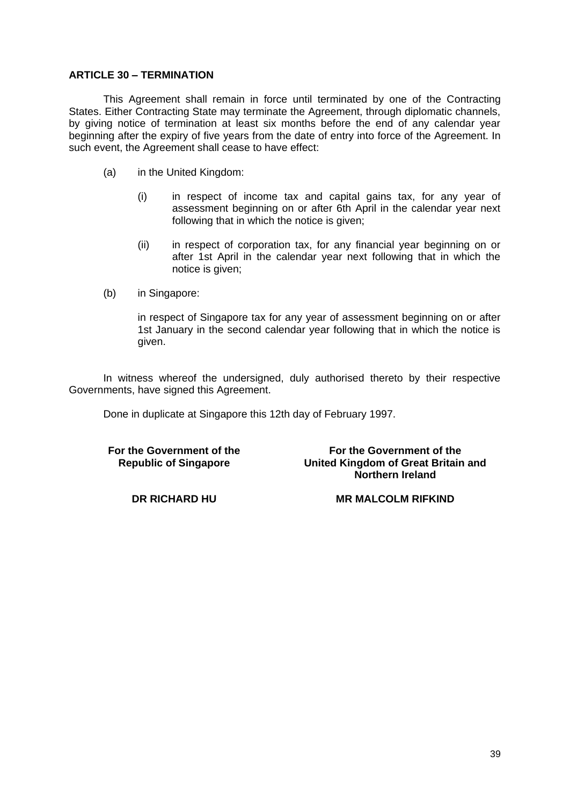#### **ARTICLE 30 – TERMINATION**

This Agreement shall remain in force until terminated by one of the Contracting States. Either Contracting State may terminate the Agreement, through diplomatic channels. by giving notice of termination at least six months before the end of any calendar year beginning after the expiry of five years from the date of entry into force of the Agreement. In such event, the Agreement shall cease to have effect:

- (a) in the United Kingdom:
	- (i) in respect of income tax and capital gains tax, for any year of assessment beginning on or after 6th April in the calendar year next following that in which the notice is given;
	- (ii) in respect of corporation tax, for any financial year beginning on or after 1st April in the calendar year next following that in which the notice is given;
- (b) in Singapore:

in respect of Singapore tax for any year of assessment beginning on or after 1st January in the second calendar year following that in which the notice is given.

In witness whereof the undersigned, duly authorised thereto by their respective Governments, have signed this Agreement.

Done in duplicate at Singapore this 12th day of February 1997.

**For the Government of the Republic of Singapore**

**For the Government of the United Kingdom of Great Britain and Northern Ireland**

**DR RICHARD HU MR MALCOLM RIFKIND**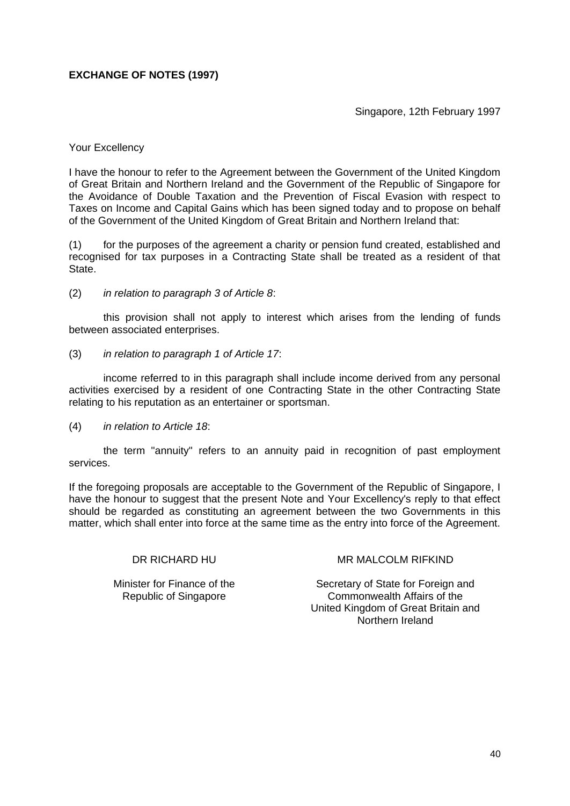# **EXCHANGE OF NOTES (1997)**

Singapore, 12th February 1997

#### Your Excellency

I have the honour to refer to the Agreement between the Government of the United Kingdom of Great Britain and Northern Ireland and the Government of the Republic of Singapore for the Avoidance of Double Taxation and the Prevention of Fiscal Evasion with respect to Taxes on Income and Capital Gains which has been signed today and to propose on behalf of the Government of the United Kingdom of Great Britain and Northern Ireland that:

(1) for the purposes of the agreement a charity or pension fund created, established and recognised for tax purposes in a Contracting State shall be treated as a resident of that State.

(2) *in relation to paragraph 3 of Article 8*:

this provision shall not apply to interest which arises from the lending of funds between associated enterprises.

(3) *in relation to paragraph 1 of Article 17*:

income referred to in this paragraph shall include income derived from any personal activities exercised by a resident of one Contracting State in the other Contracting State relating to his reputation as an entertainer or sportsman.

(4) *in relation to Article 18*:

the term "annuity" refers to an annuity paid in recognition of past employment services.

If the foregoing proposals are acceptable to the Government of the Republic of Singapore, I have the honour to suggest that the present Note and Your Excellency's reply to that effect should be regarded as constituting an agreement between the two Governments in this matter, which shall enter into force at the same time as the entry into force of the Agreement.

DR RICHARD HU

Minister for Finance of the Republic of Singapore

## MR MALCOLM RIFKIND

Secretary of State for Foreign and Commonwealth Affairs of the United Kingdom of Great Britain and Northern Ireland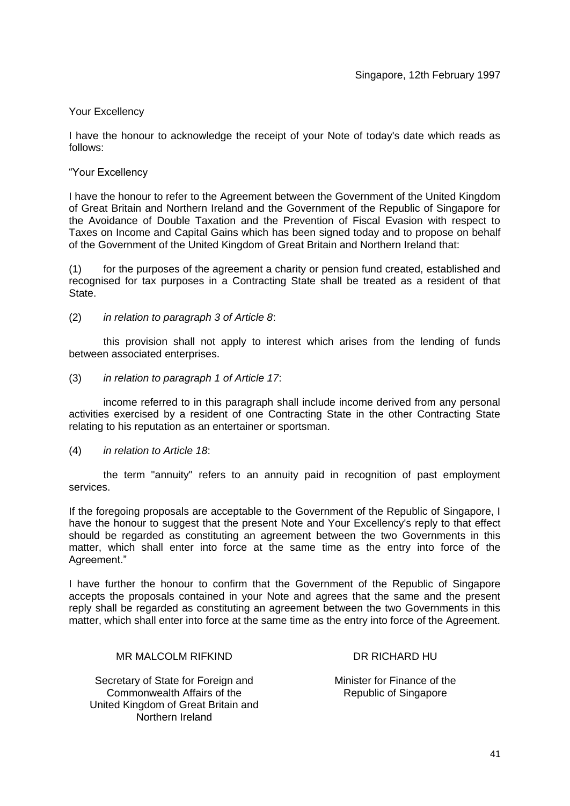#### Your Excellency

I have the honour to acknowledge the receipt of your Note of today's date which reads as follows:

#### "Your Excellency

I have the honour to refer to the Agreement between the Government of the United Kingdom of Great Britain and Northern Ireland and the Government of the Republic of Singapore for the Avoidance of Double Taxation and the Prevention of Fiscal Evasion with respect to Taxes on Income and Capital Gains which has been signed today and to propose on behalf of the Government of the United Kingdom of Great Britain and Northern Ireland that:

(1) for the purposes of the agreement a charity or pension fund created, established and recognised for tax purposes in a Contracting State shall be treated as a resident of that State.

(2) *in relation to paragraph 3 of Article 8*:

this provision shall not apply to interest which arises from the lending of funds between associated enterprises.

(3) *in relation to paragraph 1 of Article 17*:

income referred to in this paragraph shall include income derived from any personal activities exercised by a resident of one Contracting State in the other Contracting State relating to his reputation as an entertainer or sportsman.

#### (4) *in relation to Article 18*:

the term "annuity" refers to an annuity paid in recognition of past employment services.

If the foregoing proposals are acceptable to the Government of the Republic of Singapore, I have the honour to suggest that the present Note and Your Excellency's reply to that effect should be regarded as constituting an agreement between the two Governments in this matter, which shall enter into force at the same time as the entry into force of the Agreement."

I have further the honour to confirm that the Government of the Republic of Singapore accepts the proposals contained in your Note and agrees that the same and the present reply shall be regarded as constituting an agreement between the two Governments in this matter, which shall enter into force at the same time as the entry into force of the Agreement.

#### MR MALCOLM RIFKIND

DR RICHARD HU

Secretary of State for Foreign and Commonwealth Affairs of the United Kingdom of Great Britain and Northern Ireland

Minister for Finance of the Republic of Singapore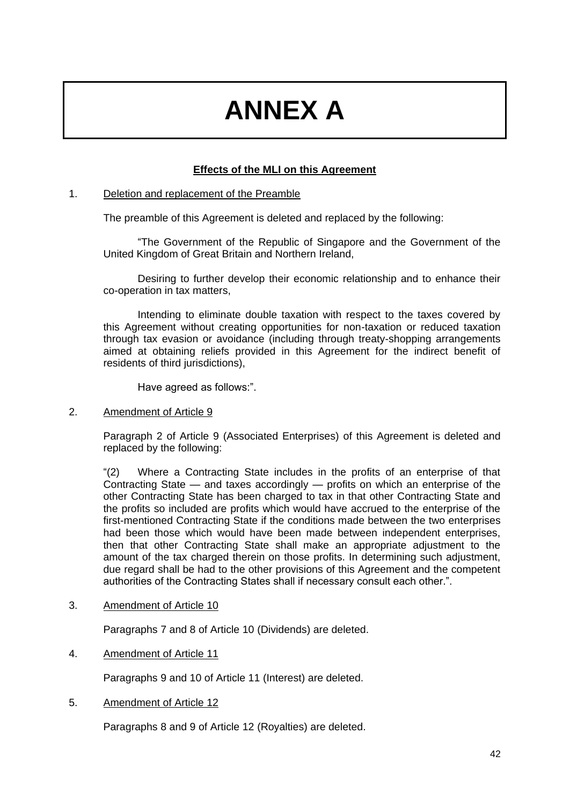# **ANNEX A**

## **Effects of the MLI on this Agreement**

#### 1. Deletion and replacement of the Preamble

The preamble of this Agreement is deleted and replaced by the following:

"The Government of the Republic of Singapore and the Government of the United Kingdom of Great Britain and Northern Ireland,

Desiring to further develop their economic relationship and to enhance their co-operation in tax matters,

Intending to eliminate double taxation with respect to the taxes covered by this Agreement without creating opportunities for non-taxation or reduced taxation through tax evasion or avoidance (including through treaty-shopping arrangements aimed at obtaining reliefs provided in this Agreement for the indirect benefit of residents of third jurisdictions),

Have agreed as follows:".

2. Amendment of Article 9

Paragraph 2 of Article 9 (Associated Enterprises) of this Agreement is deleted and replaced by the following:

"(2) Where a Contracting State includes in the profits of an enterprise of that Contracting State — and taxes accordingly — profits on which an enterprise of the other Contracting State has been charged to tax in that other Contracting State and the profits so included are profits which would have accrued to the enterprise of the first-mentioned Contracting State if the conditions made between the two enterprises had been those which would have been made between independent enterprises, then that other Contracting State shall make an appropriate adjustment to the amount of the tax charged therein on those profits. In determining such adjustment, due regard shall be had to the other provisions of this Agreement and the competent authorities of the Contracting States shall if necessary consult each other.".

3. Amendment of Article 10

Paragraphs 7 and 8 of Article 10 (Dividends) are deleted.

4. Amendment of Article 11

Paragraphs 9 and 10 of Article 11 (Interest) are deleted.

5. Amendment of Article 12

Paragraphs 8 and 9 of Article 12 (Royalties) are deleted.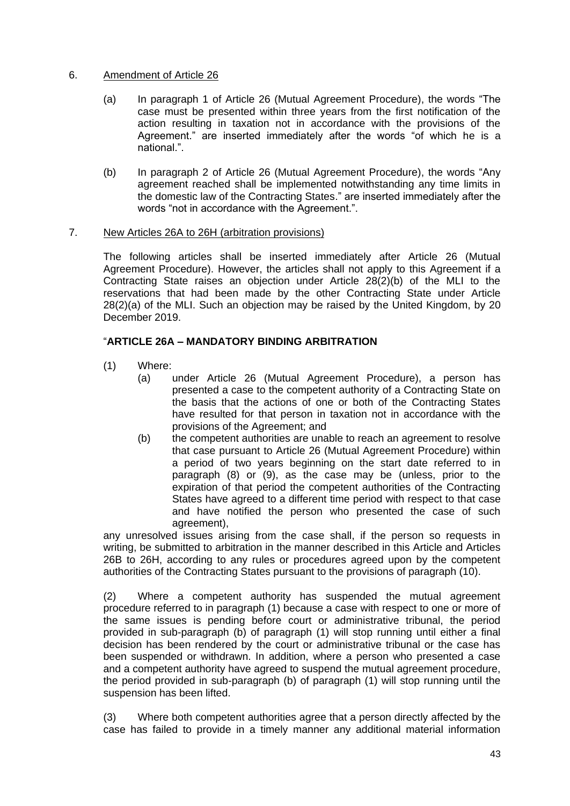## 6. Amendment of Article 26

- (a) In paragraph 1 of Article 26 (Mutual Agreement Procedure), the words "The case must be presented within three years from the first notification of the action resulting in taxation not in accordance with the provisions of the Agreement." are inserted immediately after the words "of which he is a national.".
- (b) In paragraph 2 of Article 26 (Mutual Agreement Procedure), the words "Any agreement reached shall be implemented notwithstanding any time limits in the domestic law of the Contracting States." are inserted immediately after the words "not in accordance with the Agreement.".

#### 7. New Articles 26A to 26H (arbitration provisions)

The following articles shall be inserted immediately after Article 26 (Mutual Agreement Procedure). However, the articles shall not apply to this Agreement if a Contracting State raises an objection under Article 28(2)(b) of the MLI to the reservations that had been made by the other Contracting State under Article 28(2)(a) of the MLI. Such an objection may be raised by the United Kingdom, by 20 December 2019.

## "**ARTICLE 26A – MANDATORY BINDING ARBITRATION**

- (1) Where:
	- (a) under Article 26 (Mutual Agreement Procedure), a person has presented a case to the competent authority of a Contracting State on the basis that the actions of one or both of the Contracting States have resulted for that person in taxation not in accordance with the provisions of the Agreement; and
	- (b) the competent authorities are unable to reach an agreement to resolve that case pursuant to Article 26 (Mutual Agreement Procedure) within a period of two years beginning on the start date referred to in paragraph (8) or (9), as the case may be (unless, prior to the expiration of that period the competent authorities of the Contracting States have agreed to a different time period with respect to that case and have notified the person who presented the case of such agreement),

any unresolved issues arising from the case shall, if the person so requests in writing, be submitted to arbitration in the manner described in this Article and Articles 26B to 26H, according to any rules or procedures agreed upon by the competent authorities of the Contracting States pursuant to the provisions of paragraph (10).

(2) Where a competent authority has suspended the mutual agreement procedure referred to in paragraph (1) because a case with respect to one or more of the same issues is pending before court or administrative tribunal, the period provided in sub-paragraph (b) of paragraph (1) will stop running until either a final decision has been rendered by the court or administrative tribunal or the case has been suspended or withdrawn. In addition, where a person who presented a case and a competent authority have agreed to suspend the mutual agreement procedure, the period provided in sub-paragraph (b) of paragraph (1) will stop running until the suspension has been lifted.

(3) Where both competent authorities agree that a person directly affected by the case has failed to provide in a timely manner any additional material information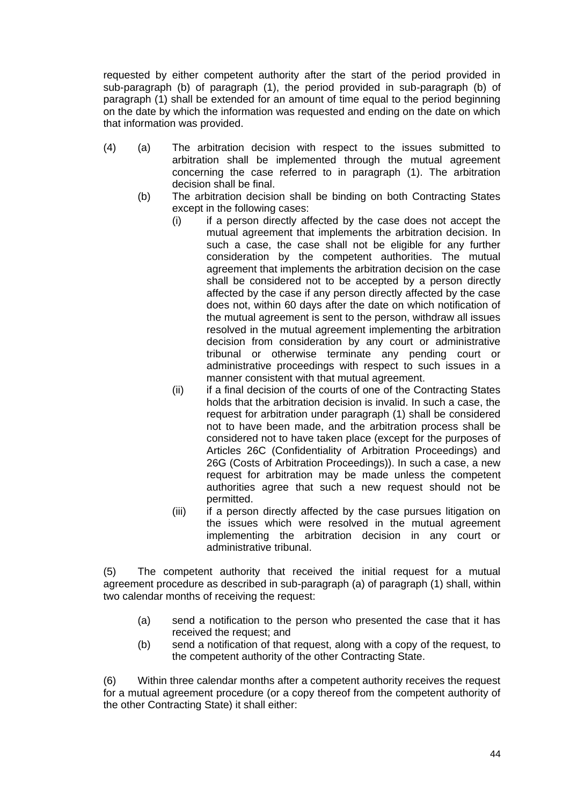requested by either competent authority after the start of the period provided in sub-paragraph (b) of paragraph (1), the period provided in sub-paragraph (b) of paragraph (1) shall be extended for an amount of time equal to the period beginning on the date by which the information was requested and ending on the date on which that information was provided.

- (4) (a) The arbitration decision with respect to the issues submitted to arbitration shall be implemented through the mutual agreement concerning the case referred to in paragraph (1). The arbitration decision shall be final.
	- (b) The arbitration decision shall be binding on both Contracting States except in the following cases:
		- (i) if a person directly affected by the case does not accept the mutual agreement that implements the arbitration decision. In such a case, the case shall not be eligible for any further consideration by the competent authorities. The mutual agreement that implements the arbitration decision on the case shall be considered not to be accepted by a person directly affected by the case if any person directly affected by the case does not, within 60 days after the date on which notification of the mutual agreement is sent to the person, withdraw all issues resolved in the mutual agreement implementing the arbitration decision from consideration by any court or administrative tribunal or otherwise terminate any pending court or administrative proceedings with respect to such issues in a manner consistent with that mutual agreement.
		- (ii) if a final decision of the courts of one of the Contracting States holds that the arbitration decision is invalid. In such a case, the request for arbitration under paragraph (1) shall be considered not to have been made, and the arbitration process shall be considered not to have taken place (except for the purposes of Articles 26C (Confidentiality of Arbitration Proceedings) and 26G (Costs of Arbitration Proceedings)). In such a case, a new request for arbitration may be made unless the competent authorities agree that such a new request should not be permitted.
		- (iii) if a person directly affected by the case pursues litigation on the issues which were resolved in the mutual agreement implementing the arbitration decision in any court or administrative tribunal.

(5) The competent authority that received the initial request for a mutual agreement procedure as described in sub-paragraph (a) of paragraph (1) shall, within two calendar months of receiving the request:

- (a) send a notification to the person who presented the case that it has received the request; and
- (b) send a notification of that request, along with a copy of the request, to the competent authority of the other Contracting State.

(6) Within three calendar months after a competent authority receives the request for a mutual agreement procedure (or a copy thereof from the competent authority of the other Contracting State) it shall either: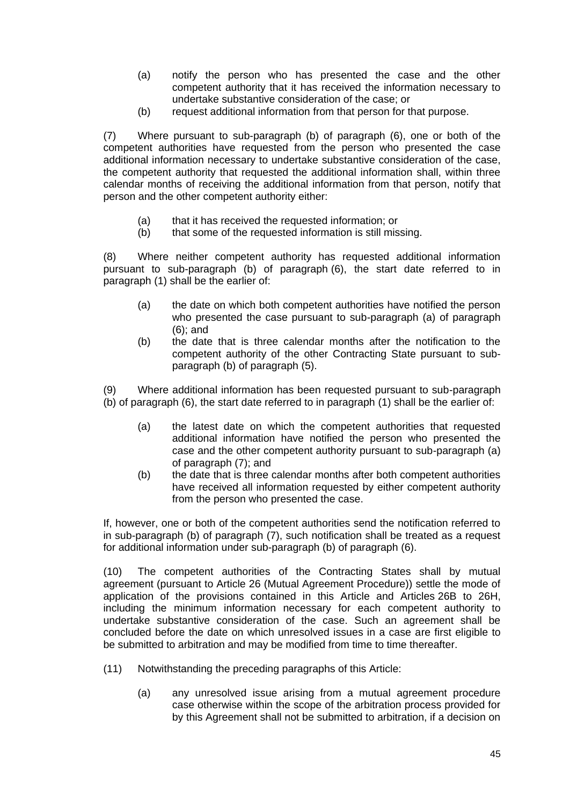- (a) notify the person who has presented the case and the other competent authority that it has received the information necessary to undertake substantive consideration of the case; or
- (b) request additional information from that person for that purpose.

(7) Where pursuant to sub-paragraph (b) of paragraph (6), one or both of the competent authorities have requested from the person who presented the case additional information necessary to undertake substantive consideration of the case, the competent authority that requested the additional information shall, within three calendar months of receiving the additional information from that person, notify that person and the other competent authority either:

- (a) that it has received the requested information; or
- (b) that some of the requested information is still missing.

(8) Where neither competent authority has requested additional information pursuant to sub-paragraph (b) of paragraph (6), the start date referred to in paragraph (1) shall be the earlier of:

- (a) the date on which both competent authorities have notified the person who presented the case pursuant to sub-paragraph (a) of paragraph (6); and
- (b) the date that is three calendar months after the notification to the competent authority of the other Contracting State pursuant to subparagraph (b) of paragraph (5).

(9) Where additional information has been requested pursuant to sub-paragraph (b) of paragraph (6), the start date referred to in paragraph (1) shall be the earlier of:

- (a) the latest date on which the competent authorities that requested additional information have notified the person who presented the case and the other competent authority pursuant to sub-paragraph (a) of paragraph (7); and
- (b) the date that is three calendar months after both competent authorities have received all information requested by either competent authority from the person who presented the case.

If, however, one or both of the competent authorities send the notification referred to in sub-paragraph (b) of paragraph (7), such notification shall be treated as a request for additional information under sub-paragraph (b) of paragraph (6).

(10) The competent authorities of the Contracting States shall by mutual agreement (pursuant to Article 26 (Mutual Agreement Procedure)) settle the mode of application of the provisions contained in this Article and Articles 26B to 26H, including the minimum information necessary for each competent authority to undertake substantive consideration of the case. Such an agreement shall be concluded before the date on which unresolved issues in a case are first eligible to be submitted to arbitration and may be modified from time to time thereafter.

- (11) Notwithstanding the preceding paragraphs of this Article:
	- (a) any unresolved issue arising from a mutual agreement procedure case otherwise within the scope of the arbitration process provided for by this Agreement shall not be submitted to arbitration, if a decision on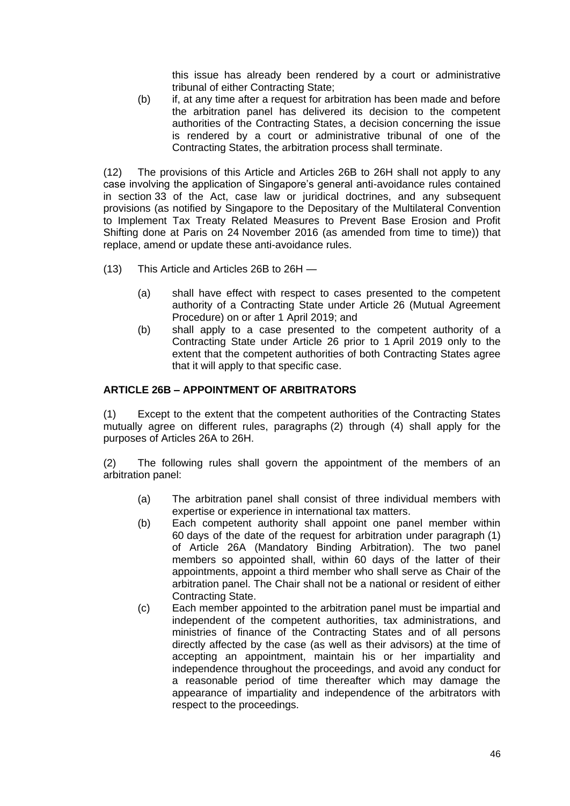this issue has already been rendered by a court or administrative tribunal of either Contracting State;

(b) if, at any time after a request for arbitration has been made and before the arbitration panel has delivered its decision to the competent authorities of the Contracting States, a decision concerning the issue is rendered by a court or administrative tribunal of one of the Contracting States, the arbitration process shall terminate.

(12) The provisions of this Article and Articles 26B to 26H shall not apply to any case involving the application of Singapore's general anti-avoidance rules contained in section 33 of the Act, case law or juridical doctrines, and any subsequent provisions (as notified by Singapore to the Depositary of the Multilateral Convention to Implement Tax Treaty Related Measures to Prevent Base Erosion and Profit Shifting done at Paris on 24 November 2016 (as amended from time to time)) that replace, amend or update these anti-avoidance rules.

- (13) This Article and Articles 26B to 26H
	- (a) shall have effect with respect to cases presented to the competent authority of a Contracting State under Article 26 (Mutual Agreement Procedure) on or after 1 April 2019; and
	- (b) shall apply to a case presented to the competent authority of a Contracting State under Article 26 prior to 1 April 2019 only to the extent that the competent authorities of both Contracting States agree that it will apply to that specific case.

## **ARTICLE 26B – APPOINTMENT OF ARBITRATORS**

(1) Except to the extent that the competent authorities of the Contracting States mutually agree on different rules, paragraphs (2) through (4) shall apply for the purposes of Articles 26A to 26H.

(2) The following rules shall govern the appointment of the members of an arbitration panel:

- (a) The arbitration panel shall consist of three individual members with expertise or experience in international tax matters.
- (b) Each competent authority shall appoint one panel member within 60 days of the date of the request for arbitration under paragraph (1) of Article 26A (Mandatory Binding Arbitration). The two panel members so appointed shall, within 60 days of the latter of their appointments, appoint a third member who shall serve as Chair of the arbitration panel. The Chair shall not be a national or resident of either Contracting State.
- (c) Each member appointed to the arbitration panel must be impartial and independent of the competent authorities, tax administrations, and ministries of finance of the Contracting States and of all persons directly affected by the case (as well as their advisors) at the time of accepting an appointment, maintain his or her impartiality and independence throughout the proceedings, and avoid any conduct for a reasonable period of time thereafter which may damage the appearance of impartiality and independence of the arbitrators with respect to the proceedings.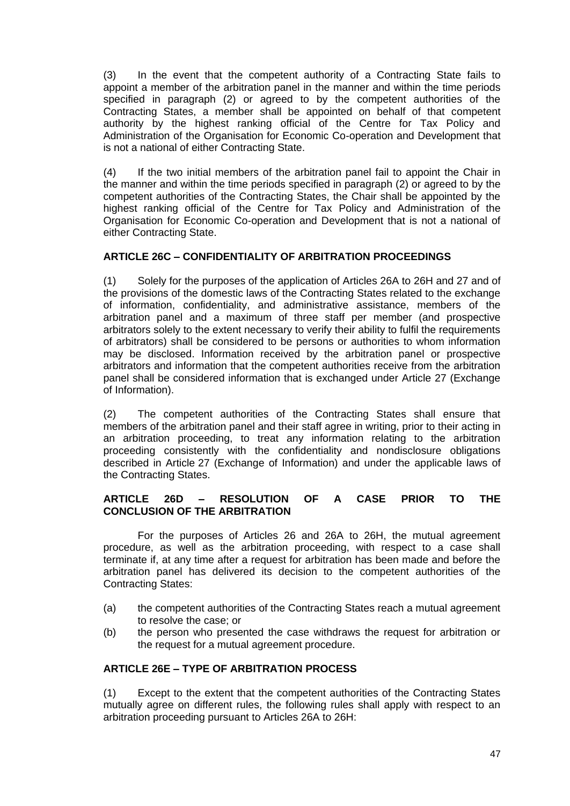(3) In the event that the competent authority of a Contracting State fails to appoint a member of the arbitration panel in the manner and within the time periods specified in paragraph (2) or agreed to by the competent authorities of the Contracting States, a member shall be appointed on behalf of that competent authority by the highest ranking official of the Centre for Tax Policy and Administration of the Organisation for Economic Co-operation and Development that is not a national of either Contracting State.

(4) If the two initial members of the arbitration panel fail to appoint the Chair in the manner and within the time periods specified in paragraph (2) or agreed to by the competent authorities of the Contracting States, the Chair shall be appointed by the highest ranking official of the Centre for Tax Policy and Administration of the Organisation for Economic Co-operation and Development that is not a national of either Contracting State.

# **ARTICLE 26C – CONFIDENTIALITY OF ARBITRATION PROCEEDINGS**

(1) Solely for the purposes of the application of Articles 26A to 26H and 27 and of the provisions of the domestic laws of the Contracting States related to the exchange of information, confidentiality, and administrative assistance, members of the arbitration panel and a maximum of three staff per member (and prospective arbitrators solely to the extent necessary to verify their ability to fulfil the requirements of arbitrators) shall be considered to be persons or authorities to whom information may be disclosed. Information received by the arbitration panel or prospective arbitrators and information that the competent authorities receive from the arbitration panel shall be considered information that is exchanged under Article 27 (Exchange of Information).

(2) The competent authorities of the Contracting States shall ensure that members of the arbitration panel and their staff agree in writing, prior to their acting in an arbitration proceeding, to treat any information relating to the arbitration proceeding consistently with the confidentiality and nondisclosure obligations described in Article 27 (Exchange of Information) and under the applicable laws of the Contracting States.

## **ARTICLE 26D – RESOLUTION OF A CASE PRIOR TO THE CONCLUSION OF THE ARBITRATION**

For the purposes of Articles 26 and 26A to 26H, the mutual agreement procedure, as well as the arbitration proceeding, with respect to a case shall terminate if, at any time after a request for arbitration has been made and before the arbitration panel has delivered its decision to the competent authorities of the Contracting States:

- (a) the competent authorities of the Contracting States reach a mutual agreement to resolve the case; or
- (b) the person who presented the case withdraws the request for arbitration or the request for a mutual agreement procedure.

## **ARTICLE 26E – TYPE OF ARBITRATION PROCESS**

(1) Except to the extent that the competent authorities of the Contracting States mutually agree on different rules, the following rules shall apply with respect to an arbitration proceeding pursuant to Articles 26A to 26H: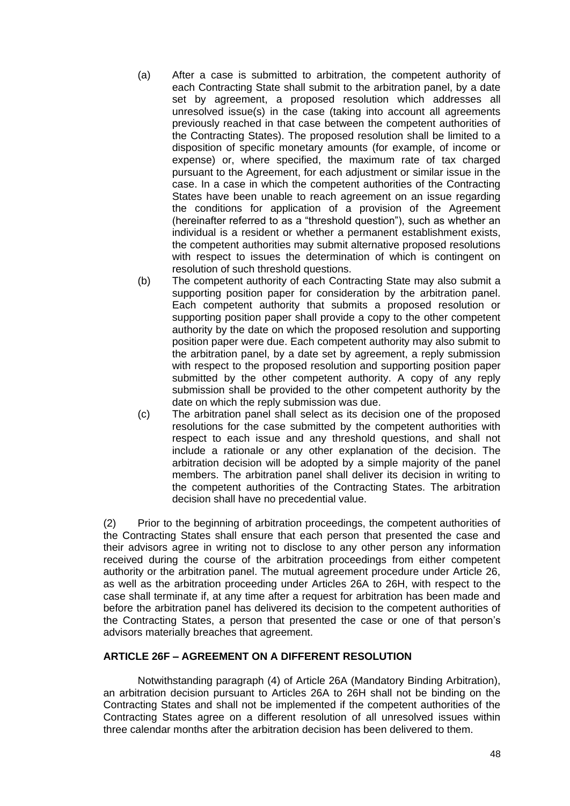- (a) After a case is submitted to arbitration, the competent authority of each Contracting State shall submit to the arbitration panel, by a date set by agreement, a proposed resolution which addresses all unresolved issue(s) in the case (taking into account all agreements previously reached in that case between the competent authorities of the Contracting States). The proposed resolution shall be limited to a disposition of specific monetary amounts (for example, of income or expense) or, where specified, the maximum rate of tax charged pursuant to the Agreement, for each adjustment or similar issue in the case. In a case in which the competent authorities of the Contracting States have been unable to reach agreement on an issue regarding the conditions for application of a provision of the Agreement (hereinafter referred to as a "threshold question"), such as whether an individual is a resident or whether a permanent establishment exists, the competent authorities may submit alternative proposed resolutions with respect to issues the determination of which is contingent on resolution of such threshold questions.
- (b) The competent authority of each Contracting State may also submit a supporting position paper for consideration by the arbitration panel. Each competent authority that submits a proposed resolution or supporting position paper shall provide a copy to the other competent authority by the date on which the proposed resolution and supporting position paper were due. Each competent authority may also submit to the arbitration panel, by a date set by agreement, a reply submission with respect to the proposed resolution and supporting position paper submitted by the other competent authority. A copy of any reply submission shall be provided to the other competent authority by the date on which the reply submission was due.
- (c) The arbitration panel shall select as its decision one of the proposed resolutions for the case submitted by the competent authorities with respect to each issue and any threshold questions, and shall not include a rationale or any other explanation of the decision. The arbitration decision will be adopted by a simple majority of the panel members. The arbitration panel shall deliver its decision in writing to the competent authorities of the Contracting States. The arbitration decision shall have no precedential value.

(2) Prior to the beginning of arbitration proceedings, the competent authorities of the Contracting States shall ensure that each person that presented the case and their advisors agree in writing not to disclose to any other person any information received during the course of the arbitration proceedings from either competent authority or the arbitration panel. The mutual agreement procedure under Article 26, as well as the arbitration proceeding under Articles 26A to 26H, with respect to the case shall terminate if, at any time after a request for arbitration has been made and before the arbitration panel has delivered its decision to the competent authorities of the Contracting States, a person that presented the case or one of that person's advisors materially breaches that agreement.

## **ARTICLE 26F – AGREEMENT ON A DIFFERENT RESOLUTION**

Notwithstanding paragraph (4) of Article 26A (Mandatory Binding Arbitration), an arbitration decision pursuant to Articles 26A to 26H shall not be binding on the Contracting States and shall not be implemented if the competent authorities of the Contracting States agree on a different resolution of all unresolved issues within three calendar months after the arbitration decision has been delivered to them.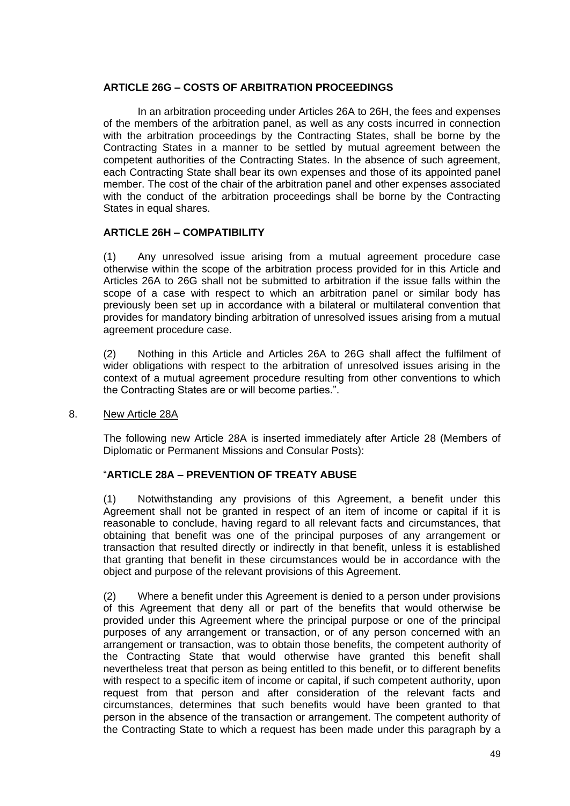## **ARTICLE 26G – COSTS OF ARBITRATION PROCEEDINGS**

In an arbitration proceeding under Articles 26A to 26H, the fees and expenses of the members of the arbitration panel, as well as any costs incurred in connection with the arbitration proceedings by the Contracting States, shall be borne by the Contracting States in a manner to be settled by mutual agreement between the competent authorities of the Contracting States. In the absence of such agreement, each Contracting State shall bear its own expenses and those of its appointed panel member. The cost of the chair of the arbitration panel and other expenses associated with the conduct of the arbitration proceedings shall be borne by the Contracting States in equal shares.

## **ARTICLE 26H – COMPATIBILITY**

(1) Any unresolved issue arising from a mutual agreement procedure case otherwise within the scope of the arbitration process provided for in this Article and Articles 26A to 26G shall not be submitted to arbitration if the issue falls within the scope of a case with respect to which an arbitration panel or similar body has previously been set up in accordance with a bilateral or multilateral convention that provides for mandatory binding arbitration of unresolved issues arising from a mutual agreement procedure case.

(2) Nothing in this Article and Articles 26A to 26G shall affect the fulfilment of wider obligations with respect to the arbitration of unresolved issues arising in the context of a mutual agreement procedure resulting from other conventions to which the Contracting States are or will become parties.".

8. New Article 28A

The following new Article 28A is inserted immediately after Article 28 (Members of Diplomatic or Permanent Missions and Consular Posts):

## "**ARTICLE 28A – PREVENTION OF TREATY ABUSE**

(1) Notwithstanding any provisions of this Agreement, a benefit under this Agreement shall not be granted in respect of an item of income or capital if it is reasonable to conclude, having regard to all relevant facts and circumstances, that obtaining that benefit was one of the principal purposes of any arrangement or transaction that resulted directly or indirectly in that benefit, unless it is established that granting that benefit in these circumstances would be in accordance with the object and purpose of the relevant provisions of this Agreement.

(2) Where a benefit under this Agreement is denied to a person under provisions of this Agreement that deny all or part of the benefits that would otherwise be provided under this Agreement where the principal purpose or one of the principal purposes of any arrangement or transaction, or of any person concerned with an arrangement or transaction, was to obtain those benefits, the competent authority of the Contracting State that would otherwise have granted this benefit shall nevertheless treat that person as being entitled to this benefit, or to different benefits with respect to a specific item of income or capital, if such competent authority, upon request from that person and after consideration of the relevant facts and circumstances, determines that such benefits would have been granted to that person in the absence of the transaction or arrangement. The competent authority of the Contracting State to which a request has been made under this paragraph by a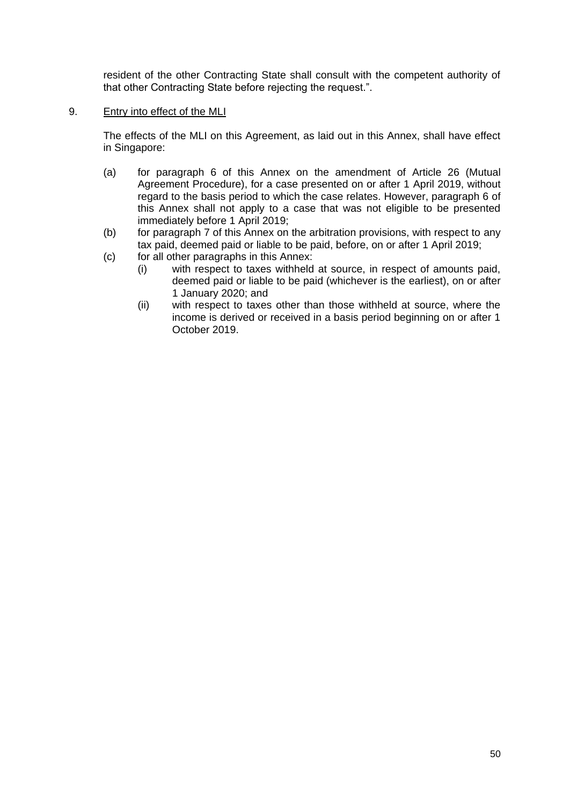resident of the other Contracting State shall consult with the competent authority of that other Contracting State before rejecting the request.".

#### 9. Entry into effect of the MLI

The effects of the MLI on this Agreement, as laid out in this Annex, shall have effect in Singapore:

- (a) for paragraph 6 of this Annex on the amendment of Article 26 (Mutual Agreement Procedure), for a case presented on or after 1 April 2019, without regard to the basis period to which the case relates. However, paragraph 6 of this Annex shall not apply to a case that was not eligible to be presented immediately before 1 April 2019;
- (b) for paragraph 7 of this Annex on the arbitration provisions, with respect to any tax paid, deemed paid or liable to be paid, before, on or after 1 April 2019;
- (c) for all other paragraphs in this Annex:
	- (i) with respect to taxes withheld at source, in respect of amounts paid, deemed paid or liable to be paid (whichever is the earliest), on or after 1 January 2020; and
	- (ii) with respect to taxes other than those withheld at source, where the income is derived or received in a basis period beginning on or after 1 October 2019.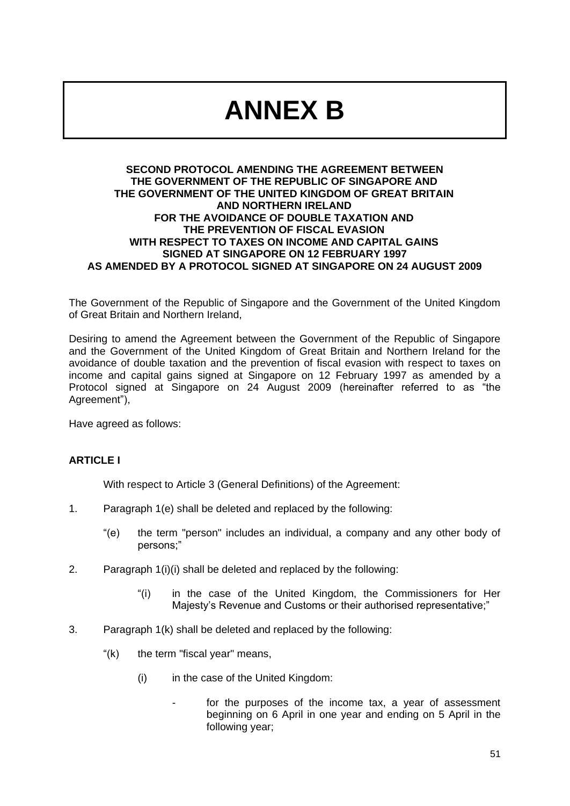# **ANNEX B**

#### **SECOND PROTOCOL AMENDING THE AGREEMENT BETWEEN THE GOVERNMENT OF THE REPUBLIC OF SINGAPORE AND THE GOVERNMENT OF THE UNITED KINGDOM OF GREAT BRITAIN AND NORTHERN IRELAND FOR THE AVOIDANCE OF DOUBLE TAXATION AND THE PREVENTION OF FISCAL EVASION WITH RESPECT TO TAXES ON INCOME AND CAPITAL GAINS SIGNED AT SINGAPORE ON 12 FEBRUARY 1997 AS AMENDED BY A PROTOCOL SIGNED AT SINGAPORE ON 24 AUGUST 2009**

The Government of the Republic of Singapore and the Government of the United Kingdom of Great Britain and Northern Ireland,

Desiring to amend the Agreement between the Government of the Republic of Singapore and the Government of the United Kingdom of Great Britain and Northern Ireland for the avoidance of double taxation and the prevention of fiscal evasion with respect to taxes on income and capital gains signed at Singapore on 12 February 1997 as amended by a Protocol signed at Singapore on 24 August 2009 (hereinafter referred to as "the Agreement"),

Have agreed as follows:

## **ARTICLE I**

With respect to Article 3 (General Definitions) of the Agreement:

- 1. Paragraph 1(e) shall be deleted and replaced by the following:
	- "(e) the term "person" includes an individual, a company and any other body of persons;"
- 2. Paragraph 1(i)(i) shall be deleted and replaced by the following:
	- "(i) in the case of the United Kingdom, the Commissioners for Her Majesty's Revenue and Customs or their authorised representative;"
- 3. Paragraph 1(k) shall be deleted and replaced by the following:
	- "(k) the term "fiscal year" means,
		- (i) in the case of the United Kingdom:
			- for the purposes of the income tax, a year of assessment beginning on 6 April in one year and ending on 5 April in the following year;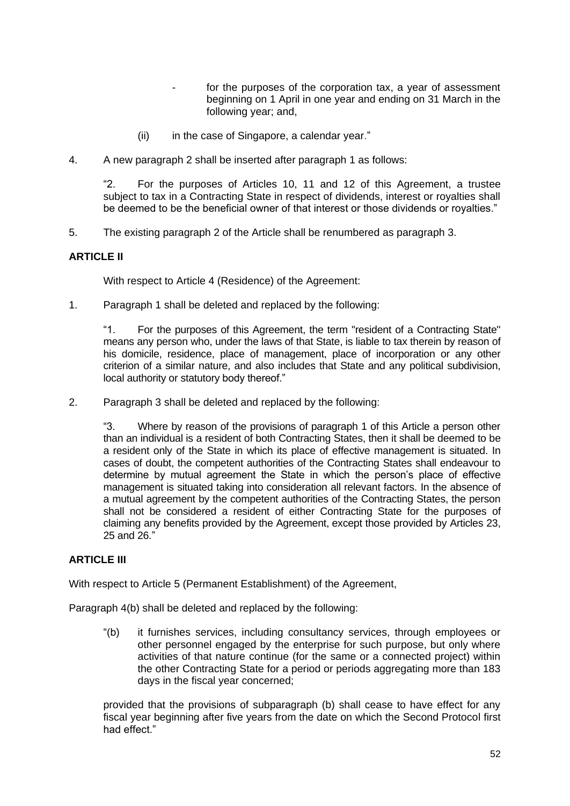- for the purposes of the corporation tax, a year of assessment beginning on 1 April in one year and ending on 31 March in the following year; and,
- $(ii)$  in the case of Singapore, a calendar year."
- 4. A new paragraph 2 shall be inserted after paragraph 1 as follows:

"2. For the purposes of Articles 10, 11 and 12 of this Agreement, a trustee subject to tax in a Contracting State in respect of dividends, interest or royalties shall be deemed to be the beneficial owner of that interest or those dividends or royalties."

5. The existing paragraph 2 of the Article shall be renumbered as paragraph 3.

## **ARTICLE II**

With respect to Article 4 (Residence) of the Agreement:

1. Paragraph 1 shall be deleted and replaced by the following:

"1. For the purposes of this Agreement, the term "resident of a Contracting State" means any person who, under the laws of that State, is liable to tax therein by reason of his domicile, residence, place of management, place of incorporation or any other criterion of a similar nature, and also includes that State and any political subdivision, local authority or statutory body thereof."

2. Paragraph 3 shall be deleted and replaced by the following:

"3. Where by reason of the provisions of paragraph 1 of this Article a person other than an individual is a resident of both Contracting States, then it shall be deemed to be a resident only of the State in which its place of effective management is situated. In cases of doubt, the competent authorities of the Contracting States shall endeavour to determine by mutual agreement the State in which the person's place of effective management is situated taking into consideration all relevant factors. In the absence of a mutual agreement by the competent authorities of the Contracting States, the person shall not be considered a resident of either Contracting State for the purposes of claiming any benefits provided by the Agreement, except those provided by Articles 23, 25 and 26."

## **ARTICLE III**

With respect to Article 5 (Permanent Establishment) of the Agreement,

Paragraph 4(b) shall be deleted and replaced by the following:

"(b) it furnishes services, including consultancy services, through employees or other personnel engaged by the enterprise for such purpose, but only where activities of that nature continue (for the same or a connected project) within the other Contracting State for a period or periods aggregating more than 183 days in the fiscal year concerned;

provided that the provisions of subparagraph (b) shall cease to have effect for any fiscal year beginning after five years from the date on which the Second Protocol first had effect."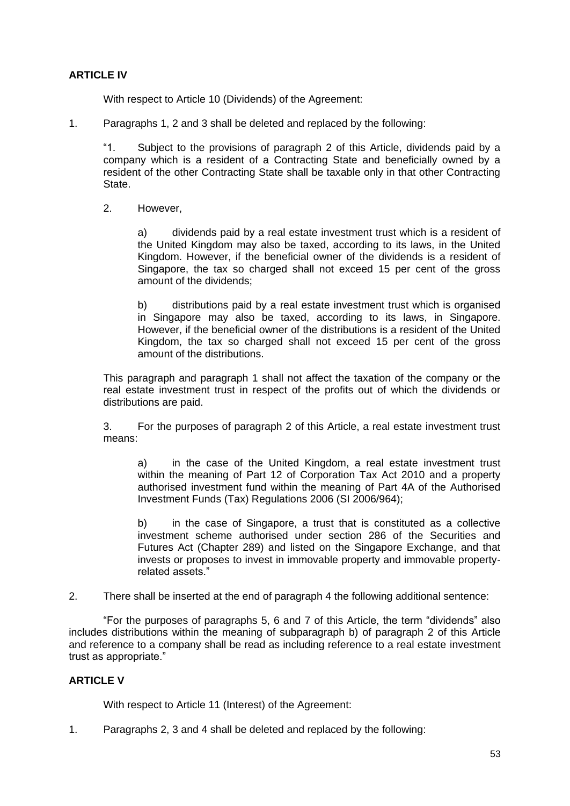# **ARTICLE IV**

With respect to Article 10 (Dividends) of the Agreement:

1. Paragraphs 1, 2 and 3 shall be deleted and replaced by the following:

"1. Subject to the provisions of paragraph 2 of this Article, dividends paid by a company which is a resident of a Contracting State and beneficially owned by a resident of the other Contracting State shall be taxable only in that other Contracting State.

2. However,

a) dividends paid by a real estate investment trust which is a resident of the United Kingdom may also be taxed, according to its laws, in the United Kingdom. However, if the beneficial owner of the dividends is a resident of Singapore, the tax so charged shall not exceed 15 per cent of the gross amount of the dividends;

b) distributions paid by a real estate investment trust which is organised in Singapore may also be taxed, according to its laws, in Singapore. However, if the beneficial owner of the distributions is a resident of the United Kingdom, the tax so charged shall not exceed 15 per cent of the gross amount of the distributions.

This paragraph and paragraph 1 shall not affect the taxation of the company or the real estate investment trust in respect of the profits out of which the dividends or distributions are paid.

3. For the purposes of paragraph 2 of this Article, a real estate investment trust means:

a) in the case of the United Kingdom, a real estate investment trust within the meaning of Part 12 of Corporation Tax Act 2010 and a property authorised investment fund within the meaning of Part 4A of the Authorised Investment Funds (Tax) Regulations 2006 (SI 2006/964);

b) in the case of Singapore, a trust that is constituted as a collective investment scheme authorised under section 286 of the Securities and Futures Act (Chapter 289) and listed on the Singapore Exchange, and that invests or proposes to invest in immovable property and immovable propertyrelated assets."

2. There shall be inserted at the end of paragraph 4 the following additional sentence:

"For the purposes of paragraphs 5, 6 and 7 of this Article, the term "dividends" also includes distributions within the meaning of subparagraph b) of paragraph 2 of this Article and reference to a company shall be read as including reference to a real estate investment trust as appropriate."

## **ARTICLE V**

With respect to Article 11 (Interest) of the Agreement:

1. Paragraphs 2, 3 and 4 shall be deleted and replaced by the following: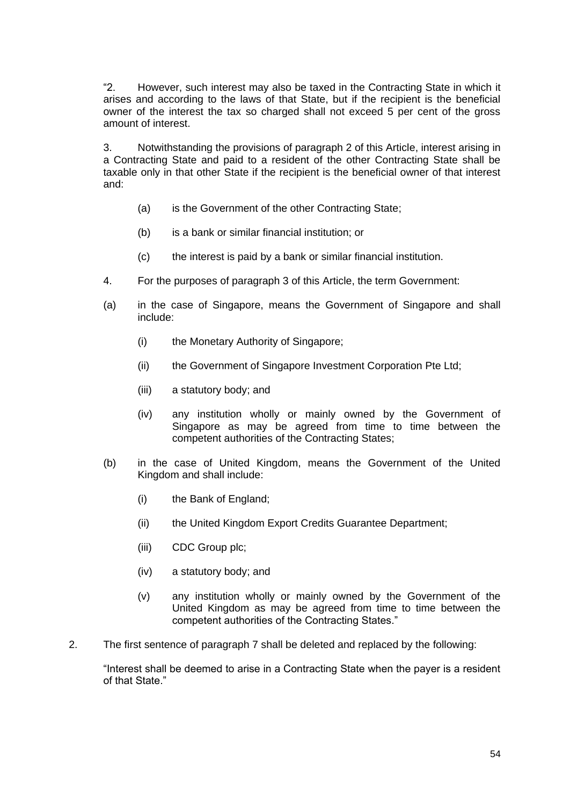"2. However, such interest may also be taxed in the Contracting State in which it arises and according to the laws of that State, but if the recipient is the beneficial owner of the interest the tax so charged shall not exceed 5 per cent of the gross amount of interest.

3. Notwithstanding the provisions of paragraph 2 of this Article, interest arising in a Contracting State and paid to a resident of the other Contracting State shall be taxable only in that other State if the recipient is the beneficial owner of that interest and:

- (a) is the Government of the other Contracting State;
- (b) is a bank or similar financial institution; or
- (c) the interest is paid by a bank or similar financial institution.
- 4. For the purposes of paragraph 3 of this Article, the term Government:
- (a) in the case of Singapore, means the Government of Singapore and shall include:
	- (i) the Monetary Authority of Singapore;
	- (ii) the Government of Singapore Investment Corporation Pte Ltd;
	- (iii) a statutory body; and
	- (iv) any institution wholly or mainly owned by the Government of Singapore as may be agreed from time to time between the competent authorities of the Contracting States;
- (b) in the case of United Kingdom, means the Government of the United Kingdom and shall include:
	- (i) the Bank of England;
	- (ii) the United Kingdom Export Credits Guarantee Department;
	- (iii) CDC Group plc;
	- (iv) a statutory body; and
	- (v) any institution wholly or mainly owned by the Government of the United Kingdom as may be agreed from time to time between the competent authorities of the Contracting States."
- 2. The first sentence of paragraph 7 shall be deleted and replaced by the following:

"Interest shall be deemed to arise in a Contracting State when the payer is a resident of that State."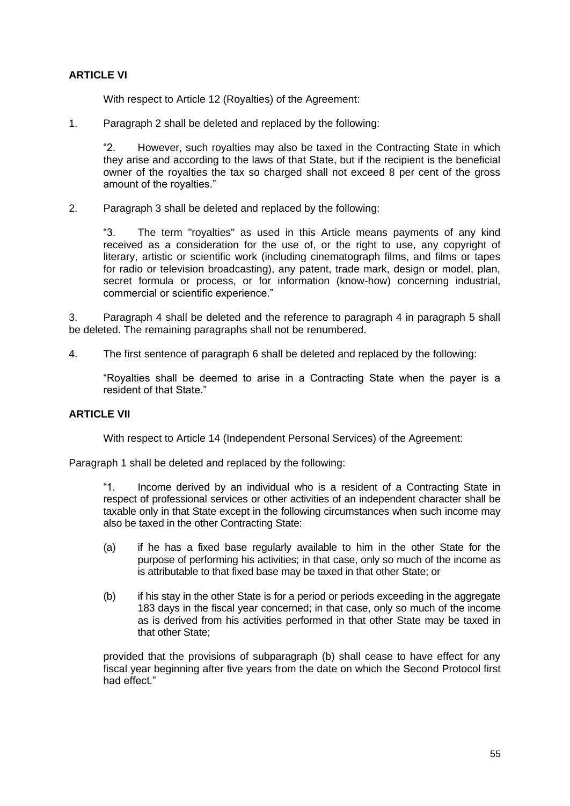# **ARTICLE VI**

With respect to Article 12 (Royalties) of the Agreement:

1. Paragraph 2 shall be deleted and replaced by the following:

"2. However, such royalties may also be taxed in the Contracting State in which they arise and according to the laws of that State, but if the recipient is the beneficial owner of the royalties the tax so charged shall not exceed 8 per cent of the gross amount of the royalties."

2. Paragraph 3 shall be deleted and replaced by the following:

"3. The term "royalties" as used in this Article means payments of any kind received as a consideration for the use of, or the right to use, any copyright of literary, artistic or scientific work (including cinematograph films, and films or tapes for radio or television broadcasting), any patent, trade mark, design or model, plan, secret formula or process, or for information (know-how) concerning industrial, commercial or scientific experience."

3. Paragraph 4 shall be deleted and the reference to paragraph 4 in paragraph 5 shall be deleted. The remaining paragraphs shall not be renumbered.

4. The first sentence of paragraph 6 shall be deleted and replaced by the following:

"Royalties shall be deemed to arise in a Contracting State when the payer is a resident of that State."

# **ARTICLE VII**

With respect to Article 14 (Independent Personal Services) of the Agreement:

Paragraph 1 shall be deleted and replaced by the following:

"1. Income derived by an individual who is a resident of a Contracting State in respect of professional services or other activities of an independent character shall be taxable only in that State except in the following circumstances when such income may also be taxed in the other Contracting State:

- (a) if he has a fixed base regularly available to him in the other State for the purpose of performing his activities; in that case, only so much of the income as is attributable to that fixed base may be taxed in that other State; or
- (b) if his stay in the other State is for a period or periods exceeding in the aggregate 183 days in the fiscal year concerned; in that case, only so much of the income as is derived from his activities performed in that other State may be taxed in that other State;

provided that the provisions of subparagraph (b) shall cease to have effect for any fiscal year beginning after five years from the date on which the Second Protocol first had effect."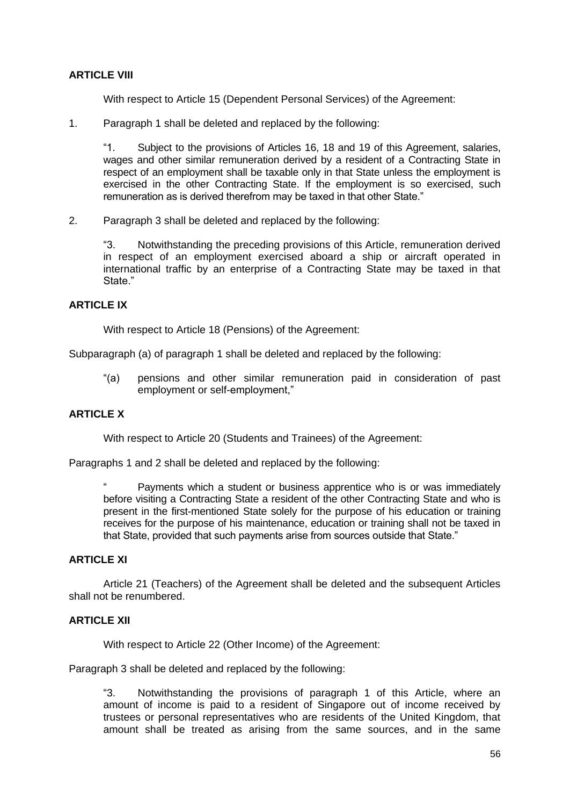## **ARTICLE VIII**

With respect to Article 15 (Dependent Personal Services) of the Agreement:

1. Paragraph 1 shall be deleted and replaced by the following:

"1. Subject to the provisions of Articles 16, 18 and 19 of this Agreement, salaries, wages and other similar remuneration derived by a resident of a Contracting State in respect of an employment shall be taxable only in that State unless the employment is exercised in the other Contracting State. If the employment is so exercised, such remuneration as is derived therefrom may be taxed in that other State."

2. Paragraph 3 shall be deleted and replaced by the following:

"3. Notwithstanding the preceding provisions of this Article, remuneration derived in respect of an employment exercised aboard a ship or aircraft operated in international traffic by an enterprise of a Contracting State may be taxed in that State."

#### **ARTICLE IX**

With respect to Article 18 (Pensions) of the Agreement:

Subparagraph (a) of paragraph 1 shall be deleted and replaced by the following:

"(a) pensions and other similar remuneration paid in consideration of past employment or self-employment,"

## **ARTICLE X**

With respect to Article 20 (Students and Trainees) of the Agreement:

Paragraphs 1 and 2 shall be deleted and replaced by the following:

Payments which a student or business apprentice who is or was immediately before visiting a Contracting State a resident of the other Contracting State and who is present in the first-mentioned State solely for the purpose of his education or training receives for the purpose of his maintenance, education or training shall not be taxed in that State, provided that such payments arise from sources outside that State."

#### **ARTICLE XI**

Article 21 (Teachers) of the Agreement shall be deleted and the subsequent Articles shall not be renumbered.

#### **ARTICLE XII**

With respect to Article 22 (Other Income) of the Agreement:

Paragraph 3 shall be deleted and replaced by the following:

"3. Notwithstanding the provisions of paragraph 1 of this Article, where an amount of income is paid to a resident of Singapore out of income received by trustees or personal representatives who are residents of the United Kingdom, that amount shall be treated as arising from the same sources, and in the same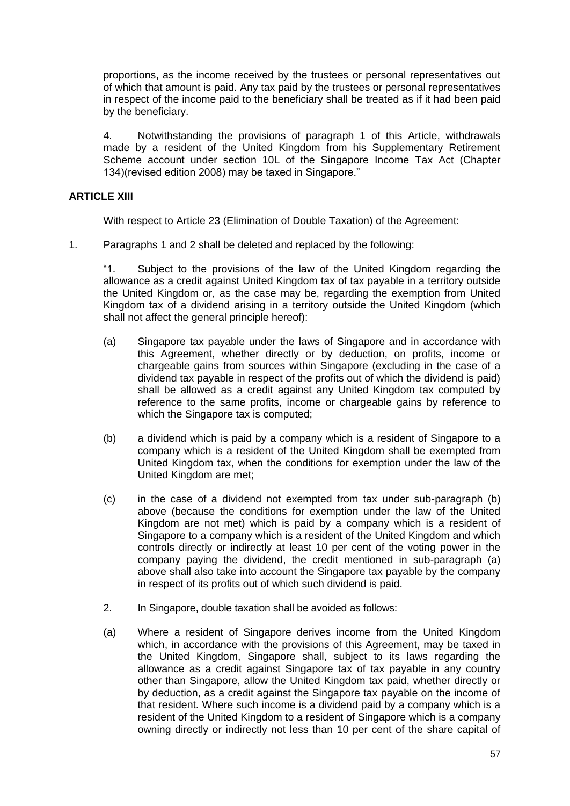proportions, as the income received by the trustees or personal representatives out of which that amount is paid. Any tax paid by the trustees or personal representatives in respect of the income paid to the beneficiary shall be treated as if it had been paid by the beneficiary.

4. Notwithstanding the provisions of paragraph 1 of this Article, withdrawals made by a resident of the United Kingdom from his Supplementary Retirement Scheme account under section 10L of the Singapore Income Tax Act (Chapter 134)(revised edition 2008) may be taxed in Singapore."

# **ARTICLE XIII**

With respect to Article 23 (Elimination of Double Taxation) of the Agreement:

1. Paragraphs 1 and 2 shall be deleted and replaced by the following:

"1. Subject to the provisions of the law of the United Kingdom regarding the allowance as a credit against United Kingdom tax of tax payable in a territory outside the United Kingdom or, as the case may be, regarding the exemption from United Kingdom tax of a dividend arising in a territory outside the United Kingdom (which shall not affect the general principle hereof):

- (a) Singapore tax payable under the laws of Singapore and in accordance with this Agreement, whether directly or by deduction, on profits, income or chargeable gains from sources within Singapore (excluding in the case of a dividend tax payable in respect of the profits out of which the dividend is paid) shall be allowed as a credit against any United Kingdom tax computed by reference to the same profits, income or chargeable gains by reference to which the Singapore tax is computed;
- (b) a dividend which is paid by a company which is a resident of Singapore to a company which is a resident of the United Kingdom shall be exempted from United Kingdom tax, when the conditions for exemption under the law of the United Kingdom are met;
- (c) in the case of a dividend not exempted from tax under sub-paragraph (b) above (because the conditions for exemption under the law of the United Kingdom are not met) which is paid by a company which is a resident of Singapore to a company which is a resident of the United Kingdom and which controls directly or indirectly at least 10 per cent of the voting power in the company paying the dividend, the credit mentioned in sub-paragraph (a) above shall also take into account the Singapore tax payable by the company in respect of its profits out of which such dividend is paid.
- 2. In Singapore, double taxation shall be avoided as follows:
- (a) Where a resident of Singapore derives income from the United Kingdom which, in accordance with the provisions of this Agreement, may be taxed in the United Kingdom, Singapore shall, subject to its laws regarding the allowance as a credit against Singapore tax of tax payable in any country other than Singapore, allow the United Kingdom tax paid, whether directly or by deduction, as a credit against the Singapore tax payable on the income of that resident. Where such income is a dividend paid by a company which is a resident of the United Kingdom to a resident of Singapore which is a company owning directly or indirectly not less than 10 per cent of the share capital of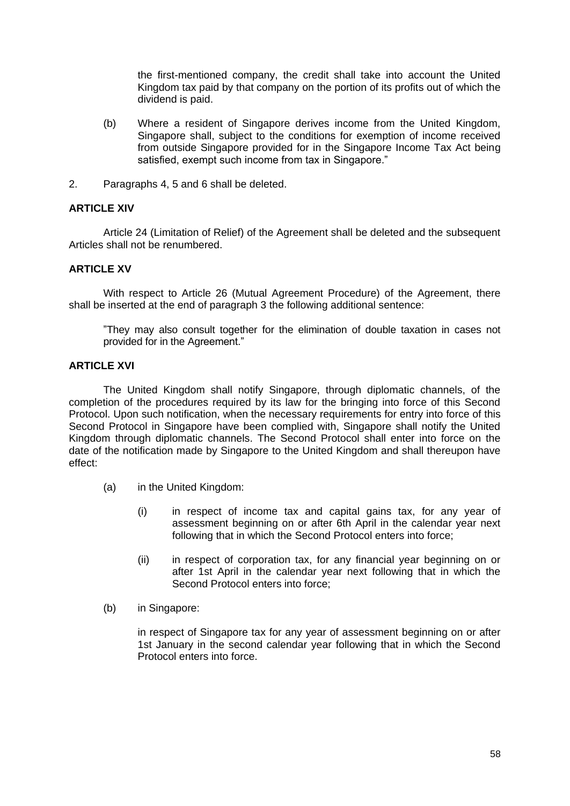the first-mentioned company, the credit shall take into account the United Kingdom tax paid by that company on the portion of its profits out of which the dividend is paid.

- (b) Where a resident of Singapore derives income from the United Kingdom, Singapore shall, subject to the conditions for exemption of income received from outside Singapore provided for in the Singapore Income Tax Act being satisfied, exempt such income from tax in Singapore."
- 2. Paragraphs 4, 5 and 6 shall be deleted.

## **ARTICLE XIV**

Article 24 (Limitation of Relief) of the Agreement shall be deleted and the subsequent Articles shall not be renumbered.

# **ARTICLE XV**

With respect to Article 26 (Mutual Agreement Procedure) of the Agreement, there shall be inserted at the end of paragraph 3 the following additional sentence:

"They may also consult together for the elimination of double taxation in cases not provided for in the Agreement."

## **ARTICLE XVI**

The United Kingdom shall notify Singapore, through diplomatic channels, of the completion of the procedures required by its law for the bringing into force of this Second Protocol. Upon such notification, when the necessary requirements for entry into force of this Second Protocol in Singapore have been complied with, Singapore shall notify the United Kingdom through diplomatic channels. The Second Protocol shall enter into force on the date of the notification made by Singapore to the United Kingdom and shall thereupon have effect:

- (a) in the United Kingdom:
	- (i) in respect of income tax and capital gains tax, for any year of assessment beginning on or after 6th April in the calendar year next following that in which the Second Protocol enters into force;
	- (ii) in respect of corporation tax, for any financial year beginning on or after 1st April in the calendar year next following that in which the Second Protocol enters into force;
- (b) in Singapore:

in respect of Singapore tax for any year of assessment beginning on or after 1st January in the second calendar year following that in which the Second Protocol enters into force.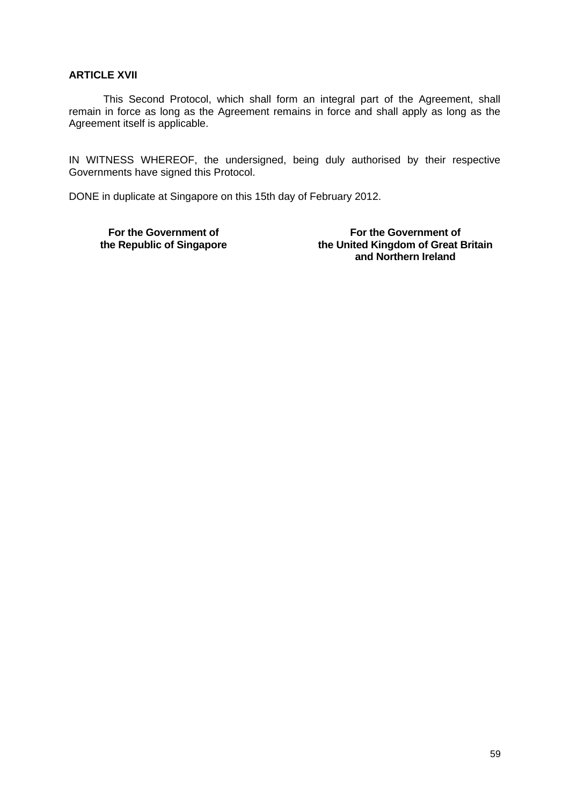#### **ARTICLE XVII**

This Second Protocol, which shall form an integral part of the Agreement, shall remain in force as long as the Agreement remains in force and shall apply as long as the Agreement itself is applicable.

IN WITNESS WHEREOF, the undersigned, being duly authorised by their respective Governments have signed this Protocol.

DONE in duplicate at Singapore on this 15th day of February 2012.

**For the Government of the Republic of Singapore**

**For the Government of the United Kingdom of Great Britain and Northern Ireland**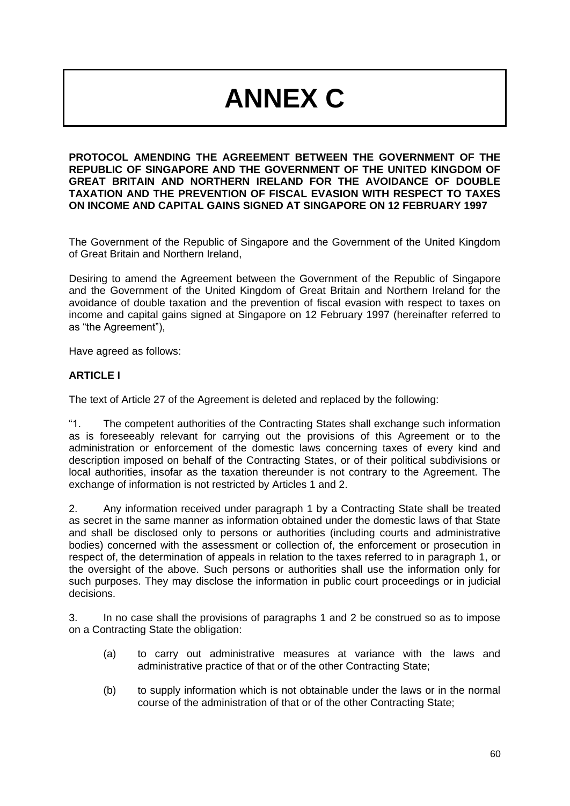# **ANNEX C**

**PROTOCOL AMENDING THE AGREEMENT BETWEEN THE GOVERNMENT OF THE REPUBLIC OF SINGAPORE AND THE GOVERNMENT OF THE UNITED KINGDOM OF GREAT BRITAIN AND NORTHERN IRELAND FOR THE AVOIDANCE OF DOUBLE TAXATION AND THE PREVENTION OF FISCAL EVASION WITH RESPECT TO TAXES ON INCOME AND CAPITAL GAINS SIGNED AT SINGAPORE ON 12 FEBRUARY 1997**

The Government of the Republic of Singapore and the Government of the United Kingdom of Great Britain and Northern Ireland,

Desiring to amend the Agreement between the Government of the Republic of Singapore and the Government of the United Kingdom of Great Britain and Northern Ireland for the avoidance of double taxation and the prevention of fiscal evasion with respect to taxes on income and capital gains signed at Singapore on 12 February 1997 (hereinafter referred to as "the Agreement"),

Have agreed as follows:

# **ARTICLE I**

The text of Article 27 of the Agreement is deleted and replaced by the following:

"1. The competent authorities of the Contracting States shall exchange such information as is foreseeably relevant for carrying out the provisions of this Agreement or to the administration or enforcement of the domestic laws concerning taxes of every kind and description imposed on behalf of the Contracting States, or of their political subdivisions or local authorities, insofar as the taxation thereunder is not contrary to the Agreement. The exchange of information is not restricted by Articles 1 and 2.

2. Any information received under paragraph 1 by a Contracting State shall be treated as secret in the same manner as information obtained under the domestic laws of that State and shall be disclosed only to persons or authorities (including courts and administrative bodies) concerned with the assessment or collection of, the enforcement or prosecution in respect of, the determination of appeals in relation to the taxes referred to in paragraph 1, or the oversight of the above. Such persons or authorities shall use the information only for such purposes. They may disclose the information in public court proceedings or in judicial decisions.

3. In no case shall the provisions of paragraphs 1 and 2 be construed so as to impose on a Contracting State the obligation:

- (a) to carry out administrative measures at variance with the laws and administrative practice of that or of the other Contracting State;
- (b) to supply information which is not obtainable under the laws or in the normal course of the administration of that or of the other Contracting State;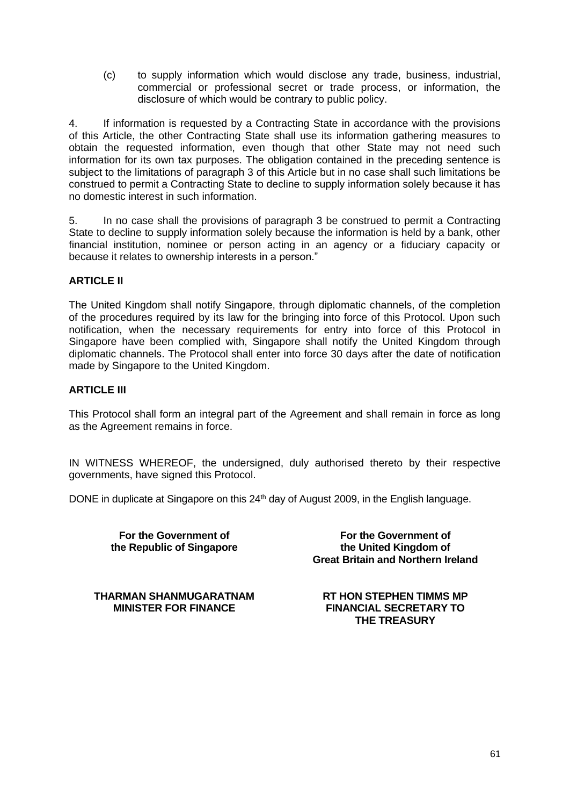(c) to supply information which would disclose any trade, business, industrial, commercial or professional secret or trade process, or information, the disclosure of which would be contrary to public policy.

4. If information is requested by a Contracting State in accordance with the provisions of this Article, the other Contracting State shall use its information gathering measures to obtain the requested information, even though that other State may not need such information for its own tax purposes. The obligation contained in the preceding sentence is subject to the limitations of paragraph 3 of this Article but in no case shall such limitations be construed to permit a Contracting State to decline to supply information solely because it has no domestic interest in such information.

5. In no case shall the provisions of paragraph 3 be construed to permit a Contracting State to decline to supply information solely because the information is held by a bank, other financial institution, nominee or person acting in an agency or a fiduciary capacity or because it relates to ownership interests in a person."

# **ARTICLE II**

The United Kingdom shall notify Singapore, through diplomatic channels, of the completion of the procedures required by its law for the bringing into force of this Protocol. Upon such notification, when the necessary requirements for entry into force of this Protocol in Singapore have been complied with, Singapore shall notify the United Kingdom through diplomatic channels. The Protocol shall enter into force 30 days after the date of notification made by Singapore to the United Kingdom.

# **ARTICLE III**

This Protocol shall form an integral part of the Agreement and shall remain in force as long as the Agreement remains in force.

IN WITNESS WHEREOF, the undersigned, duly authorised thereto by their respective governments, have signed this Protocol.

DONE in duplicate at Singapore on this 24<sup>th</sup> day of August 2009, in the English language.

**For the Government of the Republic of Singapore**

**For the Government of the United Kingdom of Great Britain and Northern Ireland**

**THARMAN SHANMUGARATNAM MINISTER FOR FINANCE**

**RT HON STEPHEN TIMMS MP FINANCIAL SECRETARY TO THE TREASURY**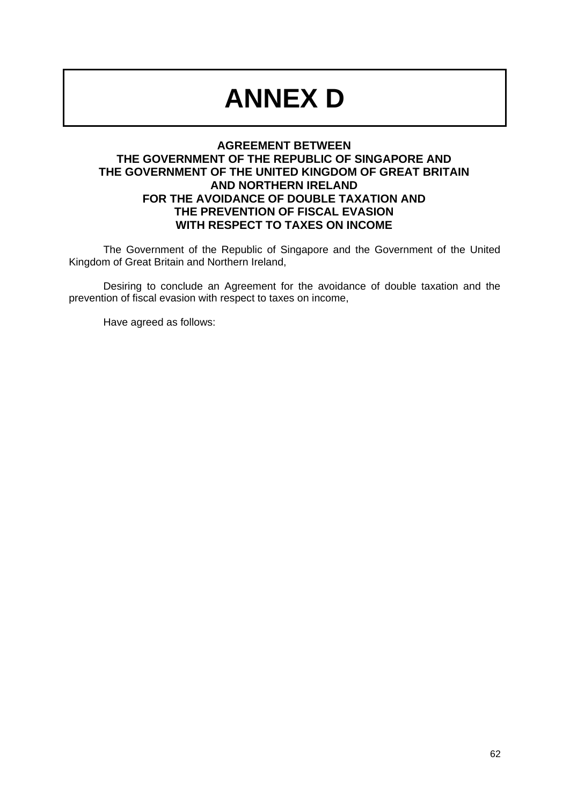# **ANNEX D**

# **AGREEMENT BETWEEN THE GOVERNMENT OF THE REPUBLIC OF SINGAPORE AND THE GOVERNMENT OF THE UNITED KINGDOM OF GREAT BRITAIN AND NORTHERN IRELAND FOR THE AVOIDANCE OF DOUBLE TAXATION AND THE PREVENTION OF FISCAL EVASION WITH RESPECT TO TAXES ON INCOME**

The Government of the Republic of Singapore and the Government of the United Kingdom of Great Britain and Northern Ireland,

Desiring to conclude an Agreement for the avoidance of double taxation and the prevention of fiscal evasion with respect to taxes on income,

Have agreed as follows: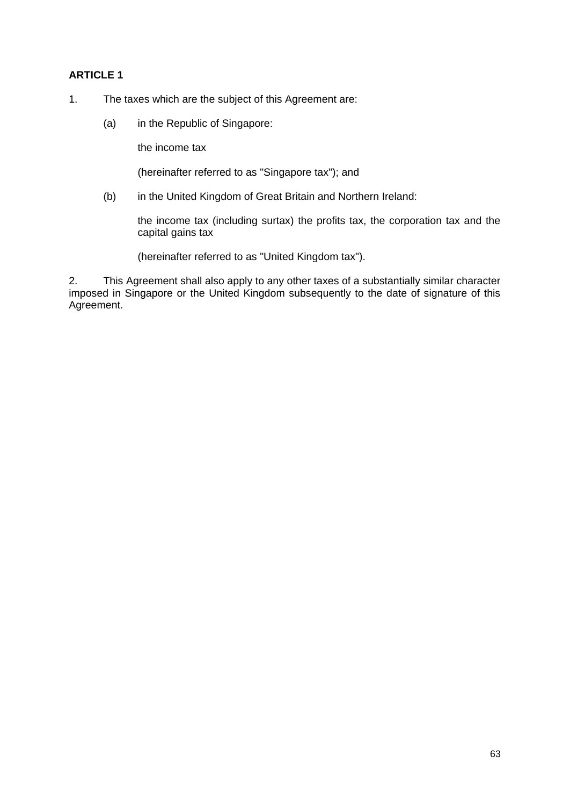- 1. The taxes which are the subject of this Agreement are:
	- (a) in the Republic of Singapore:

the income tax

(hereinafter referred to as "Singapore tax"); and

(b) in the United Kingdom of Great Britain and Northern Ireland:

the income tax (including surtax) the profits tax, the corporation tax and the capital gains tax

(hereinafter referred to as "United Kingdom tax").

2. This Agreement shall also apply to any other taxes of a substantially similar character imposed in Singapore or the United Kingdom subsequently to the date of signature of this Agreement.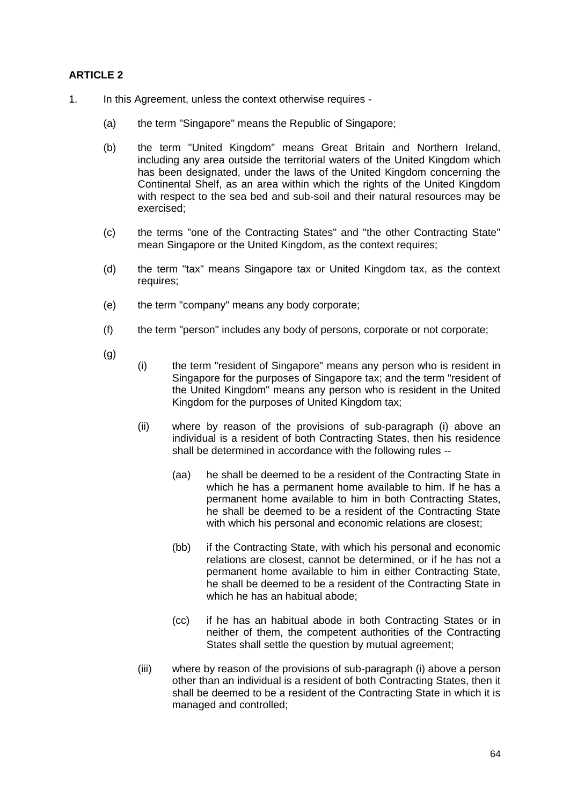- 1. In this Agreement, unless the context otherwise requires
	- (a) the term "Singapore" means the Republic of Singapore;
	- (b) the term "United Kingdom" means Great Britain and Northern Ireland, including any area outside the territorial waters of the United Kingdom which has been designated, under the laws of the United Kingdom concerning the Continental Shelf, as an area within which the rights of the United Kingdom with respect to the sea bed and sub-soil and their natural resources may be exercised;
	- (c) the terms "one of the Contracting States" and "the other Contracting State" mean Singapore or the United Kingdom, as the context requires;
	- (d) the term "tax" means Singapore tax or United Kingdom tax, as the context requires;
	- (e) the term "company" means any body corporate;
	- (f) the term "person" includes any body of persons, corporate or not corporate;
	- (g)
- (i) the term "resident of Singapore" means any person who is resident in Singapore for the purposes of Singapore tax; and the term "resident of the United Kingdom" means any person who is resident in the United Kingdom for the purposes of United Kingdom tax;
- (ii) where by reason of the provisions of sub-paragraph (i) above an individual is a resident of both Contracting States, then his residence shall be determined in accordance with the following rules --
	- (aa) he shall be deemed to be a resident of the Contracting State in which he has a permanent home available to him. If he has a permanent home available to him in both Contracting States, he shall be deemed to be a resident of the Contracting State with which his personal and economic relations are closest;
	- (bb) if the Contracting State, with which his personal and economic relations are closest, cannot be determined, or if he has not a permanent home available to him in either Contracting State, he shall be deemed to be a resident of the Contracting State in which he has an habitual abode;
	- (cc) if he has an habitual abode in both Contracting States or in neither of them, the competent authorities of the Contracting States shall settle the question by mutual agreement;
- (iii) where by reason of the provisions of sub-paragraph (i) above a person other than an individual is a resident of both Contracting States, then it shall be deemed to be a resident of the Contracting State in which it is managed and controlled;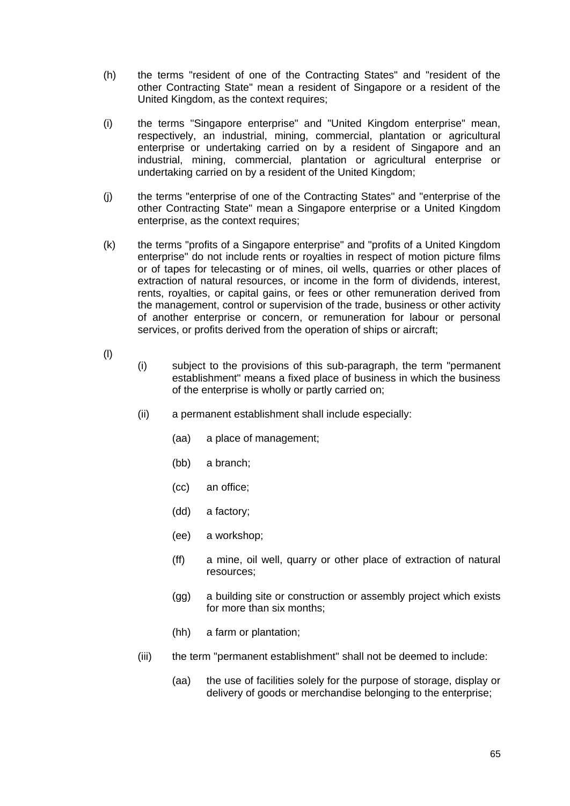- (h) the terms "resident of one of the Contracting States" and "resident of the other Contracting State" mean a resident of Singapore or a resident of the United Kingdom, as the context requires;
- (i) the terms "Singapore enterprise" and "United Kingdom enterprise" mean, respectively, an industrial, mining, commercial, plantation or agricultural enterprise or undertaking carried on by a resident of Singapore and an industrial, mining, commercial, plantation or agricultural enterprise or undertaking carried on by a resident of the United Kingdom;
- (j) the terms "enterprise of one of the Contracting States" and "enterprise of the other Contracting State" mean a Singapore enterprise or a United Kingdom enterprise, as the context requires;
- (k) the terms "profits of a Singapore enterprise" and "profits of a United Kingdom enterprise" do not include rents or royalties in respect of motion picture films or of tapes for telecasting or of mines, oil wells, quarries or other places of extraction of natural resources, or income in the form of dividends, interest, rents, royalties, or capital gains, or fees or other remuneration derived from the management, control or supervision of the trade, business or other activity of another enterprise or concern, or remuneration for labour or personal services, or profits derived from the operation of ships or aircraft;
- (l)
- (i) subject to the provisions of this sub-paragraph, the term "permanent establishment" means a fixed place of business in which the business of the enterprise is wholly or partly carried on;
- (ii) a permanent establishment shall include especially:
	- (aa) a place of management;
	- (bb) a branch;
	- (cc) an office;
	- (dd) a factory;
	- (ee) a workshop;
	- (ff) a mine, oil well, quarry or other place of extraction of natural resources;
	- (gg) a building site or construction or assembly project which exists for more than six months;
	- (hh) a farm or plantation;
- (iii) the term "permanent establishment" shall not be deemed to include:
	- (aa) the use of facilities solely for the purpose of storage, display or delivery of goods or merchandise belonging to the enterprise;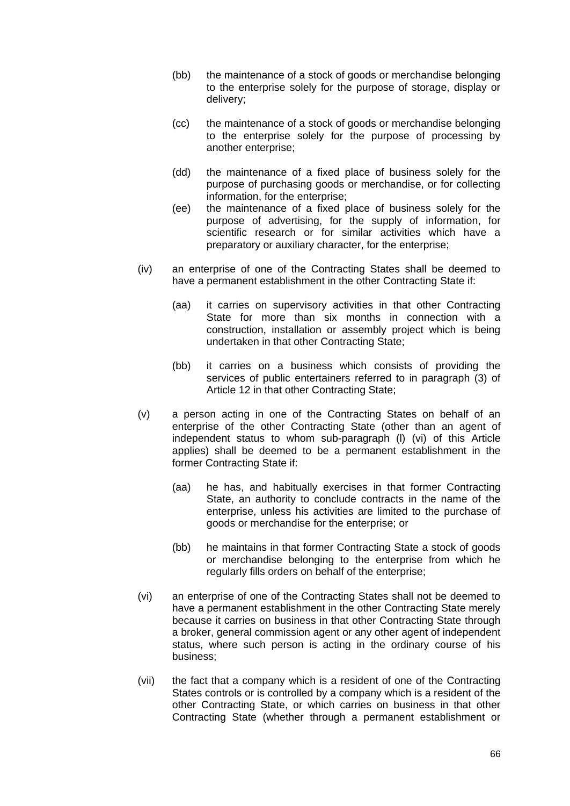- (bb) the maintenance of a stock of goods or merchandise belonging to the enterprise solely for the purpose of storage, display or delivery;
- (cc) the maintenance of a stock of goods or merchandise belonging to the enterprise solely for the purpose of processing by another enterprise;
- (dd) the maintenance of a fixed place of business solely for the purpose of purchasing goods or merchandise, or for collecting information, for the enterprise;
- (ee) the maintenance of a fixed place of business solely for the purpose of advertising, for the supply of information, for scientific research or for similar activities which have a preparatory or auxiliary character, for the enterprise;
- (iv) an enterprise of one of the Contracting States shall be deemed to have a permanent establishment in the other Contracting State if:
	- (aa) it carries on supervisory activities in that other Contracting State for more than six months in connection with a construction, installation or assembly project which is being undertaken in that other Contracting State;
	- (bb) it carries on a business which consists of providing the services of public entertainers referred to in paragraph (3) of Article 12 in that other Contracting State;
- (v) a person acting in one of the Contracting States on behalf of an enterprise of the other Contracting State (other than an agent of independent status to whom sub-paragraph (l) (vi) of this Article applies) shall be deemed to be a permanent establishment in the former Contracting State if:
	- (aa) he has, and habitually exercises in that former Contracting State, an authority to conclude contracts in the name of the enterprise, unless his activities are limited to the purchase of goods or merchandise for the enterprise; or
	- (bb) he maintains in that former Contracting State a stock of goods or merchandise belonging to the enterprise from which he regularly fills orders on behalf of the enterprise;
- (vi) an enterprise of one of the Contracting States shall not be deemed to have a permanent establishment in the other Contracting State merely because it carries on business in that other Contracting State through a broker, general commission agent or any other agent of independent status, where such person is acting in the ordinary course of his business;
- (vii) the fact that a company which is a resident of one of the Contracting States controls or is controlled by a company which is a resident of the other Contracting State, or which carries on business in that other Contracting State (whether through a permanent establishment or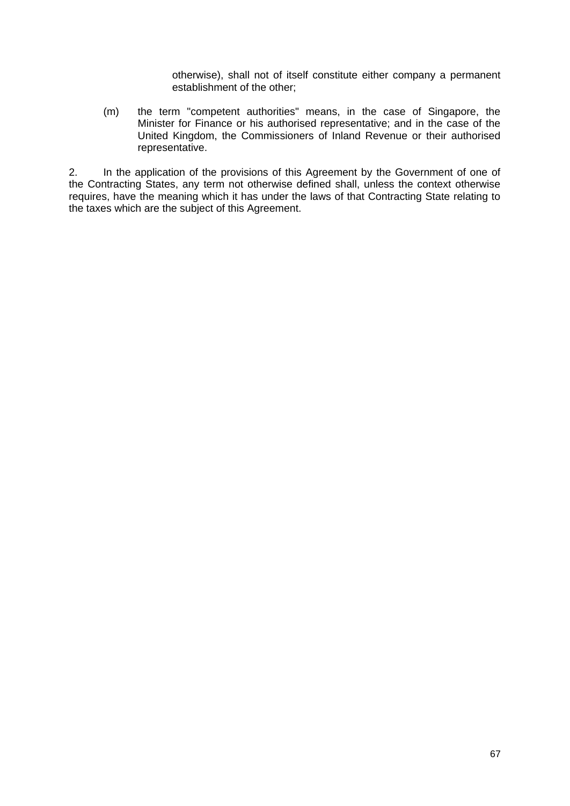otherwise), shall not of itself constitute either company a permanent establishment of the other;

(m) the term "competent authorities" means, in the case of Singapore, the Minister for Finance or his authorised representative; and in the case of the United Kingdom, the Commissioners of Inland Revenue or their authorised representative.

2. In the application of the provisions of this Agreement by the Government of one of the Contracting States, any term not otherwise defined shall, unless the context otherwise requires, have the meaning which it has under the laws of that Contracting State relating to the taxes which are the subject of this Agreement.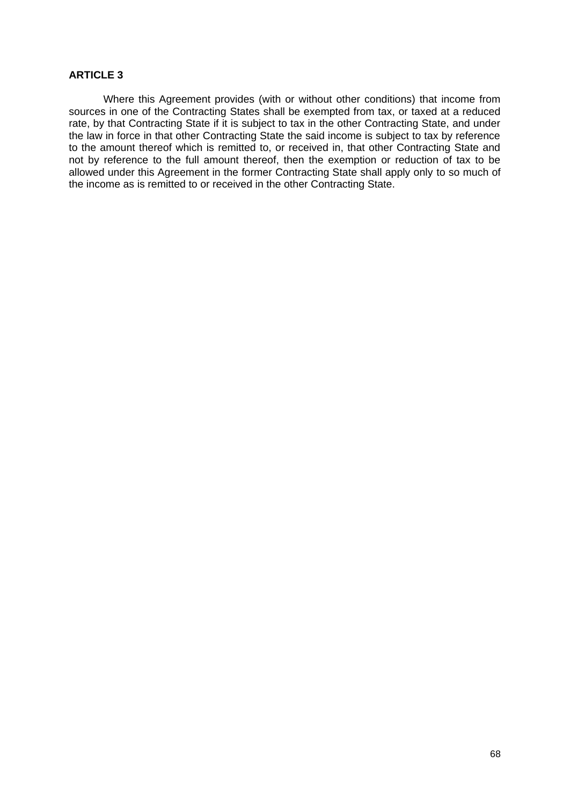Where this Agreement provides (with or without other conditions) that income from sources in one of the Contracting States shall be exempted from tax, or taxed at a reduced rate, by that Contracting State if it is subject to tax in the other Contracting State, and under the law in force in that other Contracting State the said income is subject to tax by reference to the amount thereof which is remitted to, or received in, that other Contracting State and not by reference to the full amount thereof, then the exemption or reduction of tax to be allowed under this Agreement in the former Contracting State shall apply only to so much of the income as is remitted to or received in the other Contracting State.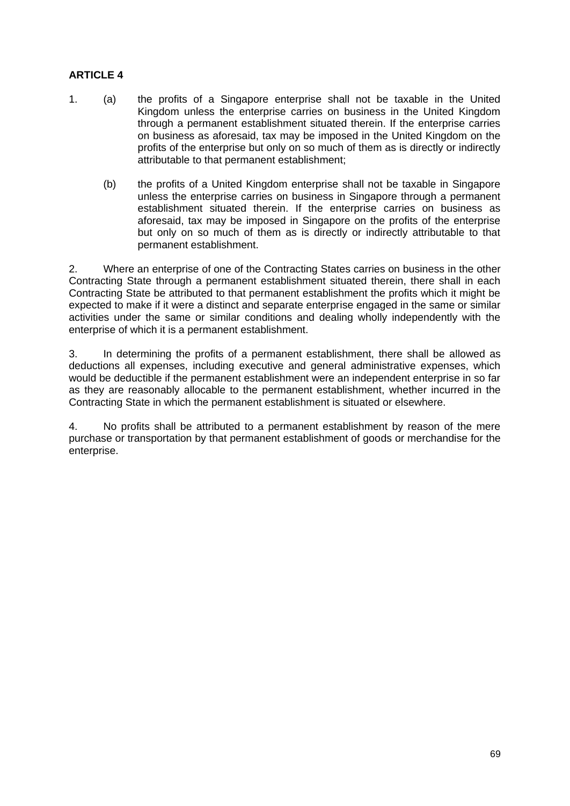- 1. (a) the profits of a Singapore enterprise shall not be taxable in the United Kingdom unless the enterprise carries on business in the United Kingdom through a permanent establishment situated therein. If the enterprise carries on business as aforesaid, tax may be imposed in the United Kingdom on the profits of the enterprise but only on so much of them as is directly or indirectly attributable to that permanent establishment;
	- (b) the profits of a United Kingdom enterprise shall not be taxable in Singapore unless the enterprise carries on business in Singapore through a permanent establishment situated therein. If the enterprise carries on business as aforesaid, tax may be imposed in Singapore on the profits of the enterprise but only on so much of them as is directly or indirectly attributable to that permanent establishment.

2. Where an enterprise of one of the Contracting States carries on business in the other Contracting State through a permanent establishment situated therein, there shall in each Contracting State be attributed to that permanent establishment the profits which it might be expected to make if it were a distinct and separate enterprise engaged in the same or similar activities under the same or similar conditions and dealing wholly independently with the enterprise of which it is a permanent establishment.

3. In determining the profits of a permanent establishment, there shall be allowed as deductions all expenses, including executive and general administrative expenses, which would be deductible if the permanent establishment were an independent enterprise in so far as they are reasonably allocable to the permanent establishment, whether incurred in the Contracting State in which the permanent establishment is situated or elsewhere.

4. No profits shall be attributed to a permanent establishment by reason of the mere purchase or transportation by that permanent establishment of goods or merchandise for the enterprise.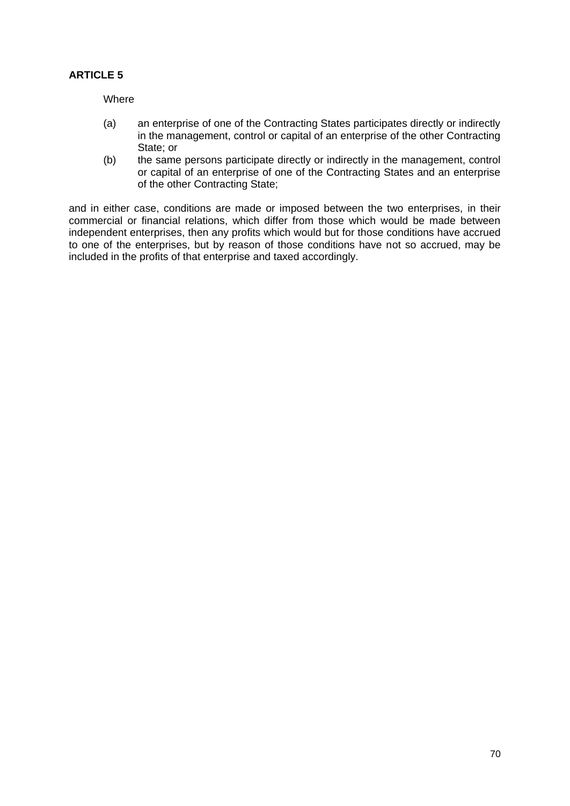Where

- (a) an enterprise of one of the Contracting States participates directly or indirectly in the management, control or capital of an enterprise of the other Contracting State; or
- (b) the same persons participate directly or indirectly in the management, control or capital of an enterprise of one of the Contracting States and an enterprise of the other Contracting State;

and in either case, conditions are made or imposed between the two enterprises, in their commercial or financial relations, which differ from those which would be made between independent enterprises, then any profits which would but for those conditions have accrued to one of the enterprises, but by reason of those conditions have not so accrued, may be included in the profits of that enterprise and taxed accordingly.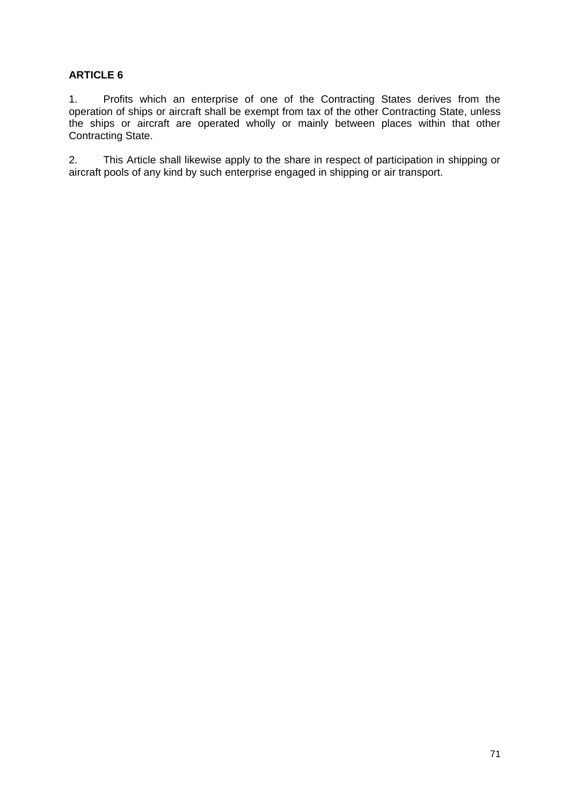1. Profits which an enterprise of one of the Contracting States derives from the operation of ships or aircraft shall be exempt from tax of the other Contracting State, unless the ships or aircraft are operated wholly or mainly between places within that other Contracting State.

2. This Article shall likewise apply to the share in respect of participation in shipping or aircraft pools of any kind by such enterprise engaged in shipping or air transport.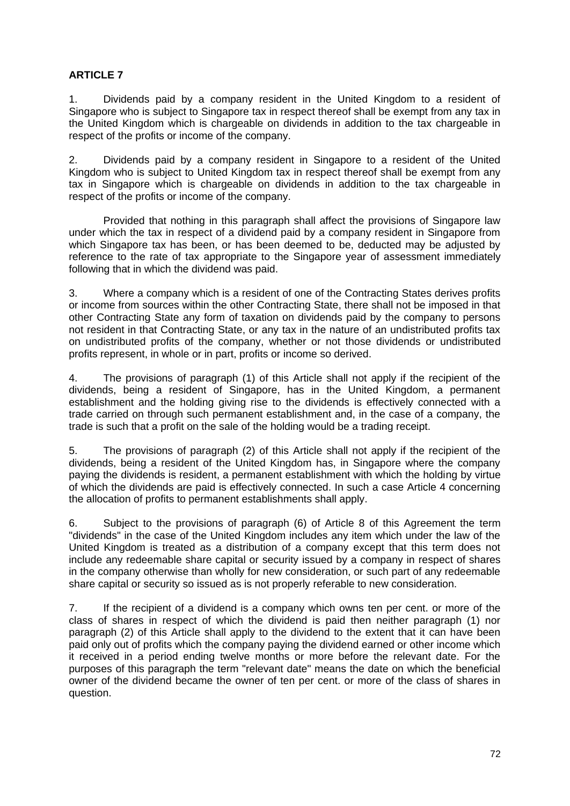1. Dividends paid by a company resident in the United Kingdom to a resident of Singapore who is subject to Singapore tax in respect thereof shall be exempt from any tax in the United Kingdom which is chargeable on dividends in addition to the tax chargeable in respect of the profits or income of the company.

2. Dividends paid by a company resident in Singapore to a resident of the United Kingdom who is subject to United Kingdom tax in respect thereof shall be exempt from any tax in Singapore which is chargeable on dividends in addition to the tax chargeable in respect of the profits or income of the company.

Provided that nothing in this paragraph shall affect the provisions of Singapore law under which the tax in respect of a dividend paid by a company resident in Singapore from which Singapore tax has been, or has been deemed to be, deducted may be adjusted by reference to the rate of tax appropriate to the Singapore year of assessment immediately following that in which the dividend was paid.

3. Where a company which is a resident of one of the Contracting States derives profits or income from sources within the other Contracting State, there shall not be imposed in that other Contracting State any form of taxation on dividends paid by the company to persons not resident in that Contracting State, or any tax in the nature of an undistributed profits tax on undistributed profits of the company, whether or not those dividends or undistributed profits represent, in whole or in part, profits or income so derived.

4. The provisions of paragraph (1) of this Article shall not apply if the recipient of the dividends, being a resident of Singapore, has in the United Kingdom, a permanent establishment and the holding giving rise to the dividends is effectively connected with a trade carried on through such permanent establishment and, in the case of a company, the trade is such that a profit on the sale of the holding would be a trading receipt.

5. The provisions of paragraph (2) of this Article shall not apply if the recipient of the dividends, being a resident of the United Kingdom has, in Singapore where the company paying the dividends is resident, a permanent establishment with which the holding by virtue of which the dividends are paid is effectively connected. In such a case Article 4 concerning the allocation of profits to permanent establishments shall apply.

6. Subject to the provisions of paragraph (6) of Article 8 of this Agreement the term "dividends" in the case of the United Kingdom includes any item which under the law of the United Kingdom is treated as a distribution of a company except that this term does not include any redeemable share capital or security issued by a company in respect of shares in the company otherwise than wholly for new consideration, or such part of any redeemable share capital or security so issued as is not properly referable to new consideration.

7. If the recipient of a dividend is a company which owns ten per cent. or more of the class of shares in respect of which the dividend is paid then neither paragraph (1) nor paragraph (2) of this Article shall apply to the dividend to the extent that it can have been paid only out of profits which the company paying the dividend earned or other income which it received in a period ending twelve months or more before the relevant date. For the purposes of this paragraph the term "relevant date" means the date on which the beneficial owner of the dividend became the owner of ten per cent. or more of the class of shares in question.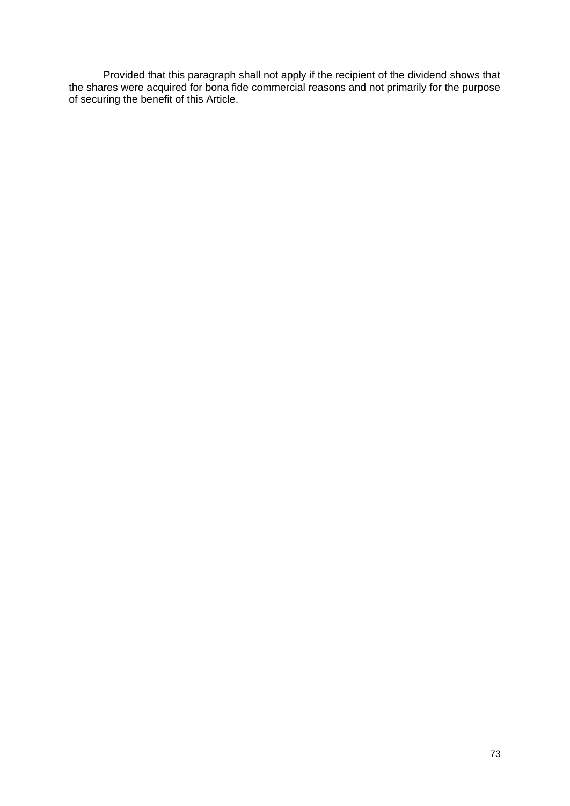Provided that this paragraph shall not apply if the recipient of the dividend shows that the shares were acquired for bona fide commercial reasons and not primarily for the purpose of securing the benefit of this Article.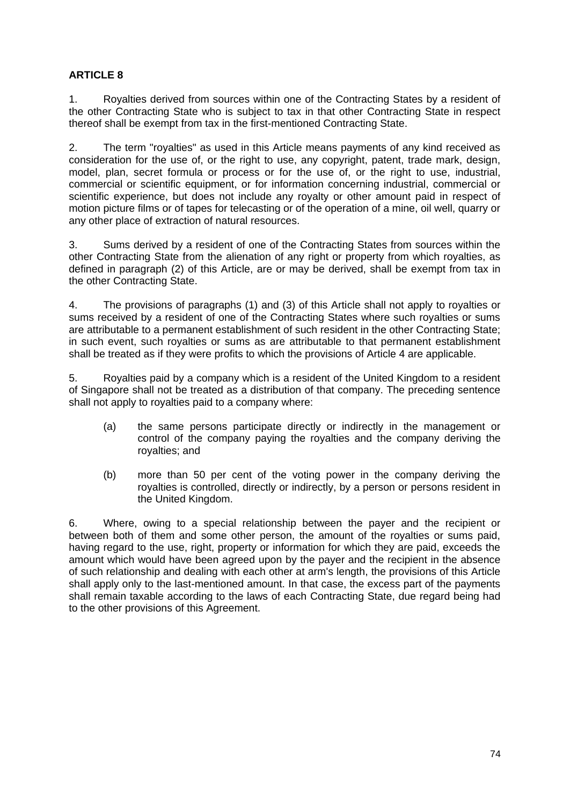1. Royalties derived from sources within one of the Contracting States by a resident of the other Contracting State who is subject to tax in that other Contracting State in respect thereof shall be exempt from tax in the first-mentioned Contracting State.

2. The term "royalties" as used in this Article means payments of any kind received as consideration for the use of, or the right to use, any copyright, patent, trade mark, design, model, plan, secret formula or process or for the use of, or the right to use, industrial, commercial or scientific equipment, or for information concerning industrial, commercial or scientific experience, but does not include any royalty or other amount paid in respect of motion picture films or of tapes for telecasting or of the operation of a mine, oil well, quarry or any other place of extraction of natural resources.

3. Sums derived by a resident of one of the Contracting States from sources within the other Contracting State from the alienation of any right or property from which royalties, as defined in paragraph (2) of this Article, are or may be derived, shall be exempt from tax in the other Contracting State.

4. The provisions of paragraphs (1) and (3) of this Article shall not apply to royalties or sums received by a resident of one of the Contracting States where such royalties or sums are attributable to a permanent establishment of such resident in the other Contracting State; in such event, such royalties or sums as are attributable to that permanent establishment shall be treated as if they were profits to which the provisions of Article 4 are applicable.

5. Royalties paid by a company which is a resident of the United Kingdom to a resident of Singapore shall not be treated as a distribution of that company. The preceding sentence shall not apply to royalties paid to a company where:

- (a) the same persons participate directly or indirectly in the management or control of the company paying the royalties and the company deriving the royalties; and
- (b) more than 50 per cent of the voting power in the company deriving the royalties is controlled, directly or indirectly, by a person or persons resident in the United Kingdom.

6. Where, owing to a special relationship between the payer and the recipient or between both of them and some other person, the amount of the royalties or sums paid, having regard to the use, right, property or information for which they are paid, exceeds the amount which would have been agreed upon by the payer and the recipient in the absence of such relationship and dealing with each other at arm's length, the provisions of this Article shall apply only to the last-mentioned amount. In that case, the excess part of the payments shall remain taxable according to the laws of each Contracting State, due regard being had to the other provisions of this Agreement.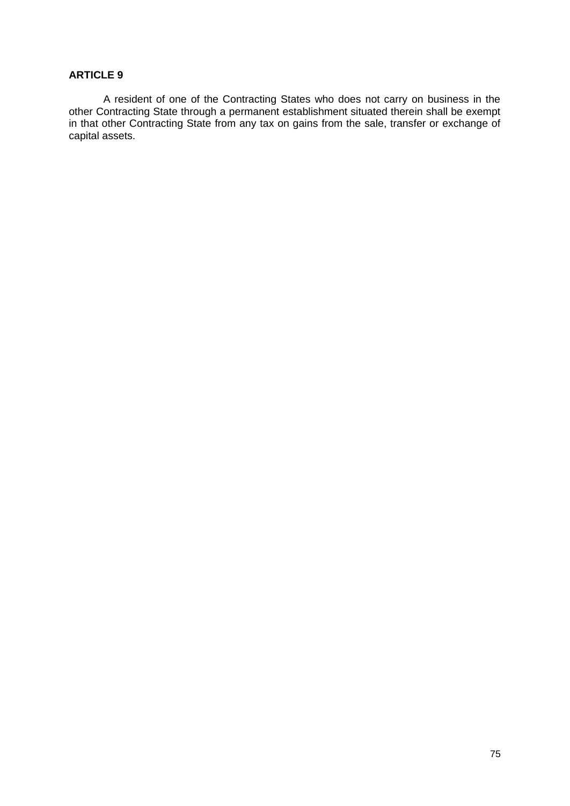A resident of one of the Contracting States who does not carry on business in the other Contracting State through a permanent establishment situated therein shall be exempt in that other Contracting State from any tax on gains from the sale, transfer or exchange of capital assets.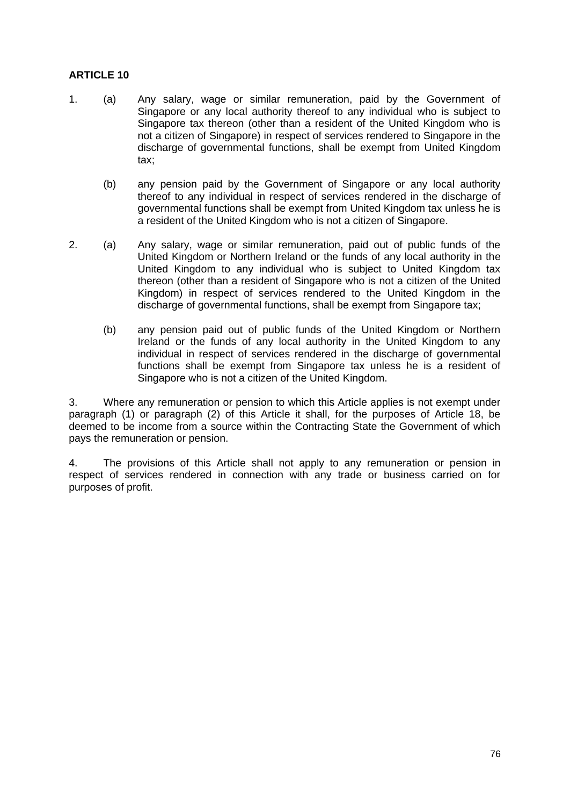- 1. (a) Any salary, wage or similar remuneration, paid by the Government of Singapore or any local authority thereof to any individual who is subject to Singapore tax thereon (other than a resident of the United Kingdom who is not a citizen of Singapore) in respect of services rendered to Singapore in the discharge of governmental functions, shall be exempt from United Kingdom tax;
	- (b) any pension paid by the Government of Singapore or any local authority thereof to any individual in respect of services rendered in the discharge of governmental functions shall be exempt from United Kingdom tax unless he is a resident of the United Kingdom who is not a citizen of Singapore.
- 2. (a) Any salary, wage or similar remuneration, paid out of public funds of the United Kingdom or Northern Ireland or the funds of any local authority in the United Kingdom to any individual who is subject to United Kingdom tax thereon (other than a resident of Singapore who is not a citizen of the United Kingdom) in respect of services rendered to the United Kingdom in the discharge of governmental functions, shall be exempt from Singapore tax;
	- (b) any pension paid out of public funds of the United Kingdom or Northern Ireland or the funds of any local authority in the United Kingdom to any individual in respect of services rendered in the discharge of governmental functions shall be exempt from Singapore tax unless he is a resident of Singapore who is not a citizen of the United Kingdom.

3. Where any remuneration or pension to which this Article applies is not exempt under paragraph (1) or paragraph (2) of this Article it shall, for the purposes of Article 18, be deemed to be income from a source within the Contracting State the Government of which pays the remuneration or pension.

4. The provisions of this Article shall not apply to any remuneration or pension in respect of services rendered in connection with any trade or business carried on for purposes of profit.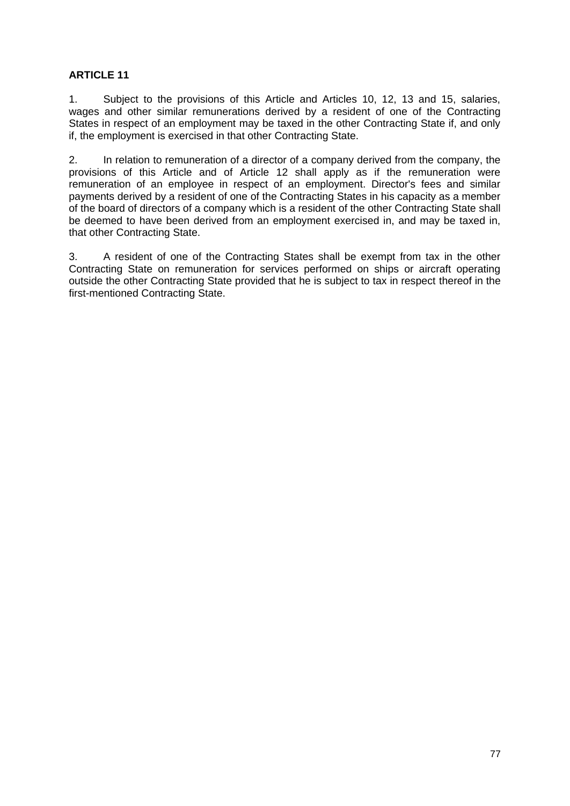1. Subject to the provisions of this Article and Articles 10, 12, 13 and 15, salaries, wages and other similar remunerations derived by a resident of one of the Contracting States in respect of an employment may be taxed in the other Contracting State if, and only if, the employment is exercised in that other Contracting State.

2. In relation to remuneration of a director of a company derived from the company, the provisions of this Article and of Article 12 shall apply as if the remuneration were remuneration of an employee in respect of an employment. Director's fees and similar payments derived by a resident of one of the Contracting States in his capacity as a member of the board of directors of a company which is a resident of the other Contracting State shall be deemed to have been derived from an employment exercised in, and may be taxed in, that other Contracting State.

3. A resident of one of the Contracting States shall be exempt from tax in the other Contracting State on remuneration for services performed on ships or aircraft operating outside the other Contracting State provided that he is subject to tax in respect thereof in the first-mentioned Contracting State.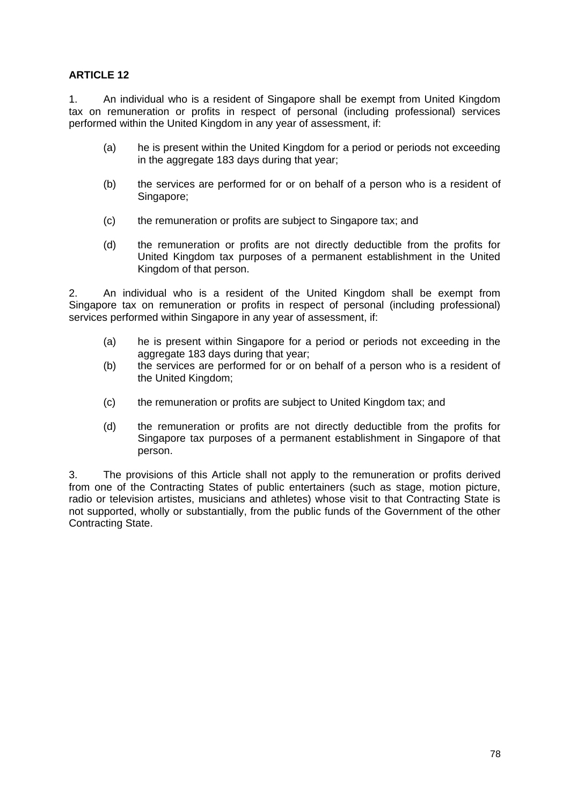1. An individual who is a resident of Singapore shall be exempt from United Kingdom tax on remuneration or profits in respect of personal (including professional) services performed within the United Kingdom in any year of assessment, if:

- (a) he is present within the United Kingdom for a period or periods not exceeding in the aggregate 183 days during that year;
- (b) the services are performed for or on behalf of a person who is a resident of Singapore;
- (c) the remuneration or profits are subject to Singapore tax; and
- (d) the remuneration or profits are not directly deductible from the profits for United Kingdom tax purposes of a permanent establishment in the United Kingdom of that person.

2. An individual who is a resident of the United Kingdom shall be exempt from Singapore tax on remuneration or profits in respect of personal (including professional) services performed within Singapore in any year of assessment, if:

- (a) he is present within Singapore for a period or periods not exceeding in the aggregate 183 days during that year;
- (b) the services are performed for or on behalf of a person who is a resident of the United Kingdom;
- (c) the remuneration or profits are subject to United Kingdom tax; and
- (d) the remuneration or profits are not directly deductible from the profits for Singapore tax purposes of a permanent establishment in Singapore of that person.

3. The provisions of this Article shall not apply to the remuneration or profits derived from one of the Contracting States of public entertainers (such as stage, motion picture, radio or television artistes, musicians and athletes) whose visit to that Contracting State is not supported, wholly or substantially, from the public funds of the Government of the other Contracting State.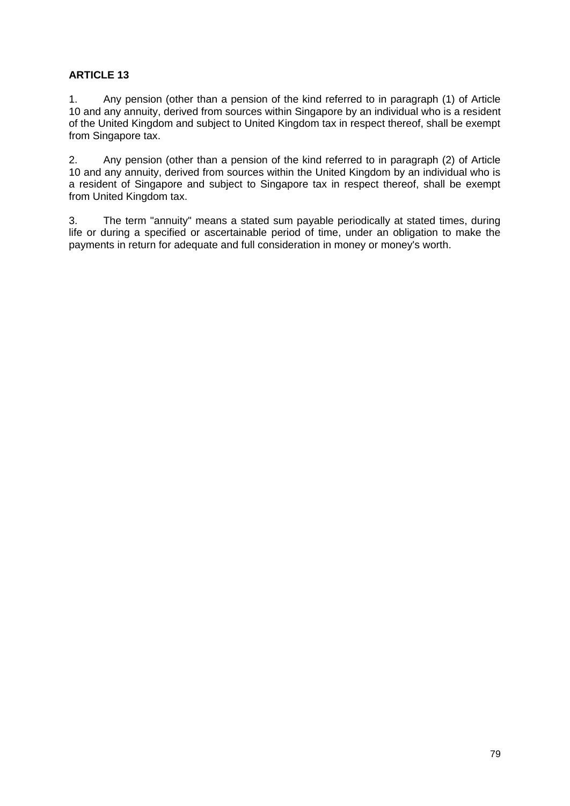1. Any pension (other than a pension of the kind referred to in paragraph (1) of Article 10 and any annuity, derived from sources within Singapore by an individual who is a resident of the United Kingdom and subject to United Kingdom tax in respect thereof, shall be exempt from Singapore tax.

2. Any pension (other than a pension of the kind referred to in paragraph (2) of Article 10 and any annuity, derived from sources within the United Kingdom by an individual who is a resident of Singapore and subject to Singapore tax in respect thereof, shall be exempt from United Kingdom tax.

3. The term "annuity" means a stated sum payable periodically at stated times, during life or during a specified or ascertainable period of time, under an obligation to make the payments in return for adequate and full consideration in money or money's worth.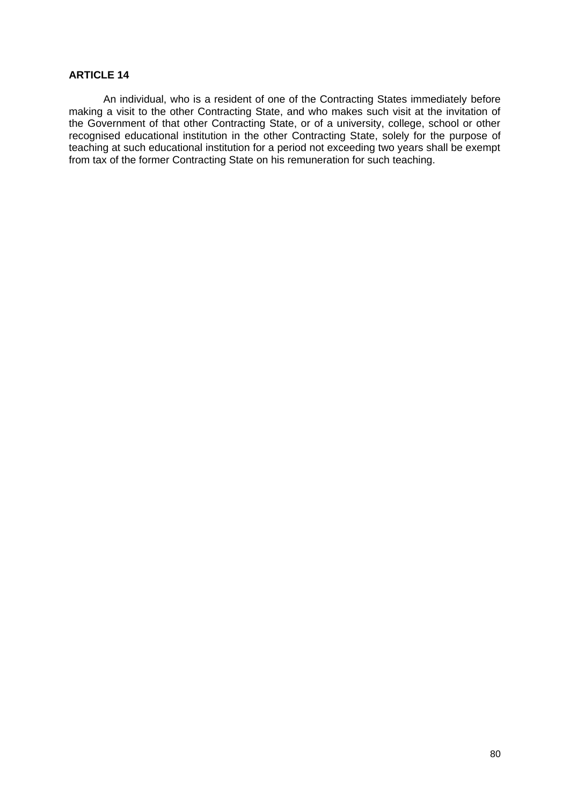An individual, who is a resident of one of the Contracting States immediately before making a visit to the other Contracting State, and who makes such visit at the invitation of the Government of that other Contracting State, or of a university, college, school or other recognised educational institution in the other Contracting State, solely for the purpose of teaching at such educational institution for a period not exceeding two years shall be exempt from tax of the former Contracting State on his remuneration for such teaching.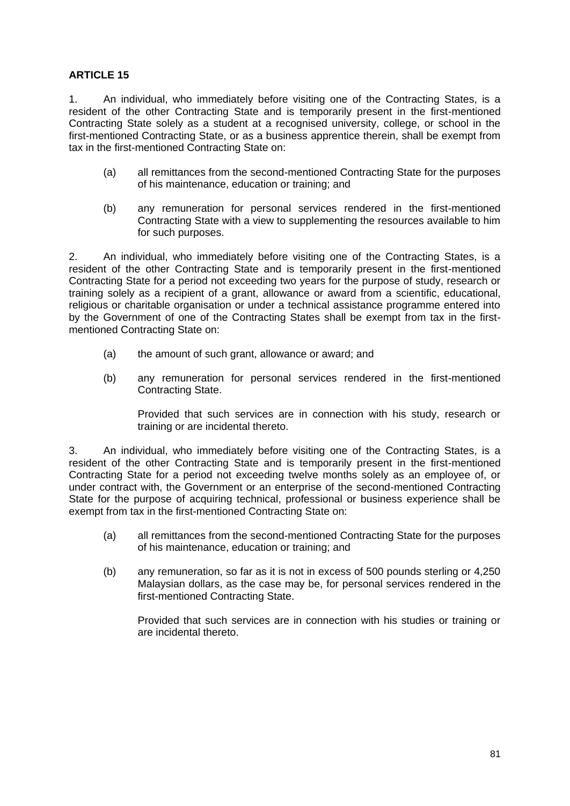1. An individual, who immediately before visiting one of the Contracting States, is a resident of the other Contracting State and is temporarily present in the first-mentioned Contracting State solely as a student at a recognised university, college, or school in the first-mentioned Contracting State, or as a business apprentice therein, shall be exempt from tax in the first-mentioned Contracting State on:

- (a) all remittances from the second-mentioned Contracting State for the purposes of his maintenance, education or training; and
- (b) any remuneration for personal services rendered in the first-mentioned Contracting State with a view to supplementing the resources available to him for such purposes.

2. An individual, who immediately before visiting one of the Contracting States, is a resident of the other Contracting State and is temporarily present in the first-mentioned Contracting State for a period not exceeding two years for the purpose of study, research or training solely as a recipient of a grant, allowance or award from a scientific, educational, religious or charitable organisation or under a technical assistance programme entered into by the Government of one of the Contracting States shall be exempt from tax in the firstmentioned Contracting State on:

- (a) the amount of such grant, allowance or award; and
- (b) any remuneration for personal services rendered in the first-mentioned Contracting State.

Provided that such services are in connection with his study, research or training or are incidental thereto.

3. An individual, who immediately before visiting one of the Contracting States, is a resident of the other Contracting State and is temporarily present in the first-mentioned Contracting State for a period not exceeding twelve months solely as an employee of, or under contract with, the Government or an enterprise of the second-mentioned Contracting State for the purpose of acquiring technical, professional or business experience shall be exempt from tax in the first-mentioned Contracting State on:

- (a) all remittances from the second-mentioned Contracting State for the purposes of his maintenance, education or training; and
- (b) any remuneration, so far as it is not in excess of 500 pounds sterling or 4,250 Malaysian dollars, as the case may be, for personal services rendered in the first-mentioned Contracting State.

Provided that such services are in connection with his studies or training or are incidental thereto.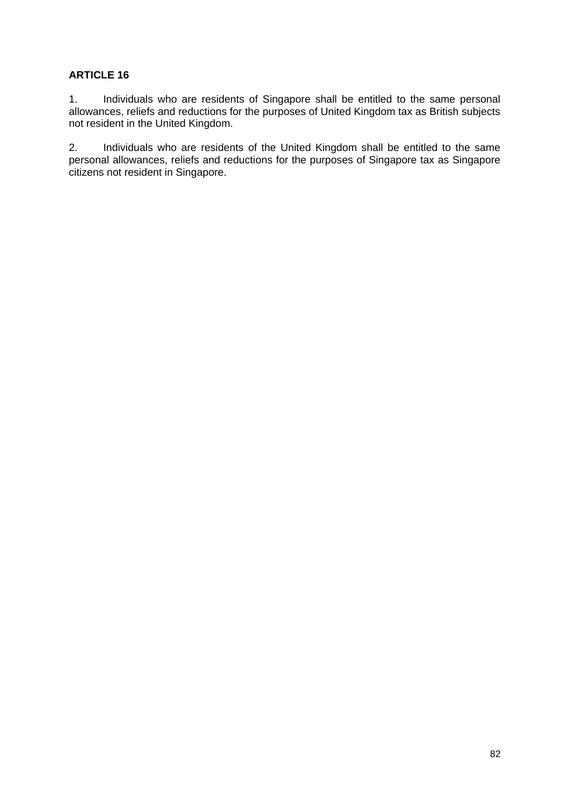1. Individuals who are residents of Singapore shall be entitled to the same personal allowances, reliefs and reductions for the purposes of United Kingdom tax as British subjects not resident in the United Kingdom.

2. Individuals who are residents of the United Kingdom shall be entitled to the same personal allowances, reliefs and reductions for the purposes of Singapore tax as Singapore citizens not resident in Singapore.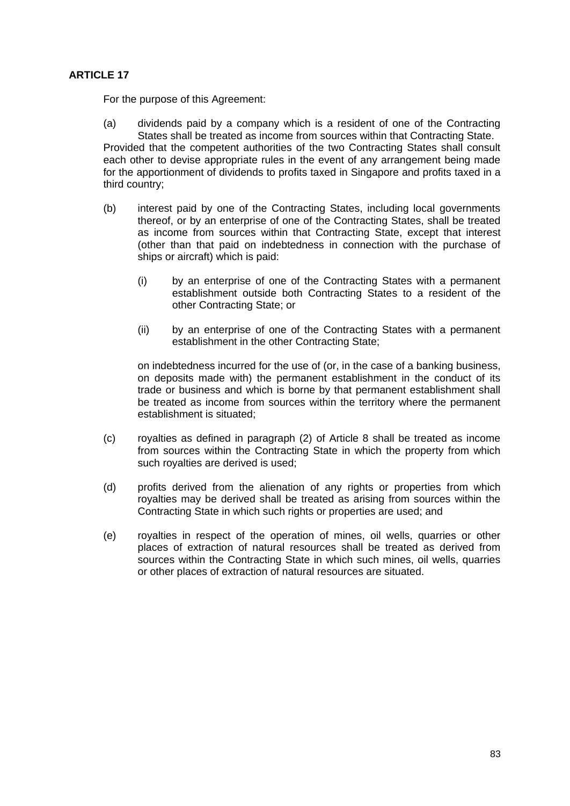For the purpose of this Agreement:

- (a) dividends paid by a company which is a resident of one of the Contracting States shall be treated as income from sources within that Contracting State. Provided that the competent authorities of the two Contracting States shall consult each other to devise appropriate rules in the event of any arrangement being made for the apportionment of dividends to profits taxed in Singapore and profits taxed in a third country;
- (b) interest paid by one of the Contracting States, including local governments thereof, or by an enterprise of one of the Contracting States, shall be treated as income from sources within that Contracting State, except that interest (other than that paid on indebtedness in connection with the purchase of ships or aircraft) which is paid:
	- (i) by an enterprise of one of the Contracting States with a permanent establishment outside both Contracting States to a resident of the other Contracting State; or
	- (ii) by an enterprise of one of the Contracting States with a permanent establishment in the other Contracting State;

on indebtedness incurred for the use of (or, in the case of a banking business, on deposits made with) the permanent establishment in the conduct of its trade or business and which is borne by that permanent establishment shall be treated as income from sources within the territory where the permanent establishment is situated;

- (c) royalties as defined in paragraph (2) of Article 8 shall be treated as income from sources within the Contracting State in which the property from which such royalties are derived is used;
- (d) profits derived from the alienation of any rights or properties from which royalties may be derived shall be treated as arising from sources within the Contracting State in which such rights or properties are used; and
- (e) royalties in respect of the operation of mines, oil wells, quarries or other places of extraction of natural resources shall be treated as derived from sources within the Contracting State in which such mines, oil wells, quarries or other places of extraction of natural resources are situated.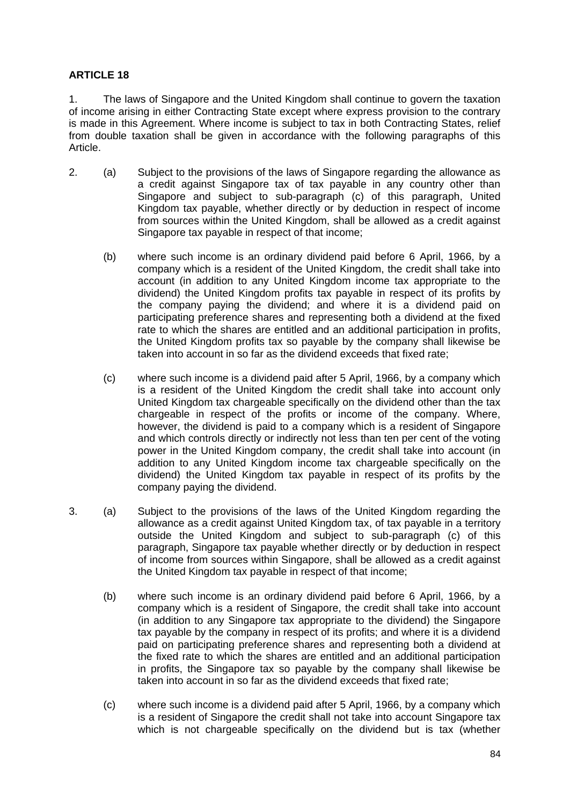1. The laws of Singapore and the United Kingdom shall continue to govern the taxation of income arising in either Contracting State except where express provision to the contrary is made in this Agreement. Where income is subject to tax in both Contracting States, relief from double taxation shall be given in accordance with the following paragraphs of this Article.

- 2. (a) Subject to the provisions of the laws of Singapore regarding the allowance as a credit against Singapore tax of tax payable in any country other than Singapore and subject to sub-paragraph (c) of this paragraph, United Kingdom tax payable, whether directly or by deduction in respect of income from sources within the United Kingdom, shall be allowed as a credit against Singapore tax payable in respect of that income;
	- (b) where such income is an ordinary dividend paid before 6 April, 1966, by a company which is a resident of the United Kingdom, the credit shall take into account (in addition to any United Kingdom income tax appropriate to the dividend) the United Kingdom profits tax payable in respect of its profits by the company paying the dividend; and where it is a dividend paid on participating preference shares and representing both a dividend at the fixed rate to which the shares are entitled and an additional participation in profits, the United Kingdom profits tax so payable by the company shall likewise be taken into account in so far as the dividend exceeds that fixed rate;
	- (c) where such income is a dividend paid after 5 April, 1966, by a company which is a resident of the United Kingdom the credit shall take into account only United Kingdom tax chargeable specifically on the dividend other than the tax chargeable in respect of the profits or income of the company. Where, however, the dividend is paid to a company which is a resident of Singapore and which controls directly or indirectly not less than ten per cent of the voting power in the United Kingdom company, the credit shall take into account (in addition to any United Kingdom income tax chargeable specifically on the dividend) the United Kingdom tax payable in respect of its profits by the company paying the dividend.
- 3. (a) Subject to the provisions of the laws of the United Kingdom regarding the allowance as a credit against United Kingdom tax, of tax payable in a territory outside the United Kingdom and subject to sub-paragraph (c) of this paragraph, Singapore tax payable whether directly or by deduction in respect of income from sources within Singapore, shall be allowed as a credit against the United Kingdom tax payable in respect of that income;
	- (b) where such income is an ordinary dividend paid before 6 April, 1966, by a company which is a resident of Singapore, the credit shall take into account (in addition to any Singapore tax appropriate to the dividend) the Singapore tax payable by the company in respect of its profits; and where it is a dividend paid on participating preference shares and representing both a dividend at the fixed rate to which the shares are entitled and an additional participation in profits, the Singapore tax so payable by the company shall likewise be taken into account in so far as the dividend exceeds that fixed rate;
	- (c) where such income is a dividend paid after 5 April, 1966, by a company which is a resident of Singapore the credit shall not take into account Singapore tax which is not chargeable specifically on the dividend but is tax (whether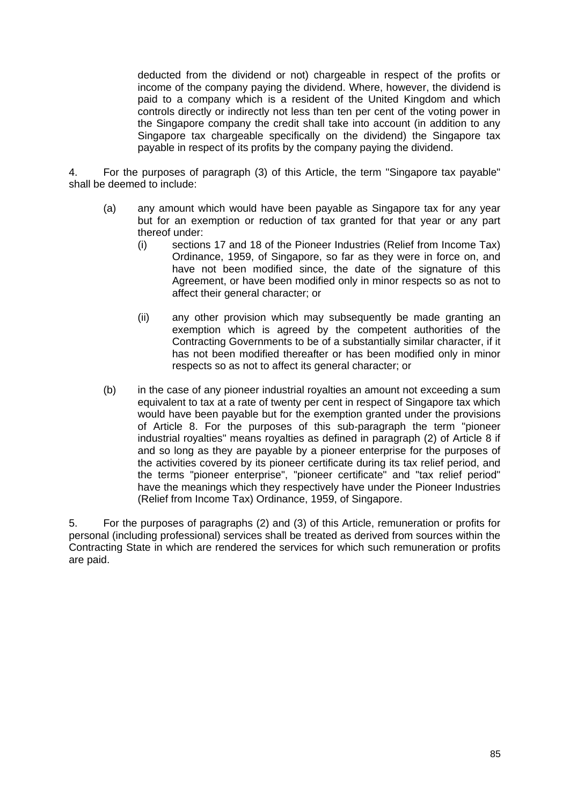deducted from the dividend or not) chargeable in respect of the profits or income of the company paying the dividend. Where, however, the dividend is paid to a company which is a resident of the United Kingdom and which controls directly or indirectly not less than ten per cent of the voting power in the Singapore company the credit shall take into account (in addition to any Singapore tax chargeable specifically on the dividend) the Singapore tax payable in respect of its profits by the company paying the dividend.

4. For the purposes of paragraph (3) of this Article, the term "Singapore tax payable" shall be deemed to include:

- (a) any amount which would have been payable as Singapore tax for any year but for an exemption or reduction of tax granted for that year or any part thereof under:
	- (i) sections 17 and 18 of the Pioneer Industries (Relief from Income Tax) Ordinance, 1959, of Singapore, so far as they were in force on, and have not been modified since, the date of the signature of this Agreement, or have been modified only in minor respects so as not to affect their general character; or
	- (ii) any other provision which may subsequently be made granting an exemption which is agreed by the competent authorities of the Contracting Governments to be of a substantially similar character, if it has not been modified thereafter or has been modified only in minor respects so as not to affect its general character; or
- (b) in the case of any pioneer industrial royalties an amount not exceeding a sum equivalent to tax at a rate of twenty per cent in respect of Singapore tax which would have been payable but for the exemption granted under the provisions of Article 8. For the purposes of this sub-paragraph the term "pioneer industrial royalties" means royalties as defined in paragraph (2) of Article 8 if and so long as they are payable by a pioneer enterprise for the purposes of the activities covered by its pioneer certificate during its tax relief period, and the terms "pioneer enterprise", "pioneer certificate" and "tax relief period" have the meanings which they respectively have under the Pioneer Industries (Relief from Income Tax) Ordinance, 1959, of Singapore.

5. For the purposes of paragraphs (2) and (3) of this Article, remuneration or profits for personal (including professional) services shall be treated as derived from sources within the Contracting State in which are rendered the services for which such remuneration or profits are paid.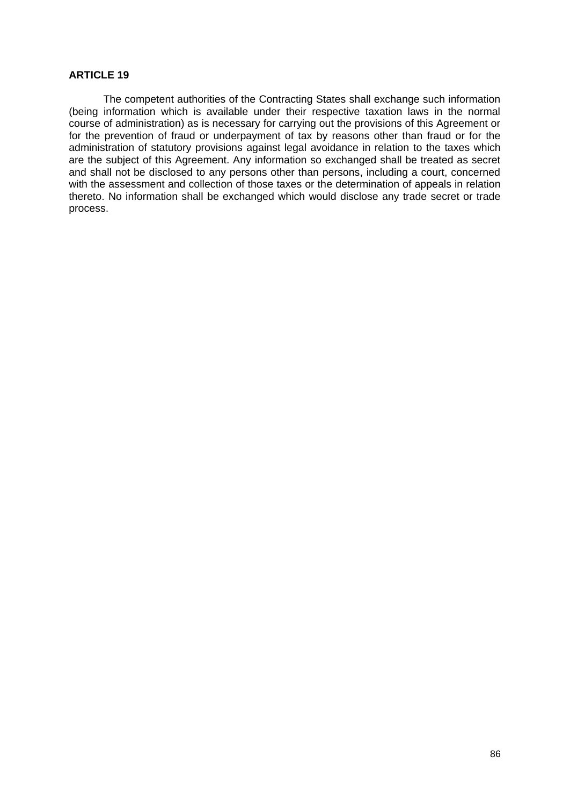The competent authorities of the Contracting States shall exchange such information (being information which is available under their respective taxation laws in the normal course of administration) as is necessary for carrying out the provisions of this Agreement or for the prevention of fraud or underpayment of tax by reasons other than fraud or for the administration of statutory provisions against legal avoidance in relation to the taxes which are the subject of this Agreement. Any information so exchanged shall be treated as secret and shall not be disclosed to any persons other than persons, including a court, concerned with the assessment and collection of those taxes or the determination of appeals in relation thereto. No information shall be exchanged which would disclose any trade secret or trade process.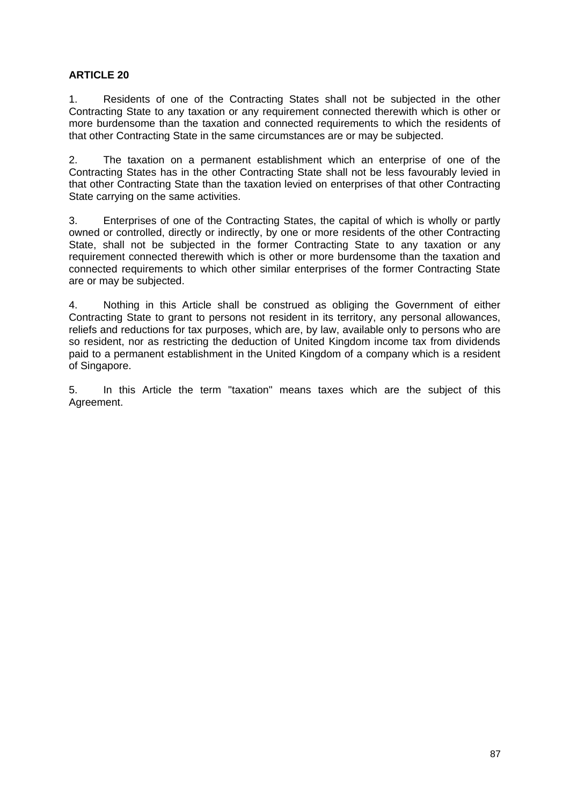1. Residents of one of the Contracting States shall not be subjected in the other Contracting State to any taxation or any requirement connected therewith which is other or more burdensome than the taxation and connected requirements to which the residents of that other Contracting State in the same circumstances are or may be subjected.

2. The taxation on a permanent establishment which an enterprise of one of the Contracting States has in the other Contracting State shall not be less favourably levied in that other Contracting State than the taxation levied on enterprises of that other Contracting State carrying on the same activities.

3. Enterprises of one of the Contracting States, the capital of which is wholly or partly owned or controlled, directly or indirectly, by one or more residents of the other Contracting State, shall not be subjected in the former Contracting State to any taxation or any requirement connected therewith which is other or more burdensome than the taxation and connected requirements to which other similar enterprises of the former Contracting State are or may be subjected.

4. Nothing in this Article shall be construed as obliging the Government of either Contracting State to grant to persons not resident in its territory, any personal allowances, reliefs and reductions for tax purposes, which are, by law, available only to persons who are so resident, nor as restricting the deduction of United Kingdom income tax from dividends paid to a permanent establishment in the United Kingdom of a company which is a resident of Singapore.

5. In this Article the term "taxation" means taxes which are the subject of this Agreement.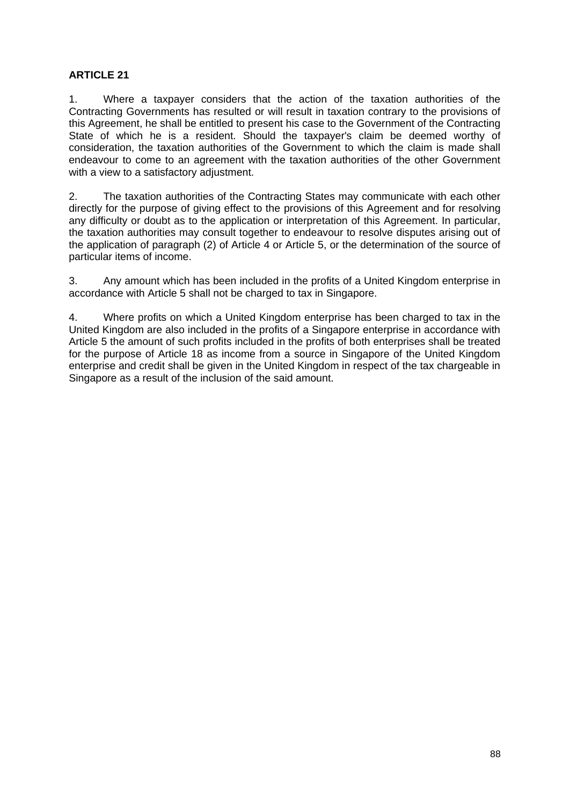1. Where a taxpayer considers that the action of the taxation authorities of the Contracting Governments has resulted or will result in taxation contrary to the provisions of this Agreement, he shall be entitled to present his case to the Government of the Contracting State of which he is a resident. Should the taxpayer's claim be deemed worthy of consideration, the taxation authorities of the Government to which the claim is made shall endeavour to come to an agreement with the taxation authorities of the other Government with a view to a satisfactory adjustment.

2. The taxation authorities of the Contracting States may communicate with each other directly for the purpose of giving effect to the provisions of this Agreement and for resolving any difficulty or doubt as to the application or interpretation of this Agreement. In particular, the taxation authorities may consult together to endeavour to resolve disputes arising out of the application of paragraph (2) of Article 4 or Article 5, or the determination of the source of particular items of income.

3. Any amount which has been included in the profits of a United Kingdom enterprise in accordance with Article 5 shall not be charged to tax in Singapore.

4. Where profits on which a United Kingdom enterprise has been charged to tax in the United Kingdom are also included in the profits of a Singapore enterprise in accordance with Article 5 the amount of such profits included in the profits of both enterprises shall be treated for the purpose of Article 18 as income from a source in Singapore of the United Kingdom enterprise and credit shall be given in the United Kingdom in respect of the tax chargeable in Singapore as a result of the inclusion of the said amount.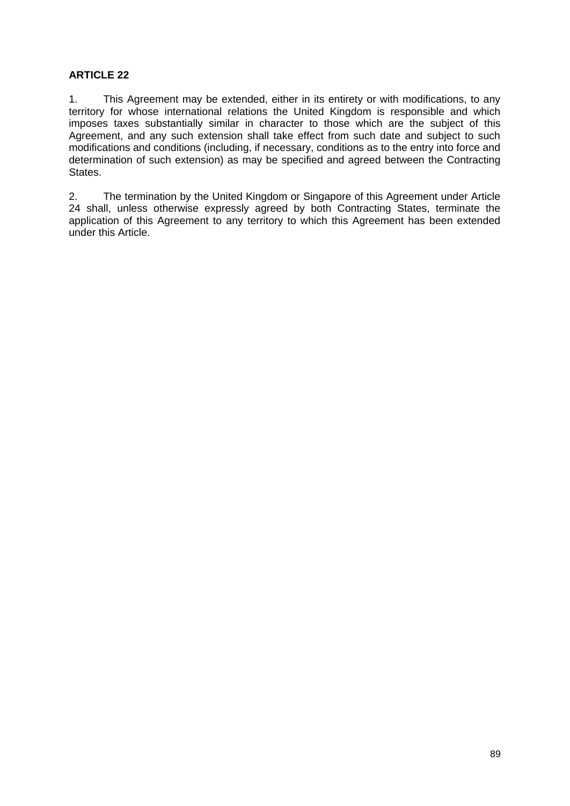1. This Agreement may be extended, either in its entirety or with modifications, to any territory for whose international relations the United Kingdom is responsible and which imposes taxes substantially similar in character to those which are the subject of this Agreement, and any such extension shall take effect from such date and subject to such modifications and conditions (including, if necessary, conditions as to the entry into force and determination of such extension) as may be specified and agreed between the Contracting States.

2. The termination by the United Kingdom or Singapore of this Agreement under Article 24 shall, unless otherwise expressly agreed by both Contracting States, terminate the application of this Agreement to any territory to which this Agreement has been extended under this Article.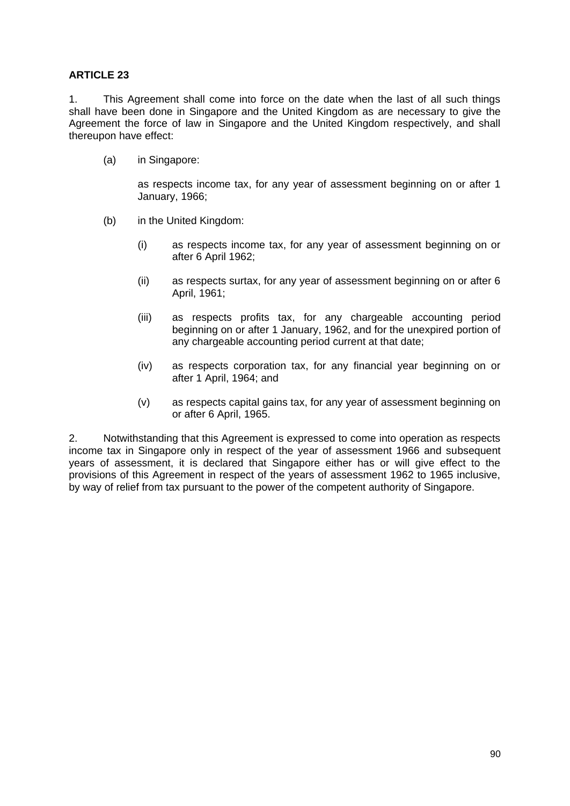1. This Agreement shall come into force on the date when the last of all such things shall have been done in Singapore and the United Kingdom as are necessary to give the Agreement the force of law in Singapore and the United Kingdom respectively, and shall thereupon have effect:

(a) in Singapore:

as respects income tax, for any year of assessment beginning on or after 1 January, 1966;

- (b) in the United Kingdom:
	- (i) as respects income tax, for any year of assessment beginning on or after 6 April 1962;
	- (ii) as respects surtax, for any year of assessment beginning on or after 6 April, 1961;
	- (iii) as respects profits tax, for any chargeable accounting period beginning on or after 1 January, 1962, and for the unexpired portion of any chargeable accounting period current at that date;
	- (iv) as respects corporation tax, for any financial year beginning on or after 1 April, 1964; and
	- (v) as respects capital gains tax, for any year of assessment beginning on or after 6 April, 1965.

2. Notwithstanding that this Agreement is expressed to come into operation as respects income tax in Singapore only in respect of the year of assessment 1966 and subsequent years of assessment, it is declared that Singapore either has or will give effect to the provisions of this Agreement in respect of the years of assessment 1962 to 1965 inclusive, by way of relief from tax pursuant to the power of the competent authority of Singapore.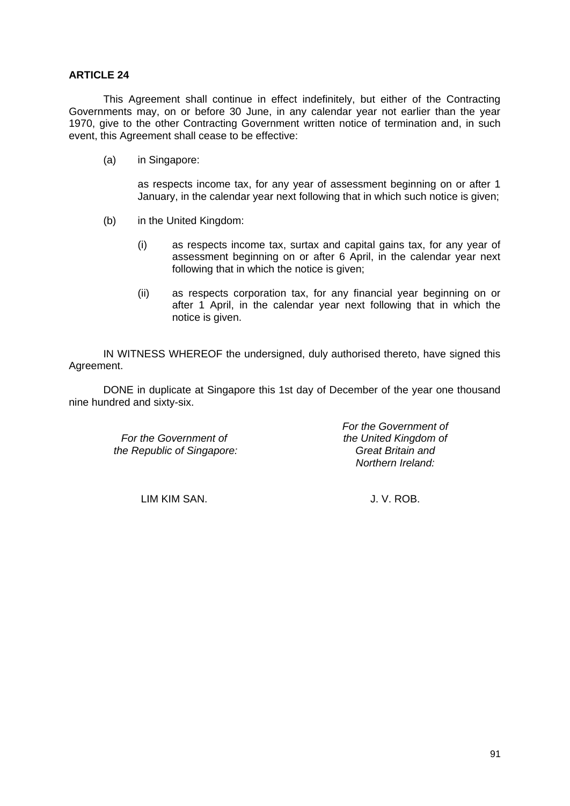This Agreement shall continue in effect indefinitely, but either of the Contracting Governments may, on or before 30 June, in any calendar year not earlier than the year 1970, give to the other Contracting Government written notice of termination and, in such event, this Agreement shall cease to be effective:

(a) in Singapore:

as respects income tax, for any year of assessment beginning on or after 1 January, in the calendar year next following that in which such notice is given;

- (b) in the United Kingdom:
	- (i) as respects income tax, surtax and capital gains tax, for any year of assessment beginning on or after 6 April, in the calendar year next following that in which the notice is given;
	- (ii) as respects corporation tax, for any financial year beginning on or after 1 April, in the calendar year next following that in which the notice is given.

IN WITNESS WHEREOF the undersigned, duly authorised thereto, have signed this Agreement.

DONE in duplicate at Singapore this 1st day of December of the year one thousand nine hundred and sixty-six.

> *For the Government of the Republic of Singapore:*

*For the Government of the United Kingdom of Great Britain and Northern Ireland:*

LIM KIM SAN. J. V. ROB.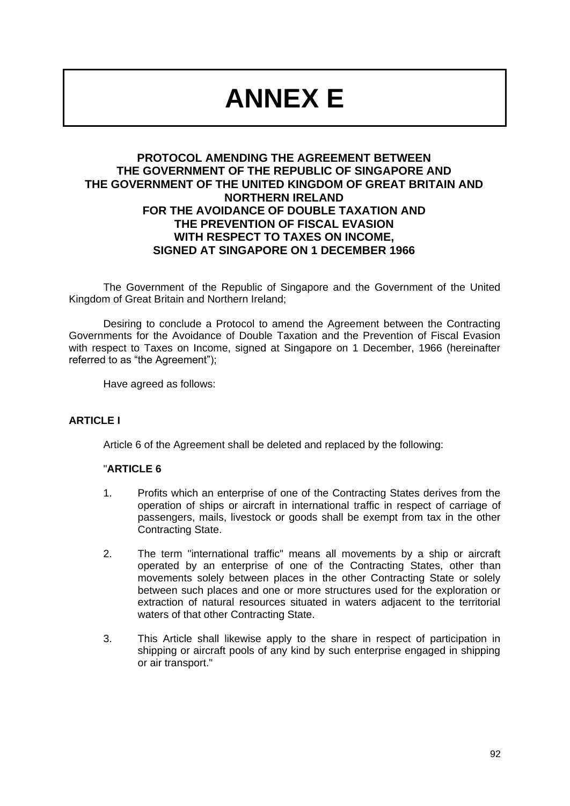# **ANNEX E**

# **PROTOCOL AMENDING THE AGREEMENT BETWEEN THE GOVERNMENT OF THE REPUBLIC OF SINGAPORE AND THE GOVERNMENT OF THE UNITED KINGDOM OF GREAT BRITAIN AND NORTHERN IRELAND FOR THE AVOIDANCE OF DOUBLE TAXATION AND THE PREVENTION OF FISCAL EVASION WITH RESPECT TO TAXES ON INCOME, SIGNED AT SINGAPORE ON 1 DECEMBER 1966**

The Government of the Republic of Singapore and the Government of the United Kingdom of Great Britain and Northern Ireland;

Desiring to conclude a Protocol to amend the Agreement between the Contracting Governments for the Avoidance of Double Taxation and the Prevention of Fiscal Evasion with respect to Taxes on Income, signed at Singapore on 1 December, 1966 (hereinafter referred to as "the Agreement");

Have agreed as follows:

## **ARTICLE I**

Article 6 of the Agreement shall be deleted and replaced by the following:

#### "**ARTICLE 6**

- 1. Profits which an enterprise of one of the Contracting States derives from the operation of ships or aircraft in international traffic in respect of carriage of passengers, mails, livestock or goods shall be exempt from tax in the other Contracting State.
- 2. The term "international traffic" means all movements by a ship or aircraft operated by an enterprise of one of the Contracting States, other than movements solely between places in the other Contracting State or solely between such places and one or more structures used for the exploration or extraction of natural resources situated in waters adjacent to the territorial waters of that other Contracting State.
- 3. This Article shall likewise apply to the share in respect of participation in shipping or aircraft pools of any kind by such enterprise engaged in shipping or air transport."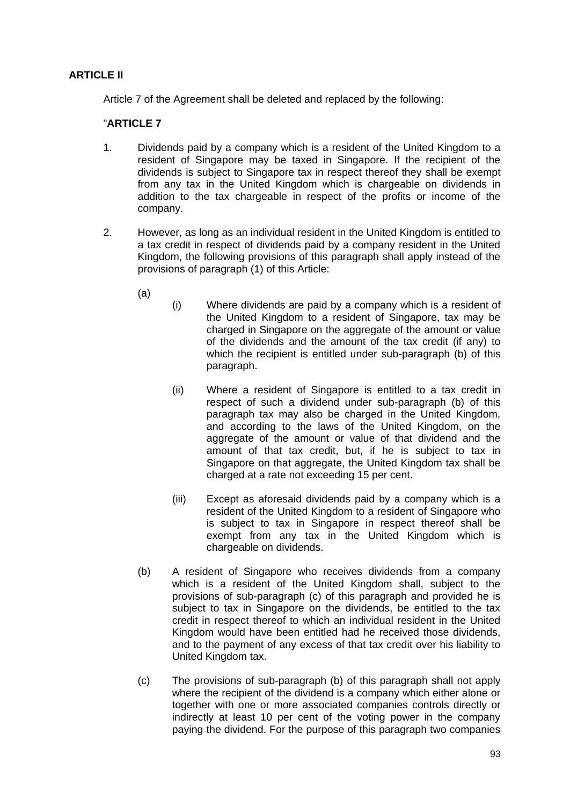# **ARTICLE II**

Article 7 of the Agreement shall be deleted and replaced by the following:

# "**ARTICLE 7**

- 1. Dividends paid by a company which is a resident of the United Kingdom to a resident of Singapore may be taxed in Singapore. If the recipient of the dividends is subject to Singapore tax in respect thereof they shall be exempt from any tax in the United Kingdom which is chargeable on dividends in addition to the tax chargeable in respect of the profits or income of the company.
- 2. However, as long as an individual resident in the United Kingdom is entitled to a tax credit in respect of dividends paid by a company resident in the United Kingdom, the following provisions of this paragraph shall apply instead of the provisions of paragraph (1) of this Article:
	- (a)
- (i) Where dividends are paid by a company which is a resident of the United Kingdom to a resident of Singapore, tax may be charged in Singapore on the aggregate of the amount or value of the dividends and the amount of the tax credit (if any) to which the recipient is entitled under sub-paragraph (b) of this paragraph.
- (ii) Where a resident of Singapore is entitled to a tax credit in respect of such a dividend under sub-paragraph (b) of this paragraph tax may also be charged in the United Kingdom, and according to the laws of the United Kingdom, on the aggregate of the amount or value of that dividend and the amount of that tax credit, but, if he is subject to tax in Singapore on that aggregate, the United Kingdom tax shall be charged at a rate not exceeding 15 per cent.
- (iii) Except as aforesaid dividends paid by a company which is a resident of the United Kingdom to a resident of Singapore who is subject to tax in Singapore in respect thereof shall be exempt from any tax in the United Kingdom which is chargeable on dividends.
- (b) A resident of Singapore who receives dividends from a company which is a resident of the United Kingdom shall, subject to the provisions of sub-paragraph (c) of this paragraph and provided he is subject to tax in Singapore on the dividends, be entitled to the tax credit in respect thereof to which an individual resident in the United Kingdom would have been entitled had he received those dividends, and to the payment of any excess of that tax credit over his liability to United Kingdom tax.
- (c) The provisions of sub-paragraph (b) of this paragraph shall not apply where the recipient of the dividend is a company which either alone or together with one or more associated companies controls directly or indirectly at least 10 per cent of the voting power in the company paying the dividend. For the purpose of this paragraph two companies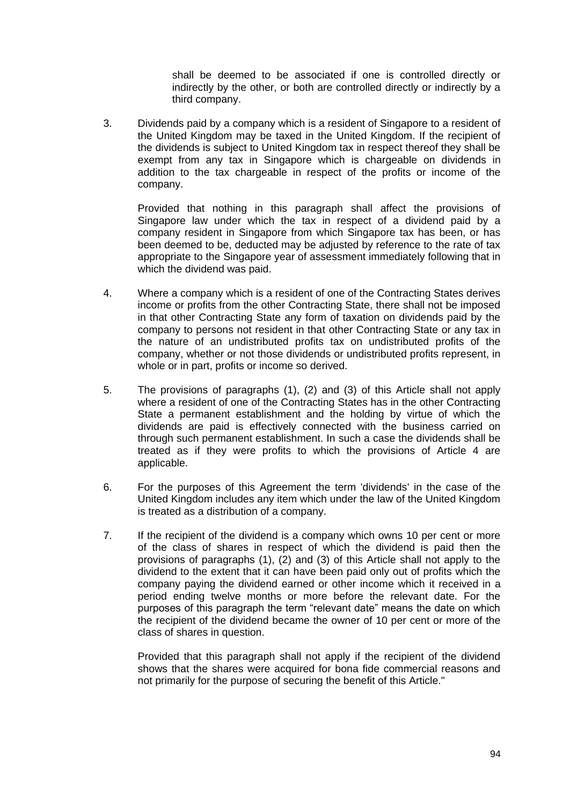shall be deemed to be associated if one is controlled directly or indirectly by the other, or both are controlled directly or indirectly by a third company.

3. Dividends paid by a company which is a resident of Singapore to a resident of the United Kingdom may be taxed in the United Kingdom. If the recipient of the dividends is subject to United Kingdom tax in respect thereof they shall be exempt from any tax in Singapore which is chargeable on dividends in addition to the tax chargeable in respect of the profits or income of the company.

Provided that nothing in this paragraph shall affect the provisions of Singapore law under which the tax in respect of a dividend paid by a company resident in Singapore from which Singapore tax has been, or has been deemed to be, deducted may be adjusted by reference to the rate of tax appropriate to the Singapore year of assessment immediately following that in which the dividend was paid.

- 4. Where a company which is a resident of one of the Contracting States derives income or profits from the other Contracting State, there shall not be imposed in that other Contracting State any form of taxation on dividends paid by the company to persons not resident in that other Contracting State or any tax in the nature of an undistributed profits tax on undistributed profits of the company, whether or not those dividends or undistributed profits represent, in whole or in part, profits or income so derived.
- 5. The provisions of paragraphs (1), (2) and (3) of this Article shall not apply where a resident of one of the Contracting States has in the other Contracting State a permanent establishment and the holding by virtue of which the dividends are paid is effectively connected with the business carried on through such permanent establishment. In such a case the dividends shall be treated as if they were profits to which the provisions of Article 4 are applicable.
- 6. For the purposes of this Agreement the term 'dividends' in the case of the United Kingdom includes any item which under the law of the United Kingdom is treated as a distribution of a company.
- 7. If the recipient of the dividend is a company which owns 10 per cent or more of the class of shares in respect of which the dividend is paid then the provisions of paragraphs (1), (2) and (3) of this Article shall not apply to the dividend to the extent that it can have been paid only out of profits which the company paying the dividend earned or other income which it received in a period ending twelve months or more before the relevant date. For the purposes of this paragraph the term "relevant date" means the date on which the recipient of the dividend became the owner of 10 per cent or more of the class of shares in question.

Provided that this paragraph shall not apply if the recipient of the dividend shows that the shares were acquired for bona fide commercial reasons and not primarily for the purpose of securing the benefit of this Article."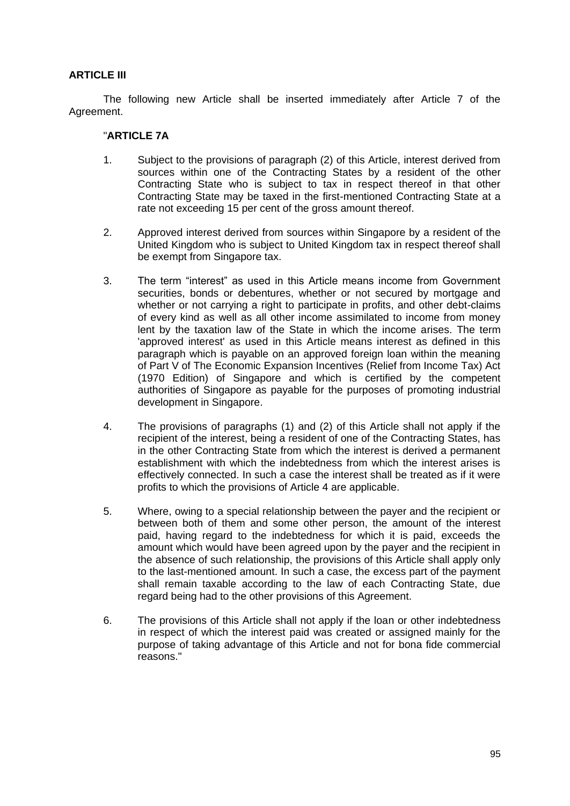## **ARTICLE III**

The following new Article shall be inserted immediately after Article 7 of the Agreement.

## "**ARTICLE 7A**

- 1. Subject to the provisions of paragraph (2) of this Article, interest derived from sources within one of the Contracting States by a resident of the other Contracting State who is subject to tax in respect thereof in that other Contracting State may be taxed in the first-mentioned Contracting State at a rate not exceeding 15 per cent of the gross amount thereof.
- 2. Approved interest derived from sources within Singapore by a resident of the United Kingdom who is subject to United Kingdom tax in respect thereof shall be exempt from Singapore tax.
- 3. The term "interest" as used in this Article means income from Government securities, bonds or debentures, whether or not secured by mortgage and whether or not carrying a right to participate in profits, and other debt-claims of every kind as well as all other income assimilated to income from money lent by the taxation law of the State in which the income arises. The term 'approved interest' as used in this Article means interest as defined in this paragraph which is payable on an approved foreign loan within the meaning of Part V of The Economic Expansion Incentives (Relief from Income Tax) Act (1970 Edition) of Singapore and which is certified by the competent authorities of Singapore as payable for the purposes of promoting industrial development in Singapore.
- 4. The provisions of paragraphs (1) and (2) of this Article shall not apply if the recipient of the interest, being a resident of one of the Contracting States, has in the other Contracting State from which the interest is derived a permanent establishment with which the indebtedness from which the interest arises is effectively connected. In such a case the interest shall be treated as if it were profits to which the provisions of Article 4 are applicable.
- 5. Where, owing to a special relationship between the payer and the recipient or between both of them and some other person, the amount of the interest paid, having regard to the indebtedness for which it is paid, exceeds the amount which would have been agreed upon by the payer and the recipient in the absence of such relationship, the provisions of this Article shall apply only to the last-mentioned amount. In such a case, the excess part of the payment shall remain taxable according to the law of each Contracting State, due regard being had to the other provisions of this Agreement.
- 6. The provisions of this Article shall not apply if the loan or other indebtedness in respect of which the interest paid was created or assigned mainly for the purpose of taking advantage of this Article and not for bona fide commercial reasons."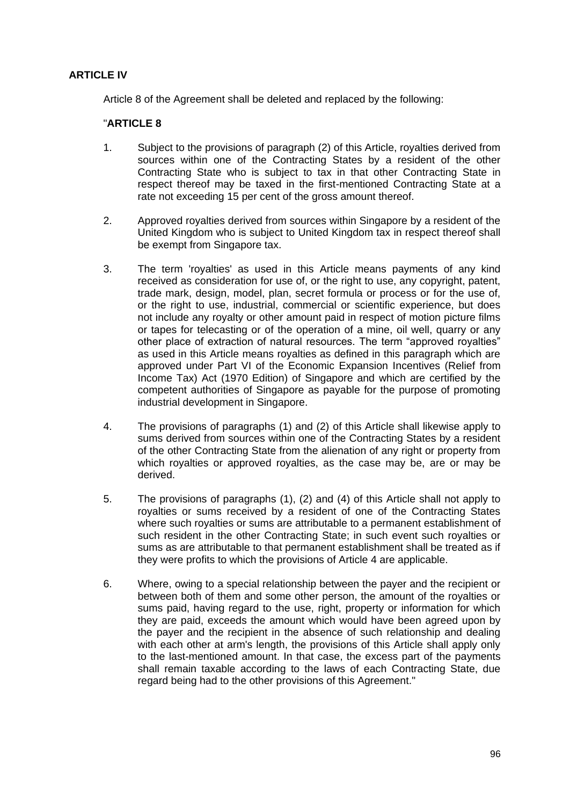# **ARTICLE IV**

Article 8 of the Agreement shall be deleted and replaced by the following:

## "**ARTICLE 8**

- 1. Subject to the provisions of paragraph (2) of this Article, royalties derived from sources within one of the Contracting States by a resident of the other Contracting State who is subject to tax in that other Contracting State in respect thereof may be taxed in the first-mentioned Contracting State at a rate not exceeding 15 per cent of the gross amount thereof.
- 2. Approved royalties derived from sources within Singapore by a resident of the United Kingdom who is subject to United Kingdom tax in respect thereof shall be exempt from Singapore tax.
- 3. The term 'royalties' as used in this Article means payments of any kind received as consideration for use of, or the right to use, any copyright, patent, trade mark, design, model, plan, secret formula or process or for the use of, or the right to use, industrial, commercial or scientific experience, but does not include any royalty or other amount paid in respect of motion picture films or tapes for telecasting or of the operation of a mine, oil well, quarry or any other place of extraction of natural resources. The term "approved royalties" as used in this Article means royalties as defined in this paragraph which are approved under Part VI of the Economic Expansion Incentives (Relief from Income Tax) Act (1970 Edition) of Singapore and which are certified by the competent authorities of Singapore as payable for the purpose of promoting industrial development in Singapore.
- 4. The provisions of paragraphs (1) and (2) of this Article shall likewise apply to sums derived from sources within one of the Contracting States by a resident of the other Contracting State from the alienation of any right or property from which royalties or approved royalties, as the case may be, are or may be derived.
- 5. The provisions of paragraphs (1), (2) and (4) of this Article shall not apply to royalties or sums received by a resident of one of the Contracting States where such royalties or sums are attributable to a permanent establishment of such resident in the other Contracting State; in such event such royalties or sums as are attributable to that permanent establishment shall be treated as if they were profits to which the provisions of Article 4 are applicable.
- 6. Where, owing to a special relationship between the payer and the recipient or between both of them and some other person, the amount of the royalties or sums paid, having regard to the use, right, property or information for which they are paid, exceeds the amount which would have been agreed upon by the payer and the recipient in the absence of such relationship and dealing with each other at arm's length, the provisions of this Article shall apply only to the last-mentioned amount. In that case, the excess part of the payments shall remain taxable according to the laws of each Contracting State, due regard being had to the other provisions of this Agreement."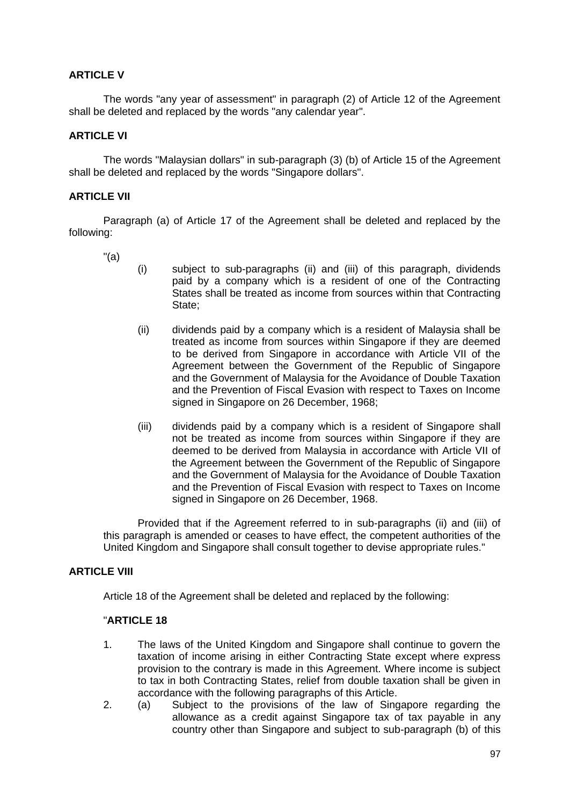# **ARTICLE V**

The words "any year of assessment" in paragraph (2) of Article 12 of the Agreement shall be deleted and replaced by the words "any calendar year".

## **ARTICLE VI**

The words "Malaysian dollars" in sub-paragraph (3) (b) of Article 15 of the Agreement shall be deleted and replaced by the words "Singapore dollars".

## **ARTICLE VII**

Paragraph (a) of Article 17 of the Agreement shall be deleted and replaced by the following:

- "(a)
- (i) subject to sub-paragraphs (ii) and (iii) of this paragraph, dividends paid by a company which is a resident of one of the Contracting States shall be treated as income from sources within that Contracting State:
- (ii) dividends paid by a company which is a resident of Malaysia shall be treated as income from sources within Singapore if they are deemed to be derived from Singapore in accordance with Article VII of the Agreement between the Government of the Republic of Singapore and the Government of Malaysia for the Avoidance of Double Taxation and the Prevention of Fiscal Evasion with respect to Taxes on Income signed in Singapore on 26 December, 1968;
- (iii) dividends paid by a company which is a resident of Singapore shall not be treated as income from sources within Singapore if they are deemed to be derived from Malaysia in accordance with Article VII of the Agreement between the Government of the Republic of Singapore and the Government of Malaysia for the Avoidance of Double Taxation and the Prevention of Fiscal Evasion with respect to Taxes on Income signed in Singapore on 26 December, 1968.

Provided that if the Agreement referred to in sub-paragraphs (ii) and (iii) of this paragraph is amended or ceases to have effect, the competent authorities of the United Kingdom and Singapore shall consult together to devise appropriate rules."

## **ARTICLE VIII**

Article 18 of the Agreement shall be deleted and replaced by the following:

## "**ARTICLE 18**

- 1. The laws of the United Kingdom and Singapore shall continue to govern the taxation of income arising in either Contracting State except where express provision to the contrary is made in this Agreement. Where income is subject to tax in both Contracting States, relief from double taxation shall be given in accordance with the following paragraphs of this Article.
- 2. (a) Subject to the provisions of the law of Singapore regarding the allowance as a credit against Singapore tax of tax payable in any country other than Singapore and subject to sub-paragraph (b) of this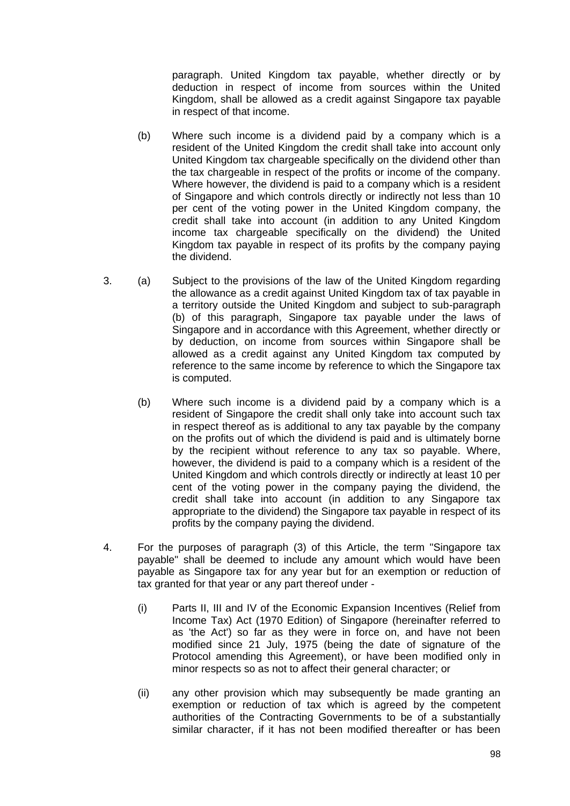paragraph. United Kingdom tax payable, whether directly or by deduction in respect of income from sources within the United Kingdom, shall be allowed as a credit against Singapore tax payable in respect of that income.

- (b) Where such income is a dividend paid by a company which is a resident of the United Kingdom the credit shall take into account only United Kingdom tax chargeable specifically on the dividend other than the tax chargeable in respect of the profits or income of the company. Where however, the dividend is paid to a company which is a resident of Singapore and which controls directly or indirectly not less than 10 per cent of the voting power in the United Kingdom company, the credit shall take into account (in addition to any United Kingdom income tax chargeable specifically on the dividend) the United Kingdom tax payable in respect of its profits by the company paying the dividend.
- 3. (a) Subject to the provisions of the law of the United Kingdom regarding the allowance as a credit against United Kingdom tax of tax payable in a territory outside the United Kingdom and subject to sub-paragraph (b) of this paragraph, Singapore tax payable under the laws of Singapore and in accordance with this Agreement, whether directly or by deduction, on income from sources within Singapore shall be allowed as a credit against any United Kingdom tax computed by reference to the same income by reference to which the Singapore tax is computed.
	- (b) Where such income is a dividend paid by a company which is a resident of Singapore the credit shall only take into account such tax in respect thereof as is additional to any tax payable by the company on the profits out of which the dividend is paid and is ultimately borne by the recipient without reference to any tax so payable. Where, however, the dividend is paid to a company which is a resident of the United Kingdom and which controls directly or indirectly at least 10 per cent of the voting power in the company paying the dividend, the credit shall take into account (in addition to any Singapore tax appropriate to the dividend) the Singapore tax payable in respect of its profits by the company paying the dividend.
- 4. For the purposes of paragraph (3) of this Article, the term "Singapore tax payable" shall be deemed to include any amount which would have been payable as Singapore tax for any year but for an exemption or reduction of tax granted for that year or any part thereof under -
	- (i) Parts II, III and IV of the Economic Expansion Incentives (Relief from Income Tax) Act (1970 Edition) of Singapore (hereinafter referred to as 'the Act') so far as they were in force on, and have not been modified since 21 July, 1975 (being the date of signature of the Protocol amending this Agreement), or have been modified only in minor respects so as not to affect their general character; or
	- (ii) any other provision which may subsequently be made granting an exemption or reduction of tax which is agreed by the competent authorities of the Contracting Governments to be of a substantially similar character, if it has not been modified thereafter or has been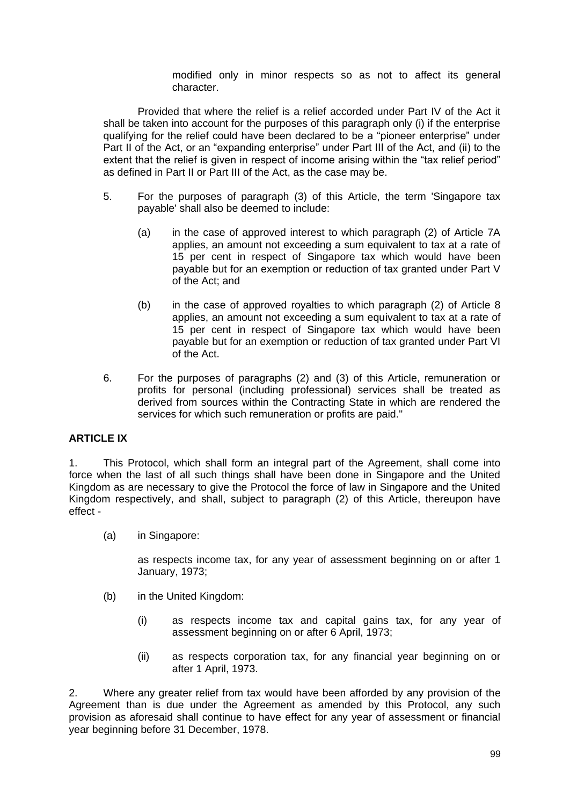modified only in minor respects so as not to affect its general character.

Provided that where the relief is a relief accorded under Part IV of the Act it shall be taken into account for the purposes of this paragraph only (i) if the enterprise qualifying for the relief could have been declared to be a "pioneer enterprise" under Part II of the Act, or an "expanding enterprise" under Part III of the Act, and (ii) to the extent that the relief is given in respect of income arising within the "tax relief period" as defined in Part II or Part III of the Act, as the case may be.

- 5. For the purposes of paragraph (3) of this Article, the term 'Singapore tax payable' shall also be deemed to include:
	- (a) in the case of approved interest to which paragraph (2) of Article 7A applies, an amount not exceeding a sum equivalent to tax at a rate of 15 per cent in respect of Singapore tax which would have been payable but for an exemption or reduction of tax granted under Part V of the Act; and
	- (b) in the case of approved royalties to which paragraph (2) of Article 8 applies, an amount not exceeding a sum equivalent to tax at a rate of 15 per cent in respect of Singapore tax which would have been payable but for an exemption or reduction of tax granted under Part VI of the Act.
- 6. For the purposes of paragraphs (2) and (3) of this Article, remuneration or profits for personal (including professional) services shall be treated as derived from sources within the Contracting State in which are rendered the services for which such remuneration or profits are paid."

# **ARTICLE IX**

1. This Protocol, which shall form an integral part of the Agreement, shall come into force when the last of all such things shall have been done in Singapore and the United Kingdom as are necessary to give the Protocol the force of law in Singapore and the United Kingdom respectively, and shall, subject to paragraph (2) of this Article, thereupon have effect -

(a) in Singapore:

as respects income tax, for any year of assessment beginning on or after 1 January, 1973;

- (b) in the United Kingdom:
	- (i) as respects income tax and capital gains tax, for any year of assessment beginning on or after 6 April, 1973;
	- (ii) as respects corporation tax, for any financial year beginning on or after 1 April, 1973.

2. Where any greater relief from tax would have been afforded by any provision of the Agreement than is due under the Agreement as amended by this Protocol, any such provision as aforesaid shall continue to have effect for any year of assessment or financial year beginning before 31 December, 1978.